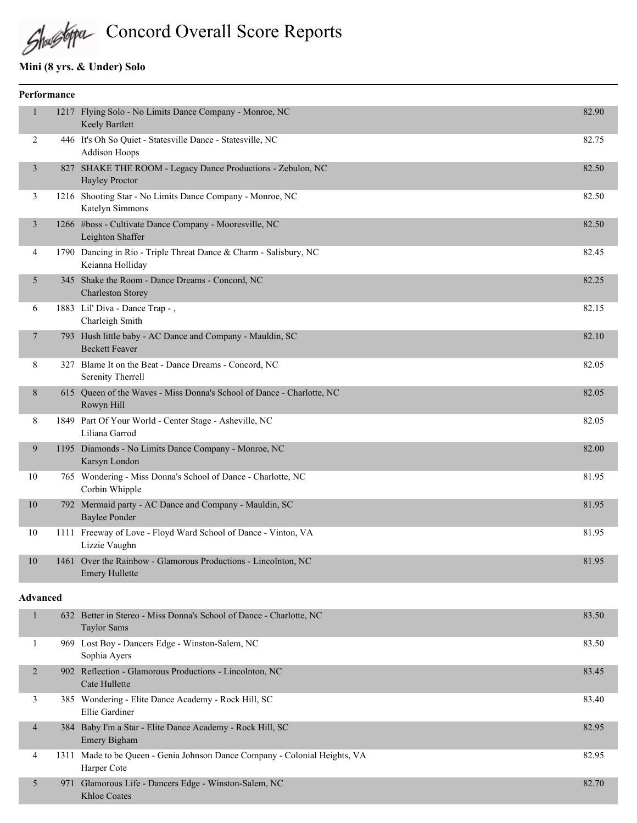Shughpu Concord Overall Score Reports

## **Mini (8 yrs. & Under) Solo**

Khloe Coates

|                          | Performance |                                                                                           |       |
|--------------------------|-------------|-------------------------------------------------------------------------------------------|-------|
| $\mathbf{1}$             |             | 1217 Flying Solo - No Limits Dance Company - Monroe, NC<br>Keely Bartlett                 | 82.90 |
| 2                        |             | 446 It's Oh So Quiet - Statesville Dance - Statesville, NC<br><b>Addison Hoops</b>        | 82.75 |
| $\mathfrak{Z}$           |             | 827 SHAKE THE ROOM - Legacy Dance Productions - Zebulon, NC<br>Hayley Proctor             | 82.50 |
| 3                        |             | 1216 Shooting Star - No Limits Dance Company - Monroe, NC<br>Katelyn Simmons              | 82.50 |
| $\mathfrak{Z}$           |             | 1266 #boss - Cultivate Dance Company - Mooresville, NC<br>Leighton Shaffer                | 82.50 |
| 4                        |             | 1790 Dancing in Rio - Triple Threat Dance & Charm - Salisbury, NC<br>Keianna Holliday     | 82.45 |
| 5                        |             | 345 Shake the Room - Dance Dreams - Concord, NC<br><b>Charleston Storey</b>               | 82.25 |
| 6                        |             | 1883 Lil' Diva - Dance Trap -,<br>Charleigh Smith                                         | 82.15 |
| $\overline{7}$           |             | 793 Hush little baby - AC Dance and Company - Mauldin, SC<br><b>Beckett Feaver</b>        | 82.10 |
| 8                        |             | 327 Blame It on the Beat - Dance Dreams - Concord, NC<br>Serenity Therrell                | 82.05 |
| 8                        |             | 615 Queen of the Waves - Miss Donna's School of Dance - Charlotte, NC<br>Rowyn Hill       | 82.05 |
| 8                        |             | 1849 Part Of Your World - Center Stage - Asheville, NC<br>Liliana Garrod                  | 82.05 |
| 9                        |             | 1195 Diamonds - No Limits Dance Company - Monroe, NC<br>Karsyn London                     | 82.00 |
| 10                       |             | 765 Wondering - Miss Donna's School of Dance - Charlotte, NC<br>Corbin Whipple            | 81.95 |
| 10                       |             | 792 Mermaid party - AC Dance and Company - Mauldin, SC<br><b>Baylee Ponder</b>            | 81.95 |
| 10                       |             | 1111 Freeway of Love - Floyd Ward School of Dance - Vinton, VA<br>Lizzie Vaughn           | 81.95 |
| 10                       |             | 1461 Over the Rainbow - Glamorous Productions - Lincolnton, NC<br><b>Emery Hullette</b>   | 81.95 |
| <b>Advanced</b>          |             |                                                                                           |       |
| $\mathbf{1}$             |             | 632 Better in Stereo - Miss Donna's School of Dance - Charlotte, NC<br><b>Taylor Sams</b> | 83.50 |
| 1                        |             | 969 Lost Boy - Dancers Edge - Winston-Salem, NC<br>Sophia Ayers                           | 83.50 |
| $\overline{2}$           |             | 902 Reflection - Glamorous Productions - Lincolnton, NC<br>Cate Hullette                  | 83.45 |
| 3                        |             | 385 Wondering - Elite Dance Academy - Rock Hill, SC<br>Ellie Gardiner                     | 83.40 |
| $\overline{\mathcal{A}}$ |             | 384 Baby I'm a Star - Elite Dance Academy - Rock Hill, SC<br>Emery Bigham                 | 82.95 |
| 4                        |             | 1311 Made to be Queen - Genia Johnson Dance Company - Colonial Heights, VA<br>Harper Cote | 82.95 |
| 5                        |             | 971 Glamorous Life - Dancers Edge - Winston-Salem, NC                                     | 82.70 |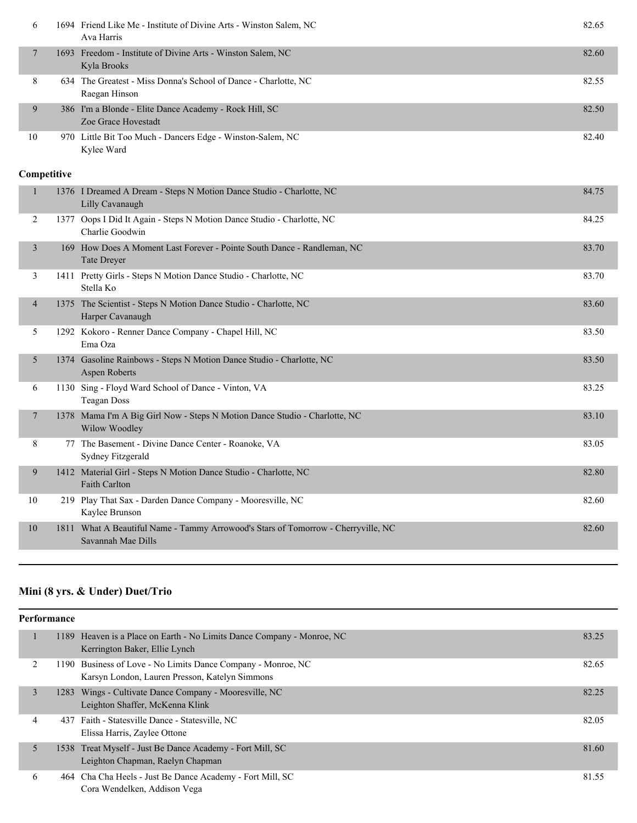| 6  | 1694 Friend Like Me - Institute of Divine Arts - Winston Salem, NC<br>Ava Harris | 82.65 |
|----|----------------------------------------------------------------------------------|-------|
|    | 1693 Freedom - Institute of Divine Arts - Winston Salem, NC<br>Kyla Brooks       | 82.60 |
| 8  | 634 The Greatest - Miss Donna's School of Dance - Charlotte, NC<br>Raegan Hinson | 82.55 |
| 9  | 386 I'm a Blonde - Elite Dance Academy - Rock Hill, SC<br>Zoe Grace Hovestadt    | 82.50 |
| 10 | 970 Little Bit Too Much - Dancers Edge - Winston-Salem, NC<br>Kylee Ward         | 82.40 |

|                |     | 1376 I Dreamed A Dream - Steps N Motion Dance Studio - Charlotte, NC<br>Lilly Cavanaugh                 | 84.75 |
|----------------|-----|---------------------------------------------------------------------------------------------------------|-------|
| 2              |     | 1377 Oops I Did It Again - Steps N Motion Dance Studio - Charlotte, NC<br>Charlie Goodwin               | 84.25 |
| 3              | 169 | How Does A Moment Last Forever - Pointe South Dance - Randleman, NC<br><b>Tate Dreyer</b>               | 83.70 |
| 3              |     | 1411 Pretty Girls - Steps N Motion Dance Studio - Charlotte, NC<br>Stella Ko                            | 83.70 |
| $\overline{4}$ |     | 1375 The Scientist - Steps N Motion Dance Studio - Charlotte, NC<br>Harper Cavanaugh                    | 83.60 |
| 5              |     | 1292 Kokoro - Renner Dance Company - Chapel Hill, NC<br>Ema Oza                                         | 83.50 |
| 5              |     | 1374 Gasoline Rainbows - Steps N Motion Dance Studio - Charlotte, NC<br>Aspen Roberts                   | 83.50 |
| 6              |     | 1130 Sing - Floyd Ward School of Dance - Vinton, VA<br><b>Teagan Doss</b>                               | 83.25 |
| 7              |     | 1378 Mama I'm A Big Girl Now - Steps N Motion Dance Studio - Charlotte, NC<br>Wilow Woodley             | 83.10 |
| 8              |     | 77 The Basement - Divine Dance Center - Roanoke, VA<br>Sydney Fitzgerald                                | 83.05 |
| 9              |     | 1412 Material Girl - Steps N Motion Dance Studio - Charlotte, NC<br><b>Faith Carlton</b>                | 82.80 |
| 10             |     | 219 Play That Sax - Darden Dance Company - Mooresville, NC<br>Kaylee Brunson                            | 82.60 |
| 10             |     | 1811 What A Beautiful Name - Tammy Arrowood's Stars of Tomorrow - Cherryville, NC<br>Savannah Mae Dills | 82.60 |

# **Mini (8 yrs. & Under) Duet/Trio**

|   | Performance |                                                                                                                |       |
|---|-------------|----------------------------------------------------------------------------------------------------------------|-------|
|   |             | 1189 Heaven is a Place on Earth - No Limits Dance Company - Monroe, NC<br>Kerrington Baker, Ellie Lynch        | 83.25 |
| 2 |             | 1190 Business of Love - No Limits Dance Company - Monroe, NC<br>Karsyn London, Lauren Presson, Katelyn Simmons | 82.65 |
| 3 |             | 1283 Wings - Cultivate Dance Company - Mooresville, NC<br>Leighton Shaffer, McKenna Klink                      | 82.25 |
| 4 |             | 437 Faith - Statesville Dance - Statesville, NC<br>Elissa Harris, Zaylee Ottone                                | 82.05 |
| 5 |             | 1538 Treat Myself - Just Be Dance Academy - Fort Mill, SC<br>Leighton Chapman, Raelyn Chapman                  | 81.60 |
| 6 |             | 464 Cha Cha Heels - Just Be Dance Academy - Fort Mill, SC<br>Cora Wendelken, Addison Vega                      | 81.55 |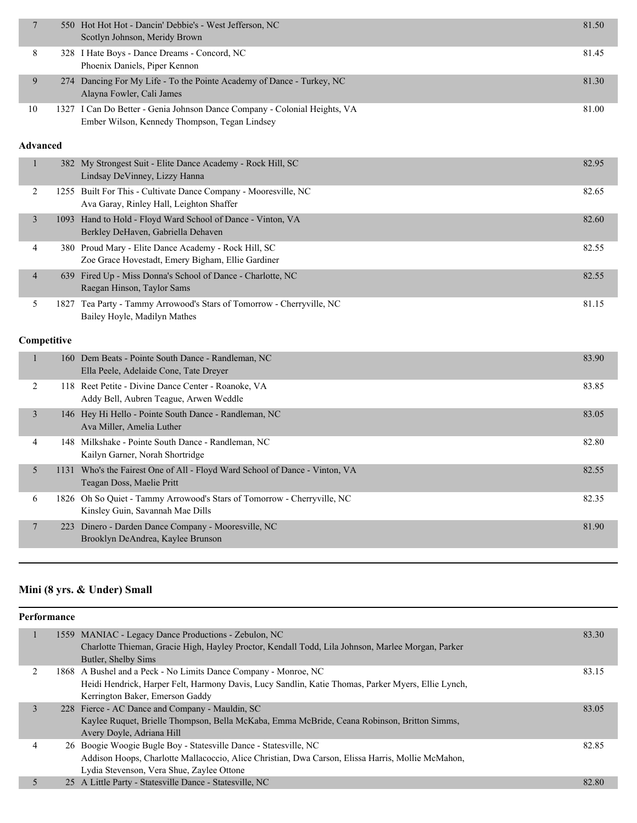| $\overline{7}$  |             | 550 Hot Hot Hot - Dancin' Debbie's - West Jefferson, NC<br>Scotlyn Johnson, Meridy Brown                                   | 81.50 |
|-----------------|-------------|----------------------------------------------------------------------------------------------------------------------------|-------|
| 8               |             | 328 I Hate Boys - Dance Dreams - Concord, NC<br>Phoenix Daniels, Piper Kennon                                              | 81.45 |
| 9               |             | 274 Dancing For My Life - To the Pointe Academy of Dance - Turkey, NC<br>Alayna Fowler, Cali James                         | 81.30 |
| 10              |             | 1327 I Can Do Better - Genia Johnson Dance Company - Colonial Heights, VA<br>Ember Wilson, Kennedy Thompson, Tegan Lindsey | 81.00 |
| <b>Advanced</b> |             |                                                                                                                            |       |
| $\mathbf{1}$    |             | 382 My Strongest Suit - Elite Dance Academy - Rock Hill, SC<br>Lindsay DeVinney, Lizzy Hanna                               | 82.95 |
| 2               |             | 1255 Built For This - Cultivate Dance Company - Mooresville, NC<br>Ava Garay, Rinley Hall, Leighton Shaffer                | 82.65 |
| $\mathfrak{Z}$  |             | 1093 Hand to Hold - Floyd Ward School of Dance - Vinton, VA<br>Berkley DeHaven, Gabriella Dehaven                          | 82.60 |
| 4               |             | 380 Proud Mary - Elite Dance Academy - Rock Hill, SC<br>Zoe Grace Hovestadt, Emery Bigham, Ellie Gardiner                  | 82.55 |
| 4               |             | 639 Fired Up - Miss Donna's School of Dance - Charlotte, NC<br>Raegan Hinson, Taylor Sams                                  | 82.55 |
| 5               |             | 1827 Tea Party - Tammy Arrowood's Stars of Tomorrow - Cherryville, NC<br>Bailey Hoyle, Madilyn Mathes                      | 81.15 |
|                 | Competitive |                                                                                                                            |       |
| $\mathbf{1}$    |             | 160 Dem Beats - Pointe South Dance - Randleman, NC<br>Ella Peele, Adelaide Cone, Tate Dreyer                               | 83.90 |
| $\overline{2}$  |             | 118 Reet Petite - Divine Dance Center - Roanoke, VA<br>Addy Bell, Aubren Teague, Arwen Weddle                              | 83.85 |
| $\mathfrak{Z}$  |             | 146 Hey Hi Hello - Pointe South Dance - Randleman, NC<br>Ava Miller, Amelia Luther                                         | 83.05 |
| 4               |             | 148 Milkshake - Pointe South Dance - Randleman, NC<br>Kailyn Garner, Norah Shortridge                                      | 82.80 |
| 5               |             | 1131 Who's the Fairest One of All - Floyd Ward School of Dance - Vinton, VA<br>Teagan Doss, Maelie Pritt                   | 82.55 |
| 6               |             | 1826 Oh So Quiet - Tammy Arrowood's Stars of Tomorrow - Cherryville, NC<br>Kinsley Guin, Savannah Mae Dills                | 82.35 |
| 7               | 223         | Dinero - Darden Dance Company - Mooresville, NC<br>Brooklyn DeAndrea, Kaylee Brunson                                       | 81.90 |
|                 |             |                                                                                                                            |       |

# **Mini (8 yrs. & Under) Small**

|   | <b>Performance</b> |                                                                                                                                                           |       |  |  |  |
|---|--------------------|-----------------------------------------------------------------------------------------------------------------------------------------------------------|-------|--|--|--|
|   |                    | 1559 MANIAC - Legacy Dance Productions - Zebulon, NC<br>Charlotte Thieman, Gracie High, Hayley Proctor, Kendall Todd, Lila Johnson, Marlee Morgan, Parker | 83.30 |  |  |  |
|   |                    | Butler, Shelby Sims                                                                                                                                       |       |  |  |  |
|   |                    | 1868 A Bushel and a Peck - No Limits Dance Company - Monroe, NC                                                                                           | 83.15 |  |  |  |
|   |                    | Heidi Hendrick, Harper Felt, Harmony Davis, Lucy Sandlin, Katie Thomas, Parker Myers, Ellie Lynch,                                                        |       |  |  |  |
|   |                    | Kerrington Baker, Emerson Gaddy                                                                                                                           |       |  |  |  |
| 3 |                    | 228 Fierce - AC Dance and Company - Mauldin, SC                                                                                                           | 83.05 |  |  |  |
|   |                    | Kaylee Ruquet, Brielle Thompson, Bella McKaba, Emma McBride, Ceana Robinson, Britton Simms,                                                               |       |  |  |  |
|   |                    | Avery Doyle, Adriana Hill                                                                                                                                 |       |  |  |  |
| 4 |                    | 26 Boogie Woogie Bugle Boy - Statesville Dance - Statesville, NC                                                                                          | 82.85 |  |  |  |
|   |                    | Addison Hoops, Charlotte Mallacoccio, Alice Christian, Dwa Carson, Elissa Harris, Mollie McMahon,                                                         |       |  |  |  |
|   |                    | Lydia Stevenson, Vera Shue, Zaylee Ottone                                                                                                                 |       |  |  |  |
|   |                    | 25 A Little Party - Statesville Dance - Statesville, NC                                                                                                   | 82.80 |  |  |  |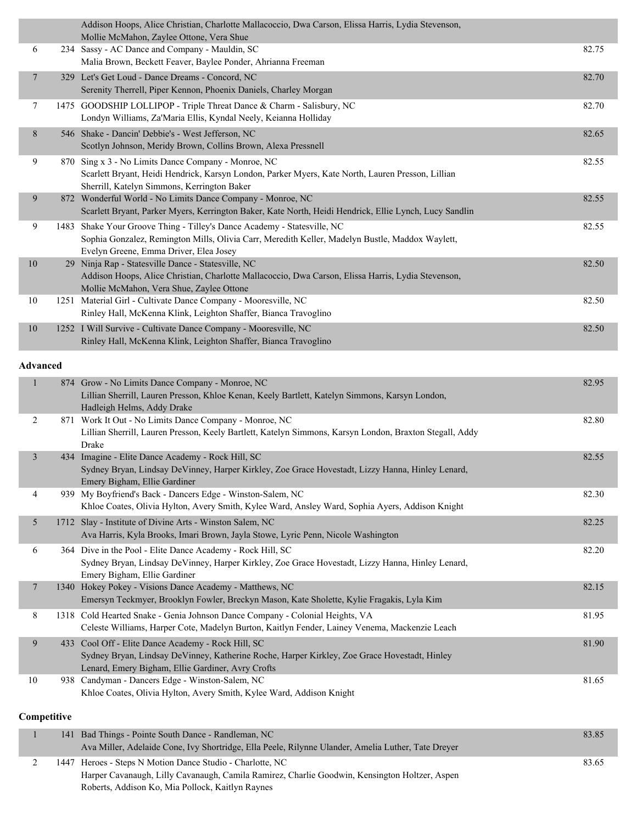|    |      | Addison Hoops, Alice Christian, Charlotte Mallacoccio, Dwa Carson, Elissa Harris, Lydia Stevenson,<br>Mollie McMahon, Zaylee Ottone, Vera Shue                                                                  |       |
|----|------|-----------------------------------------------------------------------------------------------------------------------------------------------------------------------------------------------------------------|-------|
| 6  |      | 234 Sassy - AC Dance and Company - Mauldin, SC<br>Malia Brown, Beckett Feaver, Baylee Ponder, Ahrianna Freeman                                                                                                  | 82.75 |
| 7  |      | 329 Let's Get Loud - Dance Dreams - Concord, NC<br>Serenity Therrell, Piper Kennon, Phoenix Daniels, Charley Morgan                                                                                             | 82.70 |
| 7  |      | 1475 GOODSHIP LOLLIPOP - Triple Threat Dance & Charm - Salisbury, NC<br>Londyn Williams, Za'Maria Ellis, Kyndal Neely, Keianna Holliday                                                                         | 82.70 |
| 8  |      | 546 Shake - Dancin' Debbie's - West Jefferson, NC<br>Scotlyn Johnson, Meridy Brown, Collins Brown, Alexa Pressnell                                                                                              | 82.65 |
| 9  |      | 870 Sing x 3 - No Limits Dance Company - Monroe, NC<br>Scarlett Bryant, Heidi Hendrick, Karsyn London, Parker Myers, Kate North, Lauren Presson, Lillian<br>Sherrill, Katelyn Simmons, Kerrington Baker         | 82.55 |
| 9  |      | 872 Wonderful World - No Limits Dance Company - Monroe, NC<br>Scarlett Bryant, Parker Myers, Kerrington Baker, Kate North, Heidi Hendrick, Ellie Lynch, Lucy Sandlin                                            | 82.55 |
| 9  | 1483 | Shake Your Groove Thing - Tilley's Dance Academy - Statesville, NC<br>Sophia Gonzalez, Remington Mills, Olivia Carr, Meredith Keller, Madelyn Bustle, Maddox Waylett,<br>Evelyn Greene, Emma Driver, Elea Josey | 82.55 |
| 10 | 29   | Ninja Rap - Statesville Dance - Statesville, NC<br>Addison Hoops, Alice Christian, Charlotte Mallacoccio, Dwa Carson, Elissa Harris, Lydia Stevenson,<br>Mollie McMahon, Vera Shue, Zaylee Ottone               | 82.50 |
| 10 |      | 1251 Material Girl - Cultivate Dance Company - Mooresville, NC<br>Rinley Hall, McKenna Klink, Leighton Shaffer, Bianca Travoglino                                                                               | 82.50 |
| 10 |      | 1252 I Will Survive - Cultivate Dance Company - Mooresville, NC<br>Rinley Hall, McKenna Klink, Leighton Shaffer, Bianca Travoglino                                                                              | 82.50 |
|    |      |                                                                                                                                                                                                                 |       |

### **Advanced**

|                |     | Hadleigh Helms, Addy Drake                                                                                                                                        |       |
|----------------|-----|-------------------------------------------------------------------------------------------------------------------------------------------------------------------|-------|
| $\overline{2}$ |     | 871 Work It Out - No Limits Dance Company - Monroe, NC<br>Lillian Sherrill, Lauren Presson, Keely Bartlett, Katelyn Simmons, Karsyn London, Braxton Stegall, Addy | 82.80 |
|                |     | Drake                                                                                                                                                             |       |
| $\overline{3}$ |     | 434 Imagine - Elite Dance Academy - Rock Hill, SC                                                                                                                 | 82.55 |
|                |     | Sydney Bryan, Lindsay DeVinney, Harper Kirkley, Zoe Grace Hovestadt, Lizzy Hanna, Hinley Lenard,<br>Emery Bigham, Ellie Gardiner                                  |       |
| 4              | 939 | My Boyfriend's Back - Dancers Edge - Winston-Salem, NC                                                                                                            | 82.30 |
|                |     | Khloe Coates, Olivia Hylton, Avery Smith, Kylee Ward, Ansley Ward, Sophia Ayers, Addison Knight                                                                   |       |
| 5              |     | 1712 Slay - Institute of Divine Arts - Winston Salem, NC                                                                                                          | 82.25 |
|                |     | Ava Harris, Kyla Brooks, Imari Brown, Jayla Stowe, Lyric Penn, Nicole Washington                                                                                  |       |
| 6              |     | 364 Dive in the Pool - Elite Dance Academy - Rock Hill, SC                                                                                                        | 82.20 |
|                |     | Sydney Bryan, Lindsay DeVinney, Harper Kirkley, Zoe Grace Hovestadt, Lizzy Hanna, Hinley Lenard,<br>Emery Bigham, Ellie Gardiner                                  |       |
| $\overline{7}$ |     | 1340 Hokey Pokey - Visions Dance Academy - Matthews, NC                                                                                                           | 82.15 |
|                |     | Emersyn Teckmyer, Brooklyn Fowler, Breckyn Mason, Kate Sholette, Kylie Fragakis, Lyla Kim                                                                         |       |
| 8              |     | 1318 Cold Hearted Snake - Genia Johnson Dance Company - Colonial Heights, VA                                                                                      | 81.95 |
|                |     | Celeste Williams, Harper Cote, Madelyn Burton, Kaitlyn Fender, Lainey Venema, Mackenzie Leach                                                                     |       |
| 9              |     | 433 Cool Off - Elite Dance Academy - Rock Hill, SC                                                                                                                | 81.90 |
|                |     | Sydney Bryan, Lindsay DeVinney, Katherine Roche, Harper Kirkley, Zoe Grace Hovestadt, Hinley                                                                      |       |
|                |     | Lenard, Emery Bigham, Ellie Gardiner, Avry Crofts                                                                                                                 |       |
| 10             |     | 938 Candyman - Dancers Edge - Winston-Salem, NC                                                                                                                   | 81.65 |
|                |     | Khloe Coates, Olivia Hylton, Avery Smith, Kylee Ward, Addison Knight                                                                                              |       |
| Competitive    |     |                                                                                                                                                                   |       |
|                |     |                                                                                                                                                                   |       |

### 1 141 Bad Things - Pointe South Dance - Randleman, NC 83.85 Ava Miller, Adelaide Cone, Ivy Shortridge, Ella Peele, Rilynne Ulander, Amelia Luther, Tate Dreyer 2 1447 Heroes - Steps N Motion Dance Studio - Charlotte, NC 83.65 Harper Cavanaugh, Lilly Cavanaugh, Camila Ramirez, Charlie Goodwin, Kensington Holtzer, Aspen Roberts, Addison Ko, Mia Pollock, Kaitlyn Raynes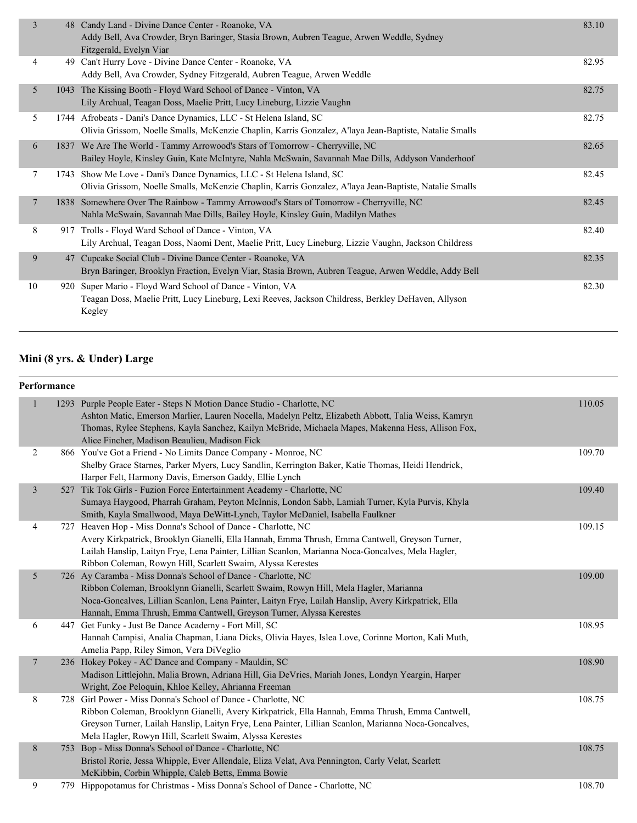| 3  | 48   | Candy Land - Divine Dance Center - Roanoke, VA<br>Addy Bell, Ava Crowder, Bryn Baringer, Stasia Brown, Aubren Teague, Arwen Weddle, Sydney<br>Fitzgerald, Evelyn Viar            | 83.10 |
|----|------|----------------------------------------------------------------------------------------------------------------------------------------------------------------------------------|-------|
| 4  |      | 49 Can't Hurry Love - Divine Dance Center - Roanoke, VA<br>Addy Bell, Ava Crowder, Sydney Fitzgerald, Aubren Teague, Arwen Weddle                                                | 82.95 |
| 5  |      | 1043 The Kissing Booth - Floyd Ward School of Dance - Vinton, VA<br>Lily Archual, Teagan Doss, Maelie Pritt, Lucy Lineburg, Lizzie Vaughn                                        | 82.75 |
| 5  |      | 1744 Afrobeats - Dani's Dance Dynamics, LLC - St Helena Island, SC<br>Olivia Grissom, Noelle Smalls, McKenzie Chaplin, Karris Gonzalez, A'laya Jean-Baptiste, Natalie Smalls     | 82.75 |
| 6  |      | 1837 We Are The World - Tammy Arrowood's Stars of Tomorrow - Cherryville, NC<br>Bailey Hoyle, Kinsley Guin, Kate McIntyre, Nahla McSwain, Savannah Mae Dills, Addyson Vanderhoof | 82.65 |
| 7  | 1743 | Show Me Love - Dani's Dance Dynamics, LLC - St Helena Island, SC<br>Olivia Grissom, Noelle Smalls, McKenzie Chaplin, Karris Gonzalez, A'laya Jean-Baptiste, Natalie Smalls       | 82.45 |
| 7  |      | 1838 Somewhere Over The Rainbow - Tammy Arrowood's Stars of Tomorrow - Cherryville, NC<br>Nahla McSwain, Savannah Mae Dills, Bailey Hoyle, Kinsley Guin, Madilyn Mathes          | 82.45 |
| 8  | 917  | Trolls - Floyd Ward School of Dance - Vinton, VA<br>Lily Archual, Teagan Doss, Naomi Dent, Maelie Pritt, Lucy Lineburg, Lizzie Vaughn, Jackson Childress                         | 82.40 |
| 9  | 47   | Cupcake Social Club - Divine Dance Center - Roanoke, VA<br>Bryn Baringer, Brooklyn Fraction, Evelyn Viar, Stasia Brown, Aubren Teague, Arwen Weddle, Addy Bell                   | 82.35 |
| 10 |      | 920 Super Mario - Floyd Ward School of Dance - Vinton, VA<br>Teagan Doss, Maelie Pritt, Lucy Lineburg, Lexi Reeves, Jackson Childress, Berkley DeHaven, Allyson<br>Kegley        | 82.30 |
|    |      |                                                                                                                                                                                  |       |

# **Mini (8 yrs. & Under) Large**

## **Performance**

|  |                |      | 1293 Purple People Eater - Steps N Motion Dance Studio - Charlotte, NC<br>Ashton Matic, Emerson Marlier, Lauren Nocella, Madelyn Peltz, Elizabeth Abbott, Talia Weiss, Kamryn | 110.05 |
|--|----------------|------|-------------------------------------------------------------------------------------------------------------------------------------------------------------------------------|--------|
|  |                |      | Thomas, Rylee Stephens, Kayla Sanchez, Kailyn McBride, Michaela Mapes, Makenna Hess, Allison Fox,<br>Alice Fincher, Madison Beaulieu, Madison Fick                            |        |
|  | 2              |      | 866 You've Got a Friend - No Limits Dance Company - Monroe, NC                                                                                                                | 109.70 |
|  |                |      | Shelby Grace Starnes, Parker Myers, Lucy Sandlin, Kerrington Baker, Katie Thomas, Heidi Hendrick,                                                                             |        |
|  |                |      | Harper Felt, Harmony Davis, Emerson Gaddy, Ellie Lynch                                                                                                                        |        |
|  | $\overline{3}$ |      | 527 Tik Tok Girls - Fuzion Force Entertainment Academy - Charlotte, NC                                                                                                        | 109.40 |
|  |                |      | Sumaya Haygood, Pharrah Graham, Peyton McInnis, London Sabb, Lamiah Turner, Kyla Purvis, Khyla                                                                                |        |
|  |                |      | Smith, Kayla Smallwood, Maya DeWitt-Lynch, Taylor McDaniel, Isabella Faulkner                                                                                                 |        |
|  | 4              | 727. | Heaven Hop - Miss Donna's School of Dance - Charlotte, NC                                                                                                                     | 109.15 |
|  |                |      | Avery Kirkpatrick, Brooklyn Gianelli, Ella Hannah, Emma Thrush, Emma Cantwell, Greyson Turner,                                                                                |        |
|  |                |      | Lailah Hanslip, Laityn Frye, Lena Painter, Lillian Scanlon, Marianna Noca-Goncalves, Mela Hagler,                                                                             |        |
|  |                |      | Ribbon Coleman, Rowyn Hill, Scarlett Swaim, Alyssa Kerestes                                                                                                                   |        |
|  | 5              |      | 726 Ay Caramba - Miss Donna's School of Dance - Charlotte, NC                                                                                                                 | 109.00 |
|  |                |      | Ribbon Coleman, Brooklynn Gianelli, Scarlett Swaim, Rowyn Hill, Mela Hagler, Marianna                                                                                         |        |
|  |                |      | Noca-Goncalves, Lillian Scanlon, Lena Painter, Laityn Frye, Lailah Hanslip, Avery Kirkpatrick, Ella                                                                           |        |
|  |                |      | Hannah, Emma Thrush, Emma Cantwell, Greyson Turner, Alyssa Kerestes                                                                                                           |        |
|  | 6              |      | 447 Get Funky - Just Be Dance Academy - Fort Mill, SC                                                                                                                         | 108.95 |
|  |                |      | Hannah Campisi, Analia Chapman, Liana Dicks, Olivia Hayes, Islea Love, Corinne Morton, Kali Muth,                                                                             |        |
|  |                |      | Amelia Papp, Riley Simon, Vera DiVeglio                                                                                                                                       |        |
|  | $\overline{7}$ |      | 236 Hokey Pokey - AC Dance and Company - Mauldin, SC                                                                                                                          | 108.90 |
|  |                |      | Madison Littlejohn, Malia Brown, Adriana Hill, Gia DeVries, Mariah Jones, Londyn Yeargin, Harper                                                                              |        |
|  |                |      | Wright, Zoe Peloquin, Khloe Kelley, Ahrianna Freeman                                                                                                                          |        |
|  | 8              |      | 728 Girl Power - Miss Donna's School of Dance - Charlotte, NC                                                                                                                 | 108.75 |
|  |                |      | Ribbon Coleman, Brooklynn Gianelli, Avery Kirkpatrick, Ella Hannah, Emma Thrush, Emma Cantwell,                                                                               |        |
|  |                |      | Greyson Turner, Lailah Hanslip, Laityn Frye, Lena Painter, Lillian Scanlon, Marianna Noca-Goncalves,                                                                          |        |
|  |                |      | Mela Hagler, Rowyn Hill, Scarlett Swaim, Alyssa Kerestes                                                                                                                      |        |
|  | 8              | 753  | Bop - Miss Donna's School of Dance - Charlotte, NC                                                                                                                            | 108.75 |
|  |                |      | Bristol Rorie, Jessa Whipple, Ever Allendale, Eliza Velat, Ava Pennington, Carly Velat, Scarlett                                                                              |        |
|  |                |      | McKibbin, Corbin Whipple, Caleb Betts, Emma Bowie                                                                                                                             |        |
|  | 9              |      | 779 Hippopotamus for Christmas - Miss Donna's School of Dance - Charlotte, NC                                                                                                 | 108.70 |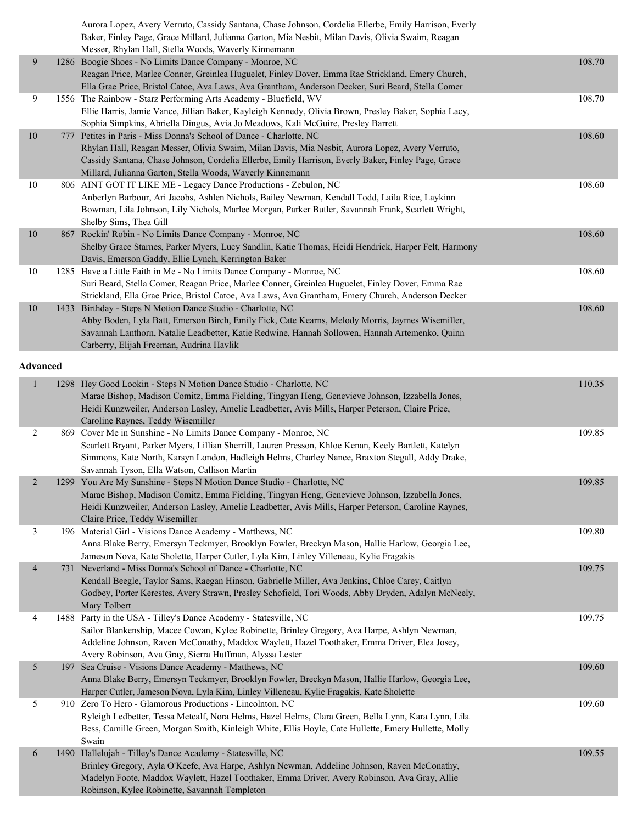|                 | Aurora Lopez, Avery Verruto, Cassidy Santana, Chase Johnson, Cordelia Ellerbe, Emily Harrison, Everly                                                              |        |
|-----------------|--------------------------------------------------------------------------------------------------------------------------------------------------------------------|--------|
|                 | Baker, Finley Page, Grace Millard, Julianna Garton, Mia Nesbit, Milan Davis, Olivia Swaim, Reagan<br>Messer, Rhylan Hall, Stella Woods, Waverly Kinnemann          |        |
| 9               | 1286 Boogie Shoes - No Limits Dance Company - Monroe, NC                                                                                                           | 108.70 |
|                 | Reagan Price, Marlee Conner, Greinlea Huguelet, Finley Dover, Emma Rae Strickland, Emery Church,                                                                   |        |
|                 | Ella Grae Price, Bristol Catoe, Ava Laws, Ava Grantham, Anderson Decker, Suri Beard, Stella Comer                                                                  |        |
| 9               | 1556 The Rainbow - Starz Performing Arts Academy - Bluefield, WV                                                                                                   | 108.70 |
|                 | Ellie Harris, Jamie Vance, Jillian Baker, Kayleigh Kennedy, Olivia Brown, Presley Baker, Sophia Lacy,                                                              |        |
|                 | Sophia Simpkins, Abriella Dingus, Avia Jo Meadows, Kali McGuire, Presley Barrett                                                                                   |        |
| 10              | 777 Petites in Paris - Miss Donna's School of Dance - Charlotte, NC                                                                                                | 108.60 |
|                 | Rhylan Hall, Reagan Messer, Olivia Swaim, Milan Davis, Mia Nesbit, Aurora Lopez, Avery Verruto,                                                                    |        |
|                 | Cassidy Santana, Chase Johnson, Cordelia Ellerbe, Emily Harrison, Everly Baker, Finley Page, Grace                                                                 |        |
|                 | Millard, Julianna Garton, Stella Woods, Waverly Kinnemann                                                                                                          |        |
| 10              | 806 AINT GOT IT LIKE ME - Legacy Dance Productions - Zebulon, NC<br>Anberlyn Barbour, Ari Jacobs, Ashlen Nichols, Bailey Newman, Kendall Todd, Laila Rice, Laykinn | 108.60 |
|                 | Bowman, Lila Johnson, Lily Nichols, Marlee Morgan, Parker Butler, Savannah Frank, Scarlett Wright,                                                                 |        |
|                 | Shelby Sims, Thea Gill                                                                                                                                             |        |
| 10              | 867 Rockin' Robin - No Limits Dance Company - Monroe, NC                                                                                                           | 108.60 |
|                 | Shelby Grace Starnes, Parker Myers, Lucy Sandlin, Katie Thomas, Heidi Hendrick, Harper Felt, Harmony                                                               |        |
|                 | Davis, Emerson Gaddy, Ellie Lynch, Kerrington Baker                                                                                                                |        |
| 10              | 1285 Have a Little Faith in Me - No Limits Dance Company - Monroe, NC                                                                                              | 108.60 |
|                 | Suri Beard, Stella Comer, Reagan Price, Marlee Conner, Greinlea Huguelet, Finley Dover, Emma Rae                                                                   |        |
|                 | Strickland, Ella Grae Price, Bristol Catoe, Ava Laws, Ava Grantham, Emery Church, Anderson Decker                                                                  |        |
| 10              | 1433 Birthday - Steps N Motion Dance Studio - Charlotte, NC                                                                                                        | 108.60 |
|                 | Abby Boden, Lyla Batt, Emerson Birch, Emily Fick, Cate Kearns, Melody Morris, Jaymes Wisemiller,                                                                   |        |
|                 | Savannah Lanthorn, Natalie Leadbetter, Katie Redwine, Hannah Sollowen, Hannah Artemenko, Quinn                                                                     |        |
|                 | Carberry, Elijah Freeman, Audrina Havlik                                                                                                                           |        |
| <b>Advanced</b> |                                                                                                                                                                    |        |
|                 | 1298 Hey Good Lookin - Steps N Motion Dance Studio - Charlotte, NC                                                                                                 | 110.35 |
|                 | Marae Bishop, Madison Comitz, Emma Fielding, Tingyan Heng, Genevieve Johnson, Izzabella Jones,                                                                     |        |
|                 | Heidi Kunzweiler, Anderson Lasley, Amelie Leadbetter, Avis Mills, Harper Peterson, Claire Price,                                                                   |        |
|                 | Caroline Raynes, Teddy Wisemiller                                                                                                                                  |        |
| $\overline{2}$  | 869 Cover Me in Sunshine - No Limits Dance Company - Monroe, NC                                                                                                    | 109.85 |
|                 | Scarlett Bryant, Parker Myers, Lillian Sherrill, Lauren Presson, Khloe Kenan, Keely Bartlett, Katelyn                                                              |        |
|                 | Simmons, Kate North, Karsyn London, Hadleigh Helms, Charley Nance, Braxton Stegall, Addy Drake,                                                                    |        |
|                 | Savannah Tyson, Ella Watson, Callison Martin                                                                                                                       |        |
| $\overline{2}$  | 1299 You Are My Sunshine - Steps N Motion Dance Studio - Charlotte, NC                                                                                             | 109.85 |
|                 | Marae Bishop, Madison Comitz, Emma Fielding, Tingyan Heng, Genevieve Johnson, Izzabella Jones,                                                                     |        |
|                 | Heidi Kunzweiler, Anderson Lasley, Amelie Leadbetter, Avis Mills, Harper Peterson, Caroline Raynes,                                                                |        |
|                 | Claire Price, Teddy Wisemiller<br>196 Material Girl - Visions Dance Academy - Matthews, NC                                                                         |        |
| 3               | Anna Blake Berry, Emersyn Teckmyer, Brooklyn Fowler, Breckyn Mason, Hallie Harlow, Georgia Lee,                                                                    | 109.80 |
|                 | Jameson Nova, Kate Sholette, Harper Cutler, Lyla Kim, Linley Villeneau, Kylie Fragakis                                                                             |        |
| $\overline{4}$  | 731 Neverland - Miss Donna's School of Dance - Charlotte, NC                                                                                                       | 109.75 |
|                 | Kendall Beegle, Taylor Sams, Raegan Hinson, Gabrielle Miller, Ava Jenkins, Chloe Carey, Caitlyn                                                                    |        |
|                 | Godbey, Porter Kerestes, Avery Strawn, Presley Schofield, Tori Woods, Abby Dryden, Adalyn McNeely,                                                                 |        |
|                 | Mary Tolbert                                                                                                                                                       |        |
| 4               | 1488 Party in the USA - Tilley's Dance Academy - Statesville, NC                                                                                                   | 109.75 |
|                 | Sailor Blankenship, Macee Cowan, Kylee Robinette, Brinley Gregory, Ava Harpe, Ashlyn Newman,                                                                       |        |
|                 | Addeline Johnson, Raven McConathy, Maddox Waylett, Hazel Toothaker, Emma Driver, Elea Josey,                                                                       |        |
|                 | Avery Robinson, Ava Gray, Sierra Huffman, Alyssa Lester                                                                                                            |        |
| 5               | 197 Sea Cruise - Visions Dance Academy - Matthews, NC                                                                                                              | 109.60 |
|                 | Anna Blake Berry, Emersyn Teckmyer, Brooklyn Fowler, Breckyn Mason, Hallie Harlow, Georgia Lee,                                                                    |        |
|                 | Harper Cutler, Jameson Nova, Lyla Kim, Linley Villeneau, Kylie Fragakis, Kate Sholette                                                                             |        |
| 5               | 910 Zero To Hero - Glamorous Productions - Lincolnton, NC                                                                                                          | 109.60 |
|                 | Ryleigh Ledbetter, Tessa Metcalf, Nora Helms, Hazel Helms, Clara Green, Bella Lynn, Kara Lynn, Lila                                                                |        |
|                 | Bess, Camille Green, Morgan Smith, Kinleigh White, Ellis Hoyle, Cate Hullette, Emery Hullette, Molly                                                               |        |
| 6               | Swain<br>1490 Hallelujah - Tilley's Dance Academy - Statesville, NC                                                                                                | 109.55 |
|                 | Brinley Gregory, Ayla O'Keefe, Ava Harpe, Ashlyn Newman, Addeline Johnson, Raven McConathy,                                                                        |        |
|                 | Madelyn Foote, Maddox Waylett, Hazel Toothaker, Emma Driver, Avery Robinson, Ava Gray, Allie                                                                       |        |
|                 | Robinson, Kylee Robinette, Savannah Templeton                                                                                                                      |        |
|                 |                                                                                                                                                                    |        |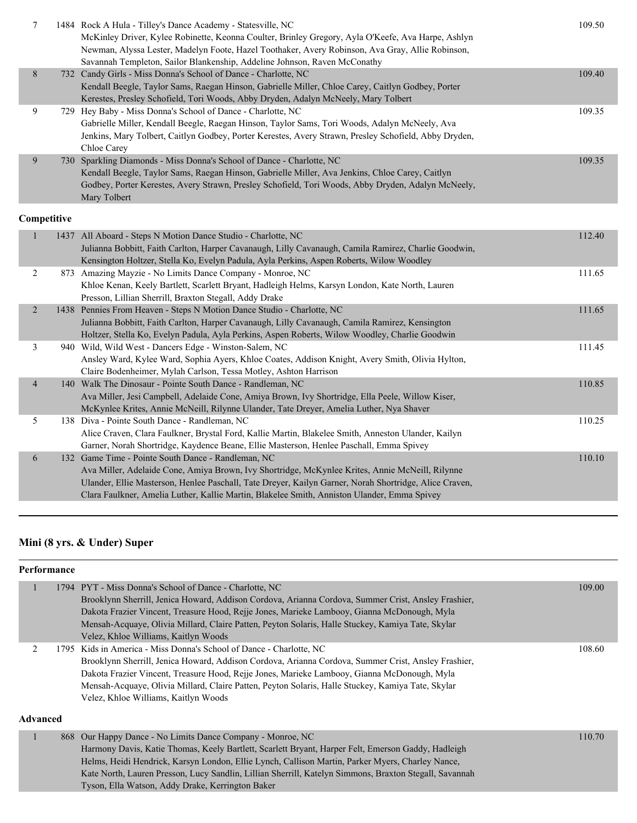|   | 1484 Rock A Hula - Tilley's Dance Academy - Statesville, NC<br>McKinley Driver, Kylee Robinette, Keonna Coulter, Brinley Gregory, Ayla O'Keefe, Ava Harpe, Ashlyn<br>Newman, Alyssa Lester, Madelyn Foote, Hazel Toothaker, Avery Robinson, Ava Gray, Allie Robinson,<br>Savannah Templeton, Sailor Blankenship, Addeline Johnson, Raven McConathy                         | 109.50 |
|---|----------------------------------------------------------------------------------------------------------------------------------------------------------------------------------------------------------------------------------------------------------------------------------------------------------------------------------------------------------------------------|--------|
| 8 | 732 Candy Girls - Miss Donna's School of Dance - Charlotte, NC<br>Kendall Beegle, Taylor Sams, Raegan Hinson, Gabrielle Miller, Chloe Carey, Caitlyn Godbey, Porter                                                                                                                                                                                                        | 109.40 |
| 9 | Kerestes, Presley Schofield, Tori Woods, Abby Dryden, Adalyn McNeely, Mary Tolbert<br>729 Hey Baby - Miss Donna's School of Dance - Charlotte, NC<br>Gabrielle Miller, Kendall Beegle, Raegan Hinson, Taylor Sams, Tori Woods, Adalyn McNeely, Ava<br>Jenkins, Mary Tolbert, Caitlyn Godbey, Porter Kerestes, Avery Strawn, Presley Schofield, Abby Dryden,<br>Chloe Carey | 109.35 |
| 9 | 730 Sparkling Diamonds - Miss Donna's School of Dance - Charlotte, NC<br>Kendall Beegle, Taylor Sams, Raegan Hinson, Gabrielle Miller, Ava Jenkins, Chloe Carey, Caitlyn<br>Godbey, Porter Kerestes, Avery Strawn, Presley Schofield, Tori Woods, Abby Dryden, Adalyn McNeely,<br>Mary Tolbert                                                                             | 109.35 |

|                |     | 1437 All Aboard - Steps N Motion Dance Studio - Charlotte, NC                                          | 112.40 |
|----------------|-----|--------------------------------------------------------------------------------------------------------|--------|
|                |     | Julianna Bobbitt, Faith Carlton, Harper Cavanaugh, Lilly Cavanaugh, Camila Ramirez, Charlie Goodwin,   |        |
|                |     | Kensington Holtzer, Stella Ko, Evelyn Padula, Ayla Perkins, Aspen Roberts, Wilow Woodley               |        |
| 2              |     | 873 Amazing Mayzie - No Limits Dance Company - Monroe, NC                                              | 111.65 |
|                |     | Khloe Kenan, Keely Bartlett, Scarlett Bryant, Hadleigh Helms, Karsyn London, Kate North, Lauren        |        |
|                |     | Presson, Lillian Sherrill, Braxton Stegall, Addy Drake                                                 |        |
| 2              |     | 1438 Pennies From Heaven - Steps N Motion Dance Studio - Charlotte, NC                                 | 111.65 |
|                |     | Julianna Bobbitt, Faith Carlton, Harper Cavanaugh, Lilly Cavanaugh, Camila Ramirez, Kensington         |        |
|                |     | Holtzer, Stella Ko, Evelyn Padula, Ayla Perkins, Aspen Roberts, Wilow Woodley, Charlie Goodwin         |        |
| 3              |     | 940 Wild, Wild West - Dancers Edge - Winston-Salem, NC                                                 | 111.45 |
|                |     | Ansley Ward, Kylee Ward, Sophia Ayers, Khloe Coates, Addison Knight, Avery Smith, Olivia Hylton,       |        |
|                |     | Claire Bodenheimer, Mylah Carlson, Tessa Motley, Ashton Harrison                                       |        |
| $\overline{4}$ |     | 140 Walk The Dinosaur - Pointe South Dance - Randleman, NC                                             | 110.85 |
|                |     | Ava Miller, Jesi Campbell, Adelaide Cone, Amiya Brown, Ivy Shortridge, Ella Peele, Willow Kiser,       |        |
|                |     | McKynlee Krites, Annie McNeill, Rilynne Ulander, Tate Dreyer, Amelia Luther, Nya Shaver                |        |
| 5.             |     | 138 Diva - Pointe South Dance - Randleman, NC                                                          | 110.25 |
|                |     | Alice Craven, Clara Faulkner, Brystal Ford, Kallie Martin, Blakelee Smith, Anneston Ulander, Kailyn    |        |
|                |     | Garner, Norah Shortridge, Kaydence Beane, Ellie Masterson, Henlee Paschall, Emma Spivey                |        |
| 6              | 132 | Game Time - Pointe South Dance - Randleman, NC                                                         | 110.10 |
|                |     | Ava Miller, Adelaide Cone, Amiya Brown, Ivy Shortridge, McKynlee Krites, Annie McNeill, Rilynne        |        |
|                |     | Ulander, Ellie Masterson, Henlee Paschall, Tate Dreyer, Kailyn Garner, Norah Shortridge, Alice Craven, |        |
|                |     | Clara Faulkner, Amelia Luther, Kallie Martin, Blakelee Smith, Anniston Ulander, Emma Spivey            |        |
|                |     |                                                                                                        |        |

## **Mini (8 yrs. & Under) Super**

Tyson, Ella Watson, Addy Drake, Kerrington Baker

### **Performance**

|                 | 1794 PYT - Miss Donna's School of Dance - Charlotte, NC                                                | 109.00 |
|-----------------|--------------------------------------------------------------------------------------------------------|--------|
|                 | Brooklynn Sherrill, Jenica Howard, Addison Cordova, Arianna Cordova, Summer Crist, Ansley Frashier,    |        |
|                 | Dakota Frazier Vincent, Treasure Hood, Rejje Jones, Marieke Lambooy, Gianna McDonough, Myla            |        |
|                 | Mensah-Acquaye, Olivia Millard, Claire Patten, Peyton Solaris, Halle Stuckey, Kamiya Tate, Skylar      |        |
|                 | Velez, Khloe Williams, Kaitlyn Woods                                                                   |        |
| $\mathfrak{D}$  | 1795 Kids in America - Miss Donna's School of Dance - Charlotte, NC                                    | 108.60 |
|                 | Brooklynn Sherrill, Jenica Howard, Addison Cordova, Arianna Cordova, Summer Crist, Ansley Frashier,    |        |
|                 | Dakota Frazier Vincent, Treasure Hood, Rejje Jones, Marieke Lambooy, Gianna McDonough, Myla            |        |
|                 | Mensah-Acquaye, Olivia Millard, Claire Patten, Peyton Solaris, Halle Stuckey, Kamiya Tate, Skylar      |        |
|                 | Velez, Khloe Williams, Kaitlyn Woods                                                                   |        |
|                 |                                                                                                        |        |
| <b>Advanced</b> |                                                                                                        |        |
|                 | 868 Our Happy Dance - No Limits Dance Company - Monroe, NC                                             | 110.70 |
|                 | Harmony Davis, Katie Thomas, Keely Bartlett, Scarlett Bryant, Harper Felt, Emerson Gaddy, Hadleigh     |        |
|                 | Helms, Heidi Hendrick, Karsyn London, Ellie Lynch, Callison Martin, Parker Myers, Charley Nance,       |        |
|                 | Kate North, Lauren Presson, Lucy Sandlin, Lillian Sherrill, Katelyn Simmons, Braxton Stegall, Savannah |        |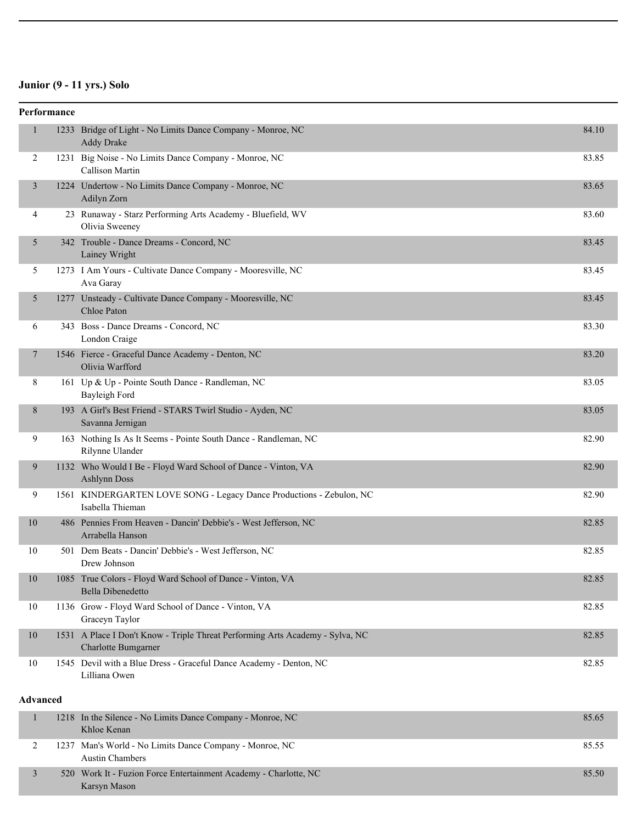## **Junior (9 - 11 yrs.) Solo**

Karsyn Mason

|                 | Performance |                                                                                                      |       |
|-----------------|-------------|------------------------------------------------------------------------------------------------------|-------|
| $\mathbf{1}$    |             | 1233 Bridge of Light - No Limits Dance Company - Monroe, NC<br><b>Addy Drake</b>                     | 84.10 |
| 2               |             | 1231 Big Noise - No Limits Dance Company - Monroe, NC<br>Callison Martin                             | 83.85 |
| 3               |             | 1224 Undertow - No Limits Dance Company - Monroe, NC<br>Adilyn Zorn                                  | 83.65 |
| 4               |             | 23 Runaway - Starz Performing Arts Academy - Bluefield, WV<br>Olivia Sweeney                         | 83.60 |
| 5               |             | 342 Trouble - Dance Dreams - Concord, NC<br>Lainey Wright                                            | 83.45 |
| 5               |             | 1273 I Am Yours - Cultivate Dance Company - Mooresville, NC<br>Ava Garay                             | 83.45 |
| 5               |             | 1277 Unsteady - Cultivate Dance Company - Mooresville, NC<br>Chloe Paton                             | 83.45 |
| 6               |             | 343 Boss - Dance Dreams - Concord, NC<br>London Craige                                               | 83.30 |
| 7               |             | 1546 Fierce - Graceful Dance Academy - Denton, NC<br>Olivia Warfford                                 | 83.20 |
| 8               |             | 161 Up & Up - Pointe South Dance - Randleman, NC<br>Bayleigh Ford                                    | 83.05 |
| 8               |             | 193 A Girl's Best Friend - STARS Twirl Studio - Ayden, NC<br>Savanna Jernigan                        | 83.05 |
| 9               |             | 163 Nothing Is As It Seems - Pointe South Dance - Randleman, NC<br>Rilynne Ulander                   | 82.90 |
| 9               |             | 1132 Who Would I Be - Floyd Ward School of Dance - Vinton, VA<br><b>Ashlynn Doss</b>                 | 82.90 |
| 9               |             | 1561 KINDERGARTEN LOVE SONG - Legacy Dance Productions - Zebulon, NC<br>Isabella Thieman             | 82.90 |
| 10              |             | 486 Pennies From Heaven - Dancin' Debbie's - West Jefferson, NC<br>Arrabella Hanson                  | 82.85 |
| 10              |             | 501 Dem Beats - Dancin' Debbie's - West Jefferson, NC<br>Drew Johnson                                | 82.85 |
| 10              |             | 1085 True Colors - Floyd Ward School of Dance - Vinton, VA<br><b>Bella Dibenedetto</b>               | 82.85 |
| 10              |             | 1136 Grow - Floyd Ward School of Dance - Vinton, VA<br>Graceyn Taylor                                | 82.85 |
| 10              |             | 1531 A Place I Don't Know - Triple Threat Performing Arts Academy - Sylva, NC<br>Charlotte Bumgarner | 82.85 |
| 10              |             | 1545 Devil with a Blue Dress - Graceful Dance Academy - Denton, NC<br>Lilliana Owen                  | 82.85 |
| <b>Advanced</b> |             |                                                                                                      |       |
|                 |             | 1218 In the Silence - No Limits Dance Company - Monroe, NC<br>Khloe Kenan                            | 85.65 |
| 2               |             | 1237 Man's World - No Limits Dance Company - Monroe, NC<br><b>Austin Chambers</b>                    | 85.55 |
| 3               |             | 520 Work It - Fuzion Force Entertainment Academy - Charlotte, NC                                     | 85.50 |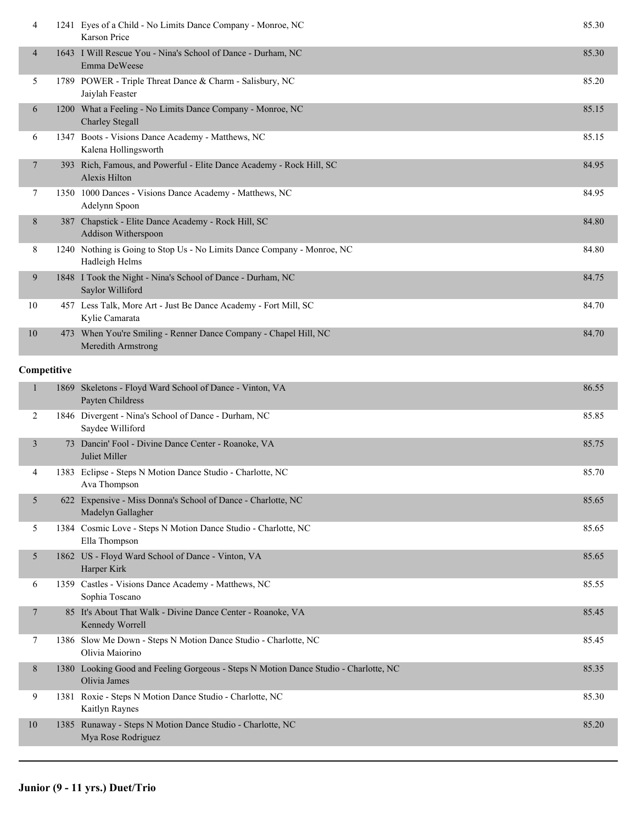| 4              |     | 1241 Eyes of a Child - No Limits Dance Company - Monroe, NC<br>Karson Price               | 85.30 |
|----------------|-----|-------------------------------------------------------------------------------------------|-------|
| 4              |     | 1643 I Will Rescue You - Nina's School of Dance - Durham, NC<br>Emma DeWeese              | 85.30 |
| 5.             |     | 1789 POWER - Triple Threat Dance & Charm - Salisbury, NC<br>Jaiylah Feaster               | 85.20 |
| 6              |     | 1200 What a Feeling - No Limits Dance Company - Monroe, NC<br><b>Charley Stegall</b>      | 85.15 |
| 6              |     | 1347 Boots - Visions Dance Academy - Matthews, NC<br>Kalena Hollingsworth                 | 85.15 |
| $\overline{7}$ |     | 393 Rich, Famous, and Powerful - Elite Dance Academy - Rock Hill, SC<br>Alexis Hilton     | 84.95 |
| 7              |     | 1350 1000 Dances - Visions Dance Academy - Matthews, NC<br>Adelynn Spoon                  | 84.95 |
| 8              | 387 | Chapstick - Elite Dance Academy - Rock Hill, SC<br>Addison Witherspoon                    | 84.80 |
| 8              |     | 1240 Nothing is Going to Stop Us - No Limits Dance Company - Monroe, NC<br>Hadleigh Helms | 84.80 |
| 9              |     | 1848 I Took the Night - Nina's School of Dance - Durham, NC<br>Saylor Williford           | 84.75 |
| 10             |     | 457 Less Talk, More Art - Just Be Dance Academy - Fort Mill, SC<br>Kylie Camarata         | 84.70 |
| 10             |     | 473 When You're Smiling - Renner Dance Company - Chapel Hill, NC<br>Meredith Armstrong    | 84.70 |
| Competitive    |     |                                                                                           |       |

| 1              |      | 1869 Skeletons - Floyd Ward School of Dance - Vinton, VA<br>Payten Childress                         | 86.55 |
|----------------|------|------------------------------------------------------------------------------------------------------|-------|
| 2              |      | 1846 Divergent - Nina's School of Dance - Durham, NC<br>Saydee Williford                             | 85.85 |
| $\overline{3}$ |      | 73 Dancin' Fool - Divine Dance Center - Roanoke, VA<br>Juliet Miller                                 | 85.75 |
| 4              |      | 1383 Eclipse - Steps N Motion Dance Studio - Charlotte, NC<br>Ava Thompson                           | 85.70 |
| 5              |      | 622 Expensive - Miss Donna's School of Dance - Charlotte, NC<br>Madelyn Gallagher                    | 85.65 |
| 5              |      | 1384 Cosmic Love - Steps N Motion Dance Studio - Charlotte, NC<br>Ella Thompson                      | 85.65 |
| 5              |      | 1862 US - Floyd Ward School of Dance - Vinton, VA<br>Harper Kirk                                     | 85.65 |
| 6              |      | 1359 Castles - Visions Dance Academy - Matthews, NC<br>Sophia Toscano                                | 85.55 |
| 7              |      | 85 It's About That Walk - Divine Dance Center - Roanoke, VA<br>Kennedy Worrell                       | 85.45 |
| 7              |      | 1386 Slow Me Down - Steps N Motion Dance Studio - Charlotte, NC<br>Olivia Maiorino                   | 85.45 |
| 8              |      | 1380 Looking Good and Feeling Gorgeous - Steps N Motion Dance Studio - Charlotte, NC<br>Olivia James | 85.35 |
| 9              |      | 1381 Roxie - Steps N Motion Dance Studio - Charlotte, NC<br>Kaitlyn Raynes                           | 85.30 |
| 10             | 1385 | Runaway - Steps N Motion Dance Studio - Charlotte, NC<br>Mya Rose Rodriguez                          | 85.20 |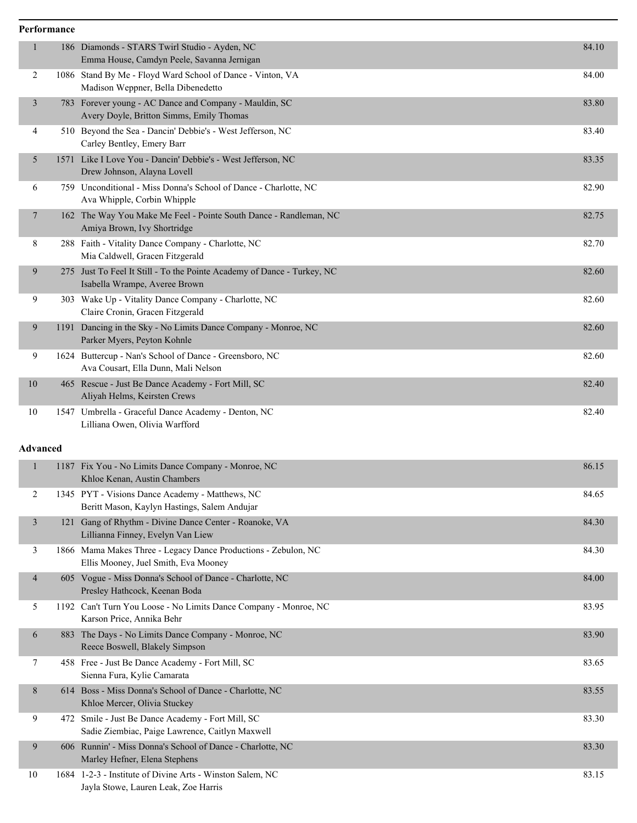## **Performance** 1 186 Diamonds - STARS Twirl Studio - Ayden, NC 84.10 Emma House, Camdyn Peele, Savanna Jernigan 2 1086 Stand By Me - Floyd Ward School of Dance - Vinton, VA 84.00 Madison Weppner, Bella Dibenedetto 3 783 Forever young - AC Dance and Company - Mauldin, SC 83.80 Avery Doyle, Britton Simms, Emily Thomas 4 510 Beyond the Sea - Dancin' Debbie's - West Jefferson, NC 83.40 Carley Bentley, Emery Barr 5 1571 Like I Love You - Dancin' Debbie's - West Jefferson, NC 83.35 Drew Johnson, Alayna Lovell 6 759 Unconditional - Miss Donna's School of Dance - Charlotte, NC 82.90 Ava Whipple, Corbin Whipple 7 162 The Way You Make Me Feel - Pointe South Dance - Randleman, NC 82.75 Amiya Brown, Ivy Shortridge 8 288 Faith - Vitality Dance Company - Charlotte, NC 82.70 Mia Caldwell, Gracen Fitzgerald 9 275 Just To Feel It Still - To the Pointe Academy of Dance - Turkey, NC 82.60 Isabella Wrampe, Averee Brown 9 303 Wake Up - Vitality Dance Company - Charlotte, NC 82.60 Claire Cronin, Gracen Fitzgerald 9 1191 Dancing in the Sky - No Limits Dance Company - Monroe, NC 82.60 Parker Myers, Peyton Kohnle 9 1624 Buttercup - Nan's School of Dance - Greensboro, NC 82.60 Ava Cousart, Ella Dunn, Mali Nelson 10 465 Rescue - Just Be Dance Academy - Fort Mill, SC 82.40 Aliyah Helms, Keirsten Crews 10 1547 Umbrella - Graceful Dance Academy - Denton, NC 82.40 Lilliana Owen, Olivia Warfford

### **Advanced**

|                |      | 1187 Fix You - No Limits Dance Company - Monroe, NC<br>Khloe Kenan, Austin Chambers                    | 86.15 |
|----------------|------|--------------------------------------------------------------------------------------------------------|-------|
| 2              |      | 1345 PYT - Visions Dance Academy - Matthews, NC<br>Beritt Mason, Kaylyn Hastings, Salem Andujar        | 84.65 |
| 3              | 121  | Gang of Rhythm - Divine Dance Center - Roanoke, VA<br>Lillianna Finney, Evelyn Van Liew                | 84.30 |
| 3              |      | 1866 Mama Makes Three - Legacy Dance Productions - Zebulon, NC<br>Ellis Mooney, Juel Smith, Eva Mooney | 84.30 |
| $\overline{4}$ |      | 605 Vogue - Miss Donna's School of Dance - Charlotte, NC<br>Presley Hathcock, Keenan Boda              | 84.00 |
| 5              | 1192 | Can't Turn You Loose - No Limits Dance Company - Monroe, NC<br>Karson Price, Annika Behr               | 83.95 |
| 6              | 883  | The Days - No Limits Dance Company - Monroe, NC<br>Reece Boswell, Blakely Simpson                      | 83.90 |
| 7              |      | 458 Free - Just Be Dance Academy - Fort Mill, SC<br>Sienna Fura, Kylie Camarata                        | 83.65 |
| 8              |      | 614 Boss - Miss Donna's School of Dance - Charlotte, NC<br>Khloe Mercer, Olivia Stuckey                | 83.55 |
| 9              |      | 472 Smile - Just Be Dance Academy - Fort Mill, SC<br>Sadie Ziembiac, Paige Lawrence, Caitlyn Maxwell   | 83.30 |
| 9              |      | 606 Runnin' - Miss Donna's School of Dance - Charlotte, NC<br>Marley Hefner, Elena Stephens            | 83.30 |
| 10             |      | 1684 1-2-3 - Institute of Divine Arts - Winston Salem, NC<br>Jayla Stowe, Lauren Leak, Zoe Harris      | 83.15 |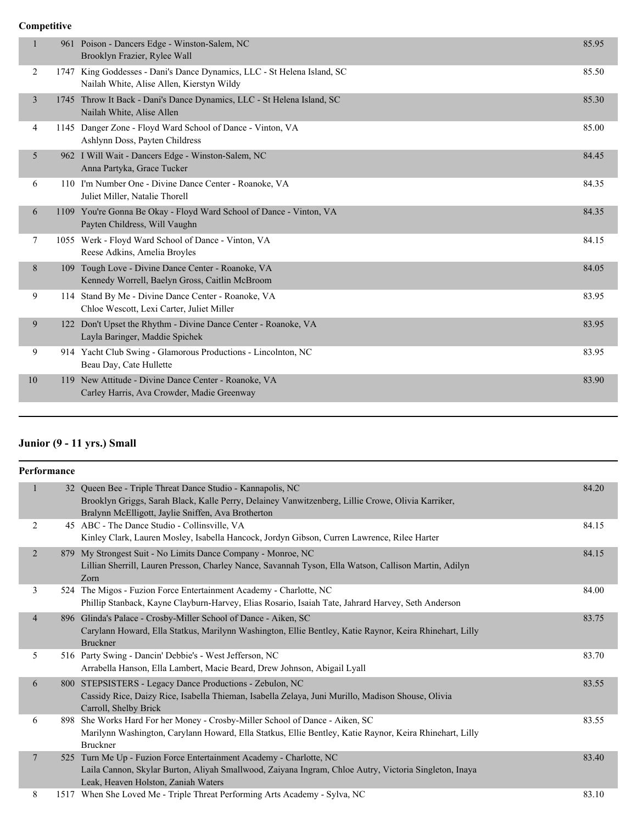| 1              |     | 961 Poison - Dancers Edge - Winston-Salem, NC<br>Brooklyn Frazier, Rylee Wall                                        | 85.95 |
|----------------|-----|----------------------------------------------------------------------------------------------------------------------|-------|
| 2              |     | 1747 King Goddesses - Dani's Dance Dynamics, LLC - St Helena Island, SC<br>Nailah White, Alise Allen, Kierstyn Wildy | 85.50 |
| $\mathfrak{Z}$ |     | 1745 Throw It Back - Dani's Dance Dynamics, LLC - St Helena Island, SC<br>Nailah White, Alise Allen                  | 85.30 |
| 4              |     | 1145 Danger Zone - Floyd Ward School of Dance - Vinton, VA<br>Ashlynn Doss, Payten Childress                         | 85.00 |
| 5              |     | 962 I Will Wait - Dancers Edge - Winston-Salem, NC<br>Anna Partyka, Grace Tucker                                     | 84.45 |
| 6              |     | 110 I'm Number One - Divine Dance Center - Roanoke, VA<br>Juliet Miller, Natalie Thorell                             | 84.35 |
| 6              |     | 1109 You're Gonna Be Okay - Floyd Ward School of Dance - Vinton, VA<br>Payten Childress, Will Vaughn                 | 84.35 |
| 7              |     | 1055 Werk - Floyd Ward School of Dance - Vinton, VA<br>Reese Adkins, Amelia Broyles                                  | 84.15 |
| 8              |     | 109 Tough Love - Divine Dance Center - Roanoke, VA<br>Kennedy Worrell, Baelyn Gross, Caitlin McBroom                 | 84.05 |
| 9              |     | 114 Stand By Me - Divine Dance Center - Roanoke, VA<br>Chloe Wescott, Lexi Carter, Juliet Miller                     | 83.95 |
| 9              | 122 | Don't Upset the Rhythm - Divine Dance Center - Roanoke, VA<br>Layla Baringer, Maddie Spichek                         | 83.95 |
| 9              |     | 914 Yacht Club Swing - Glamorous Productions - Lincolnton, NC<br>Beau Day, Cate Hullette                             | 83.95 |
| 10             |     | 119 New Attitude - Divine Dance Center - Roanoke, VA<br>Carley Harris, Ava Crowder, Madie Greenway                   | 83.90 |
|                |     |                                                                                                                      |       |

# **Junior (9 - 11 yrs.) Small**

| Performance    |     |                                                                                                                                                                                                                       |       |
|----------------|-----|-----------------------------------------------------------------------------------------------------------------------------------------------------------------------------------------------------------------------|-------|
| 1              |     | 32 Queen Bee - Triple Threat Dance Studio - Kannapolis, NC<br>Brooklyn Griggs, Sarah Black, Kalle Perry, Delainey Vanwitzenberg, Lillie Crowe, Olivia Karriker,<br>Bralynn McElligott, Jaylie Sniffen, Ava Brotherton | 84.20 |
| 2              |     | 45 ABC - The Dance Studio - Collinsville, VA<br>Kinley Clark, Lauren Mosley, Isabella Hancock, Jordyn Gibson, Curren Lawrence, Rilee Harter                                                                           | 84.15 |
| $\overline{2}$ |     | 879 My Strongest Suit - No Limits Dance Company - Monroe, NC<br>Lillian Sherrill, Lauren Presson, Charley Nance, Savannah Tyson, Ella Watson, Callison Martin, Adilyn<br>Zorn                                         | 84.15 |
| 3              |     | 524 The Migos - Fuzion Force Entertainment Academy - Charlotte, NC<br>Phillip Stanback, Kayne Clayburn-Harvey, Elias Rosario, Isaiah Tate, Jahrard Harvey, Seth Anderson                                              | 84.00 |
| $\overline{4}$ |     | 896 Glinda's Palace - Crosby-Miller School of Dance - Aiken, SC<br>Carylann Howard, Ella Statkus, Marilynn Washington, Ellie Bentley, Katie Raynor, Keira Rhinehart, Lilly<br><b>Bruckner</b>                         | 83.75 |
| 5              |     | 516 Party Swing - Dancin' Debbie's - West Jefferson, NC<br>Arrabella Hanson, Ella Lambert, Macie Beard, Drew Johnson, Abigail Lyall                                                                                   | 83.70 |
| 6              |     | 800 STEPSISTERS - Legacy Dance Productions - Zebulon, NC<br>Cassidy Rice, Daizy Rice, Isabella Thieman, Isabella Zelaya, Juni Murillo, Madison Shouse, Olivia<br>Carroll, Shelby Brick                                | 83.55 |
| 6              | 898 | She Works Hard For her Money - Crosby-Miller School of Dance - Aiken, SC<br>Marilynn Washington, Carylann Howard, Ella Statkus, Ellie Bentley, Katie Raynor, Keira Rhinehart, Lilly<br><b>Bruckner</b>                | 83.55 |
| $\overline{7}$ |     | 525 Turn Me Up - Fuzion Force Entertainment Academy - Charlotte, NC<br>Laila Cannon, Skylar Burton, Aliyah Smallwood, Zaiyana Ingram, Chloe Autry, Victoria Singleton, Inaya<br>Leak, Heaven Holston, Zaniah Waters   | 83.40 |
| 8              |     | 1517 When She Loved Me - Triple Threat Performing Arts Academy - Sylva, NC                                                                                                                                            | 83.10 |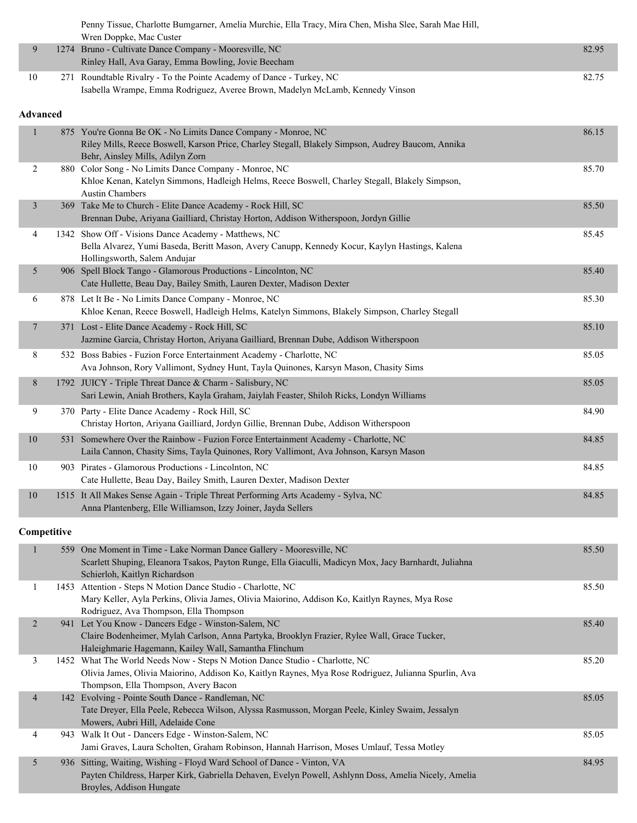|                 | Penny Tissue, Charlotte Bumgarner, Amelia Murchie, Ella Tracy, Mira Chen, Misha Slee, Sarah Mae Hill,<br>Wren Doppke, Mac Custer                                                                       |       |
|-----------------|--------------------------------------------------------------------------------------------------------------------------------------------------------------------------------------------------------|-------|
| 9               | 1274 Bruno - Cultivate Dance Company - Mooresville, NC<br>Rinley Hall, Ava Garay, Emma Bowling, Jovie Beecham                                                                                          | 82.95 |
| 10              | 271 Roundtable Rivalry - To the Pointe Academy of Dance - Turkey, NC<br>Isabella Wrampe, Emma Rodriguez, Averee Brown, Madelyn McLamb, Kennedy Vinson                                                  | 82.75 |
| <b>Advanced</b> |                                                                                                                                                                                                        |       |
| $\mathbf{1}$    | 875 You're Gonna Be OK - No Limits Dance Company - Monroe, NC<br>Riley Mills, Reece Boswell, Karson Price, Charley Stegall, Blakely Simpson, Audrey Baucom, Annika<br>Behr, Ainsley Mills, Adilyn Zorn | 86.15 |
| $\overline{c}$  | 880 Color Song - No Limits Dance Company - Monroe, NC<br>Khloe Kenan, Katelyn Simmons, Hadleigh Helms, Reece Boswell, Charley Stegall, Blakely Simpson,<br><b>Austin Chambers</b>                      | 85.70 |
| $\mathfrak{Z}$  | 369 Take Me to Church - Elite Dance Academy - Rock Hill, SC<br>Brennan Dube, Ariyana Gailliard, Christay Horton, Addison Witherspoon, Jordyn Gillie                                                    | 85.50 |
| 4               | 1342 Show Off - Visions Dance Academy - Matthews, NC<br>Bella Alvarez, Yumi Baseda, Beritt Mason, Avery Canupp, Kennedy Kocur, Kaylyn Hastings, Kalena<br>Hollingsworth, Salem Andujar                 | 85.45 |
| 5               | 906 Spell Block Tango - Glamorous Productions - Lincolnton, NC<br>Cate Hullette, Beau Day, Bailey Smith, Lauren Dexter, Madison Dexter                                                                 | 85.40 |
| 6               | 878 Let It Be - No Limits Dance Company - Monroe, NC<br>Khloe Kenan, Reece Boswell, Hadleigh Helms, Katelyn Simmons, Blakely Simpson, Charley Stegall                                                  | 85.30 |
| $\overline{7}$  | 371 Lost - Elite Dance Academy - Rock Hill, SC<br>Jazmine Garcia, Christay Horton, Ariyana Gailliard, Brennan Dube, Addison Witherspoon                                                                | 85.10 |
| 8               | 532 Boss Babies - Fuzion Force Entertainment Academy - Charlotte, NC<br>Ava Johnson, Rory Vallimont, Sydney Hunt, Tayla Quinones, Karsyn Mason, Chasity Sims                                           | 85.05 |
| 8               | 1792 JUICY - Triple Threat Dance & Charm - Salisbury, NC<br>Sari Lewin, Aniah Brothers, Kayla Graham, Jaiylah Feaster, Shiloh Ricks, Londyn Williams                                                   | 85.05 |
| 9               | 370 Party - Elite Dance Academy - Rock Hill, SC<br>Christay Horton, Ariyana Gailliard, Jordyn Gillie, Brennan Dube, Addison Witherspoon                                                                | 84.90 |
| 10              | 531 Somewhere Over the Rainbow - Fuzion Force Entertainment Academy - Charlotte, NC<br>Laila Cannon, Chasity Sims, Tayla Quinones, Rory Vallimont, Ava Johnson, Karsyn Mason                           | 84.85 |
| 10              | 903 Pirates - Glamorous Productions - Lincolnton, NC<br>Cate Hullette, Beau Day, Bailey Smith, Lauren Dexter, Madison Dexter                                                                           | 84.85 |
| $10\,$          | 1515 It All Makes Sense Again - Triple Threat Performing Arts Academy - Sylva, NC<br>Anna Plantenberg, Elle Williamson, Izzy Joiner, Jayda Sellers                                                     | 84.85 |

|                | 559 One Moment in Time - Lake Norman Dance Gallery - Mooresville, NC<br>Scarlett Shuping, Eleanora Tsakos, Payton Runge, Ella Giaculli, Madicyn Mox, Jacy Barnhardt, Juliahna<br>Schierloh, Kaitlyn Richardson              | 85.50 |
|----------------|-----------------------------------------------------------------------------------------------------------------------------------------------------------------------------------------------------------------------------|-------|
|                | 1453 Attention - Steps N Motion Dance Studio - Charlotte, NC<br>Mary Keller, Ayla Perkins, Olivia James, Olivia Maiorino, Addison Ko, Kaitlyn Raynes, Mya Rose<br>Rodriguez, Ava Thompson, Ella Thompson                    | 85.50 |
| 2              | 941 Let You Know - Dancers Edge - Winston-Salem, NC<br>Claire Bodenheimer, Mylah Carlson, Anna Partyka, Brooklyn Frazier, Rylee Wall, Grace Tucker,<br>Haleighmarie Hagemann, Kailey Wall, Samantha Flinchum                | 85.40 |
| 3              | 1452 What The World Needs Now - Steps N Motion Dance Studio - Charlotte, NC<br>Olivia James, Olivia Maiorino, Addison Ko, Kaitlyn Raynes, Mya Rose Rodriguez, Julianna Spurlin, Ava<br>Thompson, Ella Thompson, Avery Bacon | 85.20 |
| $\overline{4}$ | 142 Evolving - Pointe South Dance - Randleman, NC<br>Tate Dreyer, Ella Peele, Rebecca Wilson, Alyssa Rasmusson, Morgan Peele, Kinley Swaim, Jessalyn<br>Mowers, Aubri Hill, Adelaide Cone                                   | 85.05 |
| 4              | 943 Walk It Out - Dancers Edge - Winston-Salem, NC<br>Jami Graves, Laura Scholten, Graham Robinson, Hannah Harrison, Moses Umlauf, Tessa Motley                                                                             | 85.05 |
| 5              | 936 Sitting, Waiting, Wishing - Floyd Ward School of Dance - Vinton, VA<br>Payten Childress, Harper Kirk, Gabriella Dehaven, Evelyn Powell, Ashlynn Doss, Amelia Nicely, Amelia<br>Broyles, Addison Hungate                 | 84.95 |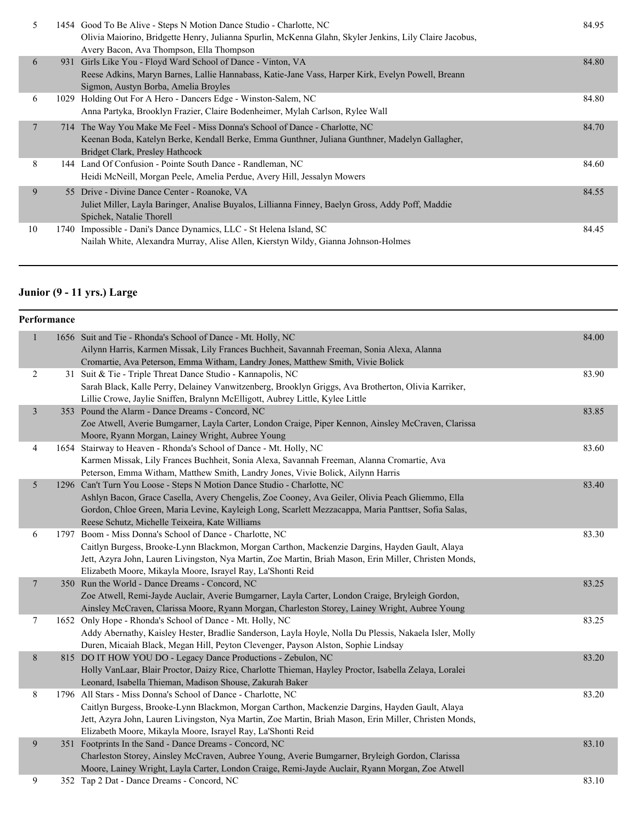| 5  | 1454 Good To Be Alive - Steps N Motion Dance Studio - Charlotte, NC<br>Olivia Maiorino, Bridgette Henry, Julianna Spurlin, McKenna Glahn, Skyler Jenkins, Lily Claire Jacobus,<br>Avery Bacon, Ava Thompson, Ella Thompson | 84.95 |
|----|----------------------------------------------------------------------------------------------------------------------------------------------------------------------------------------------------------------------------|-------|
| 6  | 931 Girls Like You - Floyd Ward School of Dance - Vinton, VA<br>Reese Adkins, Maryn Barnes, Lallie Hannabass, Katie-Jane Vass, Harper Kirk, Evelyn Powell, Breann<br>Sigmon, Austyn Borba, Amelia Broyles                  | 84.80 |
| 6  | 1029 Holding Out For A Hero - Dancers Edge - Winston-Salem, NC<br>Anna Partyka, Brooklyn Frazier, Claire Bodenheimer, Mylah Carlson, Rylee Wall                                                                            | 84.80 |
| 7  | 714 The Way You Make Me Feel - Miss Donna's School of Dance - Charlotte, NC<br>Keenan Boda, Katelyn Berke, Kendall Berke, Emma Gunthner, Juliana Gunthner, Madelyn Gallagher,<br>Bridget Clark, Presley Hathcock           | 84.70 |
| 8  | 144 Land Of Confusion - Pointe South Dance - Randleman, NC<br>Heidi McNeill, Morgan Peele, Amelia Perdue, Avery Hill, Jessalyn Mowers                                                                                      | 84.60 |
| 9  | 55 Drive - Divine Dance Center - Roanoke, VA<br>Juliet Miller, Layla Baringer, Analise Buyalos, Lillianna Finney, Baelyn Gross, Addy Poff, Maddie<br>Spichek, Natalie Thorell                                              | 84.55 |
| 10 | 1740 Impossible - Dani's Dance Dynamics, LLC - St Helena Island, SC<br>Nailah White, Alexandra Murray, Alise Allen, Kierstyn Wildy, Gianna Johnson-Holmes                                                                  | 84.45 |

# **Junior (9 - 11 yrs.) Large**

|                | Performance |                                                                                                        |       |
|----------------|-------------|--------------------------------------------------------------------------------------------------------|-------|
| $\mathbf{1}$   |             | 1656 Suit and Tie - Rhonda's School of Dance - Mt. Holly, NC                                           | 84.00 |
|                |             | Ailynn Harris, Karmen Missak, Lily Frances Buchheit, Savannah Freeman, Sonia Alexa, Alanna             |       |
|                |             | Cromartie, Ava Peterson, Emma Witham, Landry Jones, Matthew Smith, Vivie Bolick                        |       |
| 2              |             | 31 Suit & Tie - Triple Threat Dance Studio - Kannapolis, NC                                            | 83.90 |
|                |             | Sarah Black, Kalle Perry, Delainey Vanwitzenberg, Brooklyn Griggs, Ava Brotherton, Olivia Karriker,    |       |
|                |             | Lillie Crowe, Jaylie Sniffen, Bralynn McElligott, Aubrey Little, Kylee Little                          |       |
| $\mathfrak{Z}$ |             | 353 Pound the Alarm - Dance Dreams - Concord, NC                                                       | 83.85 |
|                |             | Zoe Atwell, Averie Bumgarner, Layla Carter, London Craige, Piper Kennon, Ainsley McCraven, Clarissa    |       |
|                |             | Moore, Ryann Morgan, Lainey Wright, Aubree Young                                                       |       |
| $\overline{4}$ |             | 1654 Stairway to Heaven - Rhonda's School of Dance - Mt. Holly, NC                                     | 83.60 |
|                |             | Karmen Missak, Lily Frances Buchheit, Sonia Alexa, Savannah Freeman, Alanna Cromartie, Ava             |       |
|                |             | Peterson, Emma Witham, Matthew Smith, Landry Jones, Vivie Bolick, Ailynn Harris                        |       |
| $\mathfrak{S}$ |             | 1296 Can't Turn You Loose - Steps N Motion Dance Studio - Charlotte, NC                                | 83.40 |
|                |             | Ashlyn Bacon, Grace Casella, Avery Chengelis, Zoe Cooney, Ava Geiler, Olivia Peach Gliemmo, Ella       |       |
|                |             | Gordon, Chloe Green, Maria Levine, Kayleigh Long, Scarlett Mezzacappa, Maria Panttser, Sofia Salas,    |       |
|                |             | Reese Schutz, Michelle Teixeira, Kate Williams                                                         |       |
| 6              |             | 1797 Boom - Miss Donna's School of Dance - Charlotte, NC                                               | 83.30 |
|                |             | Caitlyn Burgess, Brooke-Lynn Blackmon, Morgan Carthon, Mackenzie Dargins, Hayden Gault, Alaya          |       |
|                |             | Jett, Azyra John, Lauren Livingston, Nya Martin, Zoe Martin, Briah Mason, Erin Miller, Christen Monds, |       |
|                |             | Elizabeth Moore, Mikayla Moore, Israyel Ray, La'Shonti Reid                                            |       |
| $\overline{7}$ |             | 350 Run the World - Dance Dreams - Concord, NC                                                         | 83.25 |
|                |             | Zoe Atwell, Remi-Jayde Auclair, Averie Bumgarner, Layla Carter, London Craige, Bryleigh Gordon,        |       |
|                |             | Ainsley McCraven, Clarissa Moore, Ryann Morgan, Charleston Storey, Lainey Wright, Aubree Young         |       |
| $\tau$         |             | 1652 Only Hope - Rhonda's School of Dance - Mt. Holly, NC                                              | 83.25 |
|                |             | Addy Abernathy, Kaisley Hester, Bradlie Sanderson, Layla Hoyle, Nolla Du Plessis, Nakaela Isler, Molly |       |
|                |             | Duren, Micaiah Black, Megan Hill, Peyton Clevenger, Payson Alston, Sophie Lindsay                      |       |
| $8\,$          |             | 815 DO IT HOW YOU DO - Legacy Dance Productions - Zebulon, NC                                          | 83.20 |
|                |             | Holly VanLaar, Blair Proctor, Daizy Rice, Charlotte Thieman, Hayley Proctor, Isabella Zelaya, Loralei  |       |
|                |             | Leonard, Isabella Thieman, Madison Shouse, Zakurah Baker                                               |       |
| 8              |             | 1796 All Stars - Miss Donna's School of Dance - Charlotte, NC                                          | 83.20 |
|                |             | Caitlyn Burgess, Brooke-Lynn Blackmon, Morgan Carthon, Mackenzie Dargins, Hayden Gault, Alaya          |       |
|                |             | Jett, Azyra John, Lauren Livingston, Nya Martin, Zoe Martin, Briah Mason, Erin Miller, Christen Monds, |       |
|                |             | Elizabeth Moore, Mikayla Moore, Israyel Ray, La'Shonti Reid                                            |       |
| 9              |             | 351 Footprints In the Sand - Dance Dreams - Concord, NC                                                | 83.10 |
|                |             | Charleston Storey, Ainsley McCraven, Aubree Young, Averie Bumgarner, Bryleigh Gordon, Clarissa         |       |
|                |             | Moore, Lainey Wright, Layla Carter, London Craige, Remi-Jayde Auclair, Ryann Morgan, Zoe Atwell        |       |
| 9              |             | 352 Tap 2 Dat - Dance Dreams - Concord, NC                                                             | 83.10 |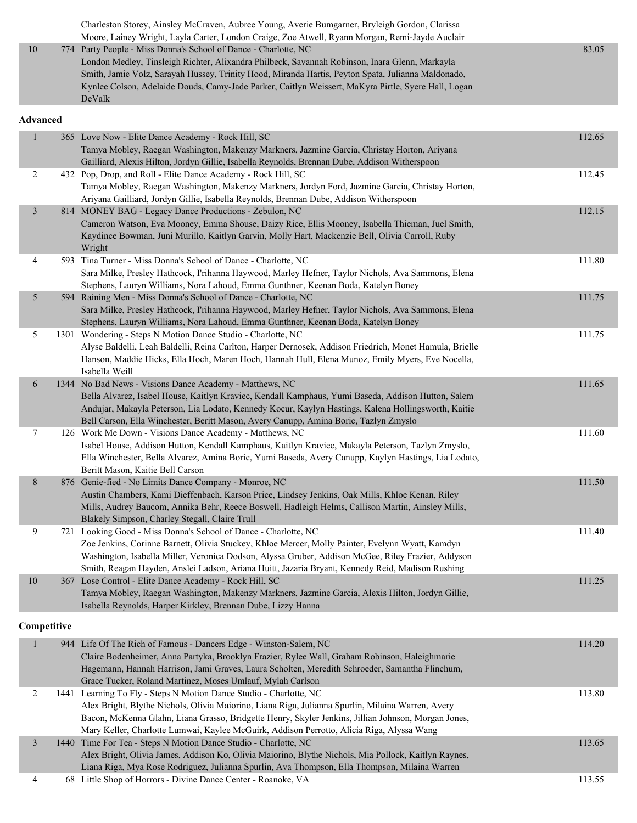|    | Charleston Storey, Ainsley McCraven, Aubree Young, Averie Bumgarner, Bryleigh Gordon, Clarissa      |       |
|----|-----------------------------------------------------------------------------------------------------|-------|
|    | Moore, Lainey Wright, Layla Carter, London Craige, Zoe Atwell, Ryann Morgan, Remi-Jayde Auclair     |       |
| 10 | 774 Party People - Miss Donna's School of Dance - Charlotte, NC                                     | 83.05 |
|    | London Medley, Tinsleigh Richter, Alixandra Philbeck, Savannah Robinson, Inara Glenn, Markayla      |       |
|    | Smith, Jamie Volz, Sarayah Hussey, Trinity Hood, Miranda Hartis, Peyton Spata, Julianna Maldonado,  |       |
|    | Kynlee Colson, Adelaide Douds, Camy-Jade Parker, Caitlyn Weissert, MaKyra Pirtle, Syere Hall, Logan |       |
|    | DeValk                                                                                              |       |

#### **Advanced**

| $\mathbf{1}$   | 365 Love Now - Elite Dance Academy - Rock Hill, SC                                                                                                                                                     | 112.65 |
|----------------|--------------------------------------------------------------------------------------------------------------------------------------------------------------------------------------------------------|--------|
|                | Tamya Mobley, Raegan Washington, Makenzy Markners, Jazmine Garcia, Christay Horton, Ariyana                                                                                                            |        |
|                | Gailliard, Alexis Hilton, Jordyn Gillie, Isabella Reynolds, Brennan Dube, Addison Witherspoon                                                                                                          |        |
| 2              | 432 Pop, Drop, and Roll - Elite Dance Academy - Rock Hill, SC                                                                                                                                          | 112.45 |
|                | Tamya Mobley, Raegan Washington, Makenzy Markners, Jordyn Ford, Jazmine Garcia, Christay Horton,                                                                                                       |        |
|                | Ariyana Gailliard, Jordyn Gillie, Isabella Reynolds, Brennan Dube, Addison Witherspoon                                                                                                                 |        |
| $\mathfrak{Z}$ | 814 MONEY BAG - Legacy Dance Productions - Zebulon, NC                                                                                                                                                 | 112.15 |
|                | Cameron Watson, Eva Mooney, Emma Shouse, Daizy Rice, Ellis Mooney, Isabella Thieman, Juel Smith,                                                                                                       |        |
|                | Kaydince Bowman, Juni Murillo, Kaitlyn Garvin, Molly Hart, Mackenzie Bell, Olivia Carroll, Ruby<br>Wright                                                                                              |        |
| 4              | 593 Tina Turner - Miss Donna's School of Dance - Charlotte, NC                                                                                                                                         | 111.80 |
|                | Sara Milke, Presley Hathcock, I'rihanna Haywood, Marley Hefner, Taylor Nichols, Ava Sammons, Elena                                                                                                     |        |
|                | Stephens, Lauryn Williams, Nora Lahoud, Emma Gunthner, Keenan Boda, Katelyn Boney                                                                                                                      |        |
| 5              | 594 Raining Men - Miss Donna's School of Dance - Charlotte, NC                                                                                                                                         | 111.75 |
|                | Sara Milke, Presley Hathcock, I'rihanna Haywood, Marley Hefner, Taylor Nichols, Ava Sammons, Elena                                                                                                     |        |
|                | Stephens, Lauryn Williams, Nora Lahoud, Emma Gunthner, Keenan Boda, Katelyn Boney                                                                                                                      |        |
| 5              | 1301 Wondering - Steps N Motion Dance Studio - Charlotte, NC                                                                                                                                           | 111.75 |
|                | Alyse Baldelli, Leah Baldelli, Reina Carlton, Harper Dernosek, Addison Friedrich, Monet Hamula, Brielle                                                                                                |        |
|                | Hanson, Maddie Hicks, Ella Hoch, Maren Hoch, Hannah Hull, Elena Munoz, Emily Myers, Eve Nocella,                                                                                                       |        |
|                | Isabella Weill                                                                                                                                                                                         |        |
| 6              | 1344 No Bad News - Visions Dance Academy - Matthews, NC                                                                                                                                                | 111.65 |
|                | Bella Alvarez, Isabel House, Kaitlyn Kraviec, Kendall Kamphaus, Yumi Baseda, Addison Hutton, Salem                                                                                                     |        |
|                | Andujar, Makayla Peterson, Lia Lodato, Kennedy Kocur, Kaylyn Hastings, Kalena Hollingsworth, Kaitie                                                                                                    |        |
|                | Bell Carson, Ella Winchester, Beritt Mason, Avery Canupp, Amina Boric, Tazlyn Zmyslo                                                                                                                   |        |
| 7              | 126 Work Me Down - Visions Dance Academy - Matthews, NC                                                                                                                                                | 111.60 |
|                | Isabel House, Addison Hutton, Kendall Kamphaus, Kaitlyn Kraviec, Makayla Peterson, Tazlyn Zmyslo,                                                                                                      |        |
|                | Ella Winchester, Bella Alvarez, Amina Boric, Yumi Baseda, Avery Canupp, Kaylyn Hastings, Lia Lodato,                                                                                                   |        |
|                | Beritt Mason, Kaitie Bell Carson                                                                                                                                                                       |        |
| $8\,$          | 876 Genie-fied - No Limits Dance Company - Monroe, NC                                                                                                                                                  | 111.50 |
|                | Austin Chambers, Kami Dieffenbach, Karson Price, Lindsey Jenkins, Oak Mills, Khloe Kenan, Riley                                                                                                        |        |
|                | Mills, Audrey Baucom, Annika Behr, Reece Boswell, Hadleigh Helms, Callison Martin, Ainsley Mills,                                                                                                      |        |
|                | Blakely Simpson, Charley Stegall, Claire Trull                                                                                                                                                         |        |
| 9              | 721 Looking Good - Miss Donna's School of Dance - Charlotte, NC                                                                                                                                        | 111.40 |
|                | Zoe Jenkins, Corinne Barnett, Olivia Stuckey, Khloe Mercer, Molly Painter, Evelynn Wyatt, Kamdyn                                                                                                       |        |
|                | Washington, Isabella Miller, Veronica Dodson, Alyssa Gruber, Addison McGee, Riley Frazier, Addyson<br>Smith, Reagan Hayden, Anslei Ladson, Ariana Huitt, Jazaria Bryant, Kennedy Reid, Madison Rushing |        |
| 10             | 367 Lose Control - Elite Dance Academy - Rock Hill, SC                                                                                                                                                 | 111.25 |
|                | Tamya Mobley, Raegan Washington, Makenzy Markners, Jazmine Garcia, Alexis Hilton, Jordyn Gillie,                                                                                                       |        |
|                | Isabella Reynolds, Harper Kirkley, Brennan Dube, Lizzy Hanna                                                                                                                                           |        |
|                |                                                                                                                                                                                                        |        |
| Competitive    |                                                                                                                                                                                                        |        |
|                | 944 Life Of The Rich of Famous - Dancers Edge - Winston-Salem, NC                                                                                                                                      | 114.20 |
|                | Claire Bodenheimer, Anna Partyka, Brooklyn Frazier, Rylee Wall, Graham Robinson, Haleighmarie                                                                                                          |        |
|                | Hagemann, Hannah Harrison, Jami Graves, Laura Scholten, Meredith Schroeder, Samantha Flinchum,                                                                                                         |        |
|                | Grace Tucker, Roland Martinez, Moses Umlauf, Mylah Carlson                                                                                                                                             |        |
| 2              | 1441 Learning To Fly - Steps N Motion Dance Studio - Charlotte, NC                                                                                                                                     | 113.80 |
|                | Alex Bright, Blythe Nichols, Olivia Maiorino, Liana Riga, Julianna Spurlin, Milaina Warren, Avery                                                                                                      |        |
|                | Bacon, McKenna Glahn, Liana Grasso, Bridgette Henry, Skyler Jenkins, Jillian Johnson, Morgan Jones,                                                                                                    |        |

|  | Bacon, McKenna Glahn, Liana Grasso, Bridgette Henry, Skyler Jenkins, Jillian Johnson, Morgan Jones,  |        |
|--|------------------------------------------------------------------------------------------------------|--------|
|  | Mary Keller, Charlotte Lumwai, Kaylee McGuirk, Addison Perrotto, Alicia Riga, Alyssa Wang            |        |
|  | 1440 Time For Tea - Steps N Motion Dance Studio - Charlotte, NC                                      | 113.65 |
|  | Alex Bright, Olivia James, Addison Ko, Olivia Maiorino, Blythe Nichols, Mia Pollock, Kaitlyn Raynes, |        |
|  | Liana Riga, Mya Rose Rodriguez, Julianna Spurlin, Ava Thompson, Ella Thompson, Milaina Warren        |        |
|  | 68 Little Shop of Horrors - Divine Dance Center - Roanoke, VA                                        | 113.55 |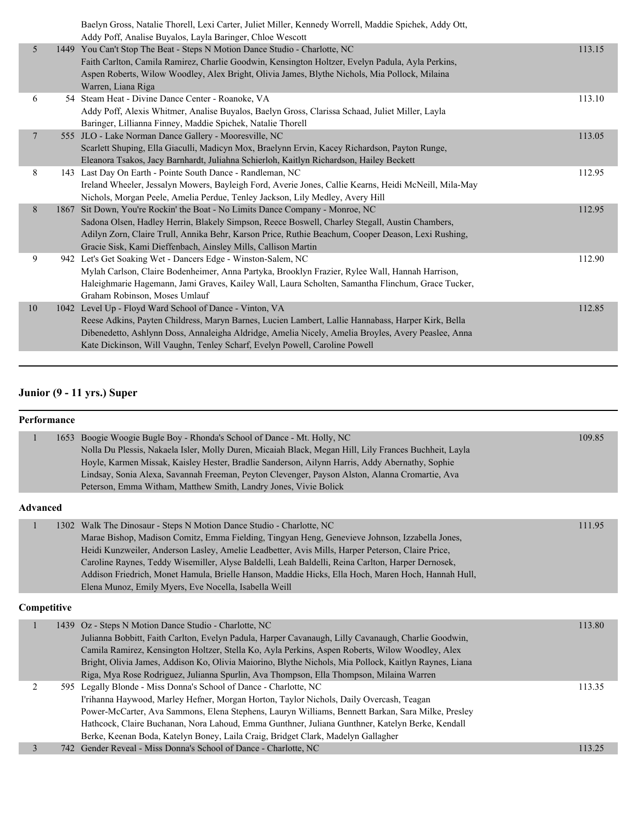|                 | Baelyn Gross, Natalie Thorell, Lexi Carter, Juliet Miller, Kennedy Worrell, Maddie Spichek, Addy Ott.<br>Addy Poff, Analise Buyalos, Layla Baringer, Chloe Wescott                                                                                                                                                                                     |        |
|-----------------|--------------------------------------------------------------------------------------------------------------------------------------------------------------------------------------------------------------------------------------------------------------------------------------------------------------------------------------------------------|--------|
| 5 <sup>5</sup>  | 1449 You Can't Stop The Beat - Steps N Motion Dance Studio - Charlotte, NC<br>Faith Carlton, Camila Ramirez, Charlie Goodwin, Kensington Holtzer, Evelyn Padula, Ayla Perkins,<br>Aspen Roberts, Wilow Woodley, Alex Bright, Olivia James, Blythe Nichols, Mia Pollock, Milaina<br>Warren, Liana Riga                                                  | 113.15 |
| 6               | 54 Steam Heat - Divine Dance Center - Roanoke, VA<br>Addy Poff, Alexis Whitmer, Analise Buyalos, Baelyn Gross, Clarissa Schaad, Juliet Miller, Layla<br>Baringer, Lillianna Finney, Maddie Spichek, Natalie Thorell                                                                                                                                    | 113.10 |
| $7\phantom{.0}$ | 555 JLO - Lake Norman Dance Gallery - Mooresville, NC<br>Scarlett Shuping, Ella Giaculli, Madicyn Mox, Braelynn Ervin, Kacey Richardson, Payton Runge,<br>Eleanora Tsakos, Jacy Barnhardt, Juliahna Schierloh, Kaitlyn Richardson, Hailey Beckett                                                                                                      | 113.05 |
| 8               | 143 Last Day On Earth - Pointe South Dance - Randleman, NC<br>Ireland Wheeler, Jessalyn Mowers, Bayleigh Ford, Averie Jones, Callie Kearns, Heidi McNeill, Mila-May<br>Nichols, Morgan Peele, Amelia Perdue, Tenley Jackson, Lily Medley, Avery Hill                                                                                                   | 112.95 |
| 8               | 1867 Sit Down, You're Rockin' the Boat - No Limits Dance Company - Monroe, NC<br>Sadona Olsen, Hadley Herrin, Blakely Simpson, Reece Boswell, Charley Stegall, Austin Chambers,<br>Adilyn Zorn, Claire Trull, Annika Behr, Karson Price, Ruthie Beachum, Cooper Deason, Lexi Rushing,<br>Gracie Sisk, Kami Dieffenbach, Ainsley Mills, Callison Martin | 112.95 |
| 9               | 942 Let's Get Soaking Wet - Dancers Edge - Winston-Salem, NC<br>Mylah Carlson, Claire Bodenheimer, Anna Partyka, Brooklyn Frazier, Rylee Wall, Hannah Harrison,<br>Haleighmarie Hagemann, Jami Graves, Kailey Wall, Laura Scholten, Samantha Flinchum, Grace Tucker,<br>Graham Robinson, Moses Umlauf                                                  | 112.90 |
| 10              | 1042 Level Up - Floyd Ward School of Dance - Vinton, VA<br>Reese Adkins, Payten Childress, Maryn Barnes, Lucien Lambert, Lallie Hannabass, Harper Kirk, Bella<br>Dibenedetto, Ashlynn Doss, Annaleigha Aldridge, Amelia Nicely, Amelia Broyles, Avery Peaslee, Anna<br>Kate Dickinson, Will Vaughn, Tenley Scharf, Evelyn Powell, Caroline Powell      | 112.85 |

# **Junior (9 - 11 yrs.) Super**

|                 | Performance |                                                                                                                                                                                                                                                                                                                                                                                                                                                                                                                                                |        |  |  |
|-----------------|-------------|------------------------------------------------------------------------------------------------------------------------------------------------------------------------------------------------------------------------------------------------------------------------------------------------------------------------------------------------------------------------------------------------------------------------------------------------------------------------------------------------------------------------------------------------|--------|--|--|
|                 | 1653        | Boogie Woogie Bugle Boy - Rhonda's School of Dance - Mt. Holly, NC<br>Nolla Du Plessis, Nakaela Isler, Molly Duren, Micaiah Black, Megan Hill, Lily Frances Buchheit, Layla<br>Hoyle, Karmen Missak, Kaisley Hester, Bradlie Sanderson, Ailynn Harris, Addy Abernathy, Sophie<br>Lindsay, Sonia Alexa, Savannah Freeman, Peyton Clevenger, Payson Alston, Alanna Cromartie, Ava<br>Peterson, Emma Witham, Matthew Smith, Landry Jones, Vivie Bolick                                                                                            | 109.85 |  |  |
| <b>Advanced</b> |             |                                                                                                                                                                                                                                                                                                                                                                                                                                                                                                                                                |        |  |  |
| 1               |             | 1302 Walk The Dinosaur - Steps N Motion Dance Studio - Charlotte, NC<br>Marae Bishop, Madison Comitz, Emma Fielding, Tingyan Heng, Genevieve Johnson, Izzabella Jones,<br>Heidi Kunzweiler, Anderson Lasley, Amelie Leadbetter, Avis Mills, Harper Peterson, Claire Price,<br>Caroline Raynes, Teddy Wisemiller, Alyse Baldelli, Leah Baldelli, Reina Carlton, Harper Dernosek,<br>Addison Friedrich, Monet Hamula, Brielle Hanson, Maddie Hicks, Ella Hoch, Maren Hoch, Hannah Hull,<br>Elena Munoz, Emily Myers, Eve Nocella, Isabella Weill | 111.95 |  |  |
| Competitive     |             |                                                                                                                                                                                                                                                                                                                                                                                                                                                                                                                                                |        |  |  |
|                 |             | 1439 Oz - Steps N Motion Dance Studio - Charlotte, NC<br>Julianna Bobbitt, Faith Carlton, Evelyn Padula, Harper Cavanaugh, Lilly Cavanaugh, Charlie Goodwin,<br>Camila Ramirez, Kensington Holtzer, Stella Ko, Ayla Perkins, Aspen Roberts, Wilow Woodley, Alex<br>Bright, Olivia James, Addison Ko, Olivia Maiorino, Blythe Nichols, Mia Pollock, Kaitlyn Raynes, Liana<br>Riga, Mya Rose Rodriguez, Julianna Spurlin, Ava Thompson, Ella Thompson, Milaina Warren                                                                            | 113.80 |  |  |
| $\overline{2}$  |             | 595 Legally Blonde - Miss Donna's School of Dance - Charlotte, NC<br>I'rihanna Haywood, Marley Hefner, Morgan Horton, Taylor Nichols, Daily Overcash, Teagan<br>Power-McCarter, Ava Sammons, Elena Stephens, Lauryn Williams, Bennett Barkan, Sara Milke, Presley<br>Hathcock, Claire Buchanan, Nora Lahoud, Emma Gunthner, Juliana Gunthner, Katelyn Berke, Kendall<br>Berke, Keenan Boda, Katelyn Boney, Laila Craig, Bridget Clark, Madelyn Gallagher                                                                                       | 113.35 |  |  |
| 3               |             | 742 Gender Reveal - Miss Donna's School of Dance - Charlotte, NC                                                                                                                                                                                                                                                                                                                                                                                                                                                                               | 113.25 |  |  |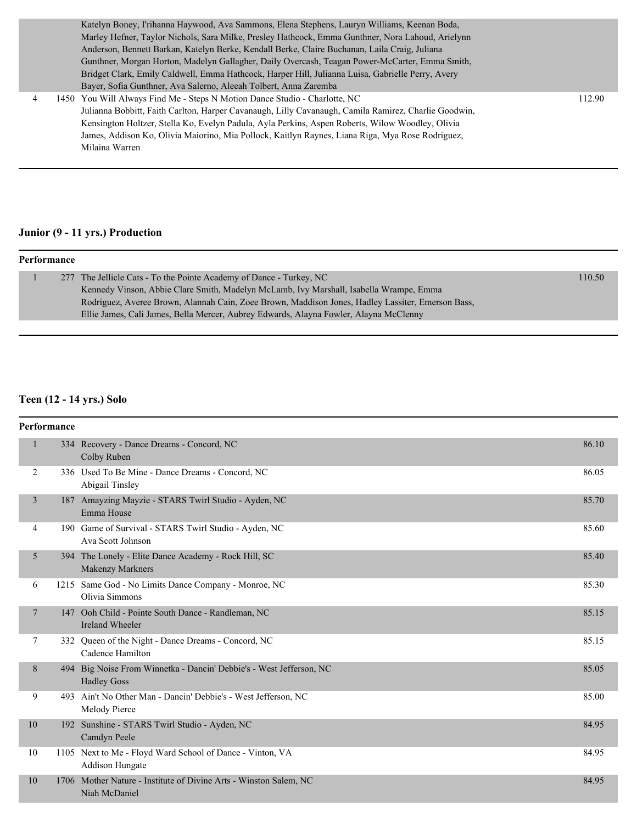|                | Katelyn Boney, I'rihanna Haywood, Ava Sammons, Elena Stephens, Lauryn Williams, Keenan Boda,         |        |
|----------------|------------------------------------------------------------------------------------------------------|--------|
|                | Marley Hefner, Taylor Nichols, Sara Milke, Presley Hathcock, Emma Gunthner, Nora Lahoud, Arielynn    |        |
|                | Anderson, Bennett Barkan, Katelyn Berke, Kendall Berke, Claire Buchanan, Laila Craig, Juliana        |        |
|                | Gunthner, Morgan Horton, Madelyn Gallagher, Daily Overcash, Teagan Power-McCarter, Emma Smith,       |        |
|                | Bridget Clark, Emily Caldwell, Emma Hathcock, Harper Hill, Julianna Luisa, Gabrielle Perry, Avery    |        |
|                | Bayer, Sofia Gunthner, Ava Salerno, Aleeah Tolbert, Anna Zaremba                                     |        |
| $\overline{4}$ | 1450 You Will Always Find Me - Steps N Motion Dance Studio - Charlotte, NC                           | 112.90 |
|                | Julianna Bobbitt, Faith Carlton, Harper Cavanaugh, Lilly Cavanaugh, Camila Ramirez, Charlie Goodwin, |        |
|                | Kensington Holtzer, Stella Ko, Evelyn Padula, Ayla Perkins, Aspen Roberts, Wilow Woodley, Olivia     |        |
|                | James, Addison Ko, Olivia Maiorino, Mia Pollock, Kaitlyn Raynes, Liana Riga, Mya Rose Rodriguez,     |        |
|                | Milaina Warren                                                                                       |        |
|                |                                                                                                      |        |

# **Junior (9 - 11 yrs.) Production**

#### **Performance**

|  | 277 The Jellicle Cats - To the Pointe Academy of Dance - Turkey, NC                               | 110.50 |
|--|---------------------------------------------------------------------------------------------------|--------|
|  | Kennedy Vinson, Abbie Clare Smith, Madelyn McLamb, Ivy Marshall, Isabella Wrampe, Emma            |        |
|  | Rodriguez, Averee Brown, Alannah Cain, Zoee Brown, Maddison Jones, Hadley Lassiter, Emerson Bass, |        |
|  | Ellie James, Cali James, Bella Mercer, Aubrey Edwards, Alayna Fowler, Alayna McClenny             |        |

## **Teen (12 - 14 yrs.) Solo**

|                | Performance |                                                                                           |       |  |  |
|----------------|-------------|-------------------------------------------------------------------------------------------|-------|--|--|
| $\mathbf{1}$   |             | 334 Recovery - Dance Dreams - Concord, NC<br>Colby Ruben                                  | 86.10 |  |  |
| 2              |             | 336 Used To Be Mine - Dance Dreams - Concord, NC<br>Abigail Tinsley                       | 86.05 |  |  |
| $\overline{3}$ |             | 187 Amayzing Mayzie - STARS Twirl Studio - Ayden, NC<br>Emma House                        | 85.70 |  |  |
| 4              |             | 190 Game of Survival - STARS Twirl Studio - Ayden, NC<br>Ava Scott Johnson                | 85.60 |  |  |
| 5              |             | 394 The Lonely - Elite Dance Academy - Rock Hill, SC<br><b>Makenzy Markners</b>           | 85.40 |  |  |
| 6              |             | 1215 Same God - No Limits Dance Company - Monroe, NC<br>Olivia Simmons                    | 85.30 |  |  |
| 7              |             | 147 Ooh Child - Pointe South Dance - Randleman, NC<br><b>Ireland Wheeler</b>              | 85.15 |  |  |
| 7              |             | 332 Queen of the Night - Dance Dreams - Concord, NC<br>Cadence Hamilton                   | 85.15 |  |  |
| 8              |             | 494 Big Noise From Winnetka - Dancin' Debbie's - West Jefferson, NC<br><b>Hadley Goss</b> | 85.05 |  |  |
| 9              |             | 493 Ain't No Other Man - Dancin' Debbie's - West Jefferson, NC<br>Melody Pierce           | 85.00 |  |  |
| 10             |             | 192 Sunshine - STARS Twirl Studio - Ayden, NC<br>Camdyn Peele                             | 84.95 |  |  |
| 10             |             | 1105 Next to Me - Floyd Ward School of Dance - Vinton, VA<br><b>Addison Hungate</b>       | 84.95 |  |  |
| 10             |             | 1706 Mother Nature - Institute of Divine Arts - Winston Salem, NC<br>Niah McDaniel        | 84.95 |  |  |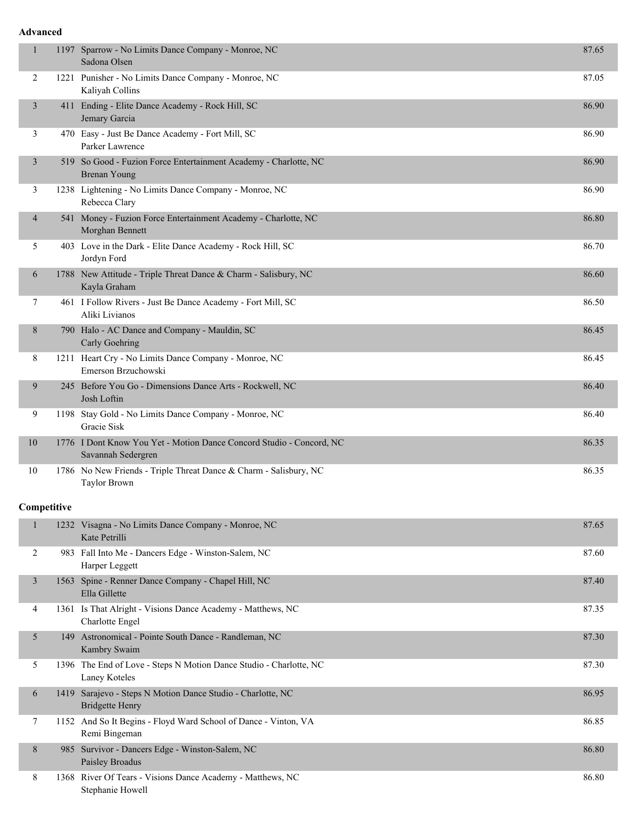#### **Advanced**

| $\mathbf{1}$   | 1197 Sparrow - No Limits Dance Company - Monroe, NC<br>Sadona Olsen                        | 87.65 |
|----------------|--------------------------------------------------------------------------------------------|-------|
| 2              | 1221 Punisher - No Limits Dance Company - Monroe, NC<br>Kaliyah Collins                    | 87.05 |
| 3              | 411 Ending - Elite Dance Academy - Rock Hill, SC<br>Jemary Garcia                          | 86.90 |
| 3              | 470 Easy - Just Be Dance Academy - Fort Mill, SC<br>Parker Lawrence                        | 86.90 |
| 3              | 519 So Good - Fuzion Force Entertainment Academy - Charlotte, NC<br>Brenan Young           | 86.90 |
| 3              | 1238 Lightening - No Limits Dance Company - Monroe, NC<br>Rebecca Clary                    | 86.90 |
| $\overline{4}$ | 541 Money - Fuzion Force Entertainment Academy - Charlotte, NC<br>Morghan Bennett          | 86.80 |
| 5              | 403 Love in the Dark - Elite Dance Academy - Rock Hill, SC<br>Jordyn Ford                  | 86.70 |
| 6              | 1788 New Attitude - Triple Threat Dance & Charm - Salisbury, NC<br>Kayla Graham            | 86.60 |
| 7              | 461 I Follow Rivers - Just Be Dance Academy - Fort Mill, SC<br>Aliki Livianos              | 86.50 |
| 8              | 790 Halo - AC Dance and Company - Mauldin, SC<br>Carly Goehring                            | 86.45 |
| 8              | 1211 Heart Cry - No Limits Dance Company - Monroe, NC<br>Emerson Brzuchowski               | 86.45 |
| 9              | 245 Before You Go - Dimensions Dance Arts - Rockwell, NC<br>Josh Loftin                    | 86.40 |
| 9              | 1198 Stay Gold - No Limits Dance Company - Monroe, NC<br>Gracie Sisk                       | 86.40 |
| 10             | 1776 I Dont Know You Yet - Motion Dance Concord Studio - Concord, NC<br>Savannah Sedergren | 86.35 |
| 10             | 1786 No New Friends - Triple Threat Dance & Charm - Salisbury, NC<br><b>Taylor Brown</b>   | 86.35 |

## **Competitive**

|   |      | 1232 Visagna - No Limits Dance Company - Monroe, NC<br>Kate Petrilli                | 87.65 |
|---|------|-------------------------------------------------------------------------------------|-------|
| 2 |      | 983 Fall Into Me - Dancers Edge - Winston-Salem, NC<br>Harper Leggett               | 87.60 |
| 3 | 1563 | Spine - Renner Dance Company - Chapel Hill, NC<br>Ella Gillette                     | 87.40 |
| 4 |      | 1361 Is That Alright - Visions Dance Academy - Matthews, NC<br>Charlotte Engel      | 87.35 |
| 5 | 149  | Astronomical - Pointe South Dance - Randleman, NC<br>Kambry Swaim                   | 87.30 |
| 5 |      | 1396 The End of Love - Steps N Motion Dance Studio - Charlotte, NC<br>Laney Koteles | 87.30 |
| 6 | 1419 | Sarajevo - Steps N Motion Dance Studio - Charlotte, NC<br>Bridgette Henry           | 86.95 |
| 7 |      | 1152 And So It Begins - Floyd Ward School of Dance - Vinton, VA<br>Remi Bingeman    | 86.85 |
| 8 | 985  | Survivor - Dancers Edge - Winston-Salem, NC<br>Paisley Broadus                      | 86.80 |
| 8 |      | 1368 River Of Tears - Visions Dance Academy - Matthews, NC<br>Stephanie Howell      | 86.80 |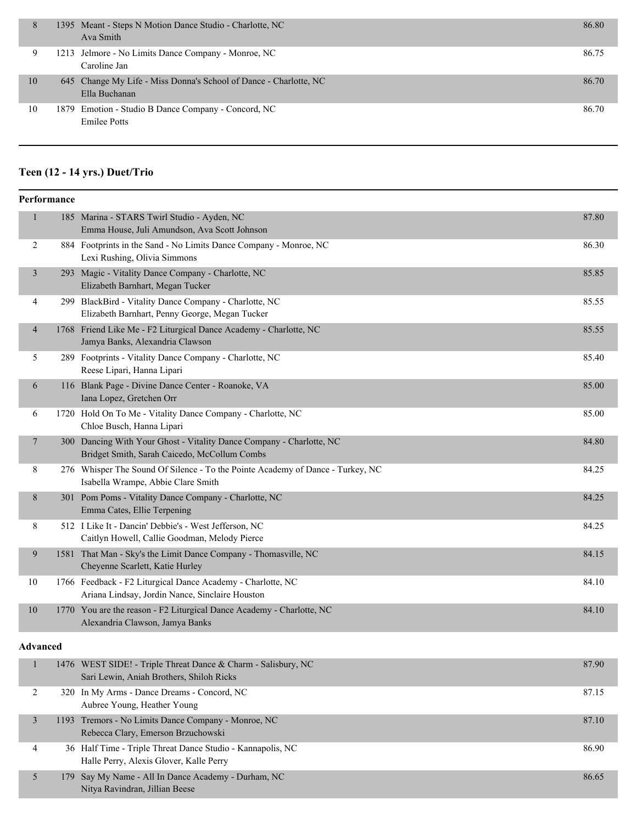| 8  | 1395 Meant - Steps N Motion Dance Studio - Charlotte, NC<br>Ava Smith              | 86.80 |
|----|------------------------------------------------------------------------------------|-------|
| 9  | 1213 Jelmore - No Limits Dance Company - Monroe, NC<br>Caroline Jan                | 86.75 |
| 10 | 645 Change My Life - Miss Donna's School of Dance - Charlotte, NC<br>Ella Buchanan | 86.70 |
| 10 | 1879 Emotion - Studio B Dance Company - Concord, NC<br><b>Emilee Potts</b>         | 86.70 |

# **Teen (12 - 14 yrs.) Duet/Trio**

|                | Performance |                                                                                                                      |       |  |
|----------------|-------------|----------------------------------------------------------------------------------------------------------------------|-------|--|
| $\mathbf{1}$   |             | 185 Marina - STARS Twirl Studio - Ayden, NC<br>Emma House, Juli Amundson, Ava Scott Johnson                          | 87.80 |  |
| $\overline{2}$ |             | 884 Footprints in the Sand - No Limits Dance Company - Monroe, NC<br>Lexi Rushing, Olivia Simmons                    | 86.30 |  |
| 3              |             | 293 Magic - Vitality Dance Company - Charlotte, NC<br>Elizabeth Barnhart, Megan Tucker                               | 85.85 |  |
| 4              |             | 299 BlackBird - Vitality Dance Company - Charlotte, NC<br>Elizabeth Barnhart, Penny George, Megan Tucker             | 85.55 |  |
| 4              |             | 1768 Friend Like Me - F2 Liturgical Dance Academy - Charlotte, NC<br>Jamya Banks, Alexandria Clawson                 | 85.55 |  |
| 5              |             | 289 Footprints - Vitality Dance Company - Charlotte, NC<br>Reese Lipari, Hanna Lipari                                | 85.40 |  |
| 6              |             | 116 Blank Page - Divine Dance Center - Roanoke, VA<br>Iana Lopez, Gretchen Orr                                       | 85.00 |  |
| 6              |             | 1720 Hold On To Me - Vitality Dance Company - Charlotte, NC<br>Chloe Busch, Hanna Lipari                             | 85.00 |  |
| $\tau$         |             | 300 Dancing With Your Ghost - Vitality Dance Company - Charlotte, NC<br>Bridget Smith, Sarah Caicedo, McCollum Combs | 84.80 |  |
| 8              |             | 276 Whisper The Sound Of Silence - To the Pointe Academy of Dance - Turkey, NC<br>Isabella Wrampe, Abbie Clare Smith | 84.25 |  |
| 8              |             | 301 Pom Poms - Vitality Dance Company - Charlotte, NC<br>Emma Cates, Ellie Terpening                                 | 84.25 |  |
| 8              |             | 512 I Like It - Dancin' Debbie's - West Jefferson, NC<br>Caitlyn Howell, Callie Goodman, Melody Pierce               | 84.25 |  |
| 9              |             | 1581 That Man - Sky's the Limit Dance Company - Thomasville, NC<br>Cheyenne Scarlett, Katie Hurley                   | 84.15 |  |
| 10             |             | 1766 Feedback - F2 Liturgical Dance Academy - Charlotte, NC<br>Ariana Lindsay, Jordin Nance, Sinclaire Houston       | 84.10 |  |
| 10             |             | 1770 You are the reason - F2 Liturgical Dance Academy - Charlotte, NC<br>Alexandria Clawson, Jamya Banks             | 84.10 |  |

## **Advanced**

|   | 1476 WEST SIDE! - Triple Threat Dance & Charm - Salisbury, NC<br>Sari Lewin, Aniah Brothers, Shiloh Ricks | 87.90 |
|---|-----------------------------------------------------------------------------------------------------------|-------|
|   | 320 In My Arms - Dance Dreams - Concord, NC<br>Aubree Young, Heather Young                                | 87.15 |
|   | 1193 Tremors - No Limits Dance Company - Monroe, NC<br>Rebecca Clary, Emerson Brzuchowski                 | 87.10 |
| 4 | 36 Half Time - Triple Threat Dance Studio - Kannapolis, NC<br>Halle Perry, Alexis Glover, Kalle Perry     | 86.90 |
|   | 179 Say My Name - All In Dance Academy - Durham, NC<br>Nitya Ravindran, Jillian Beese                     | 86.65 |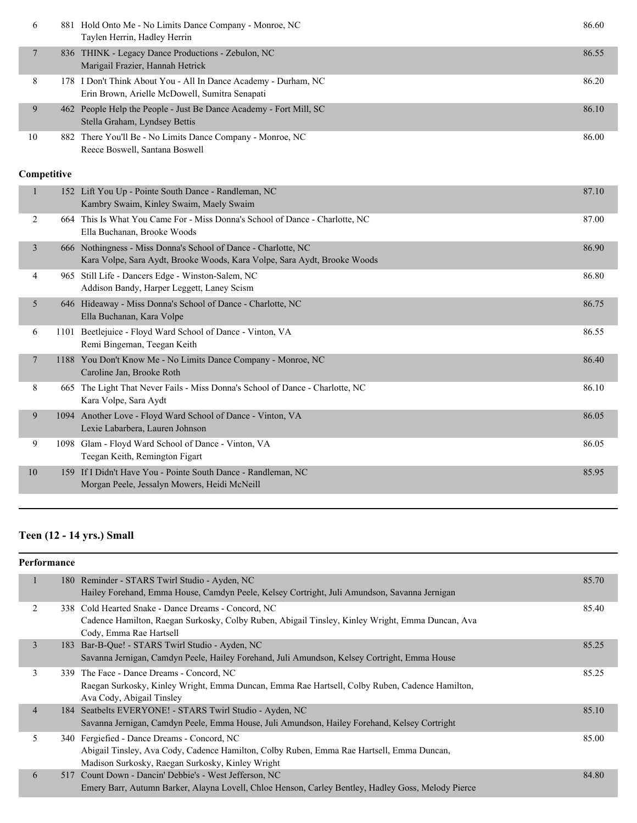| 6  | 881 Hold Onto Me - No Limits Dance Company - Monroe, NC<br>Taylen Herrin, Hadley Herrin                           | 86.60 |
|----|-------------------------------------------------------------------------------------------------------------------|-------|
|    | 836 THINK - Legacy Dance Productions - Zebulon, NC<br>Marigail Frazier, Hannah Hetrick                            | 86.55 |
| 8  | 178 I Don't Think About You - All In Dance Academy - Durham, NC<br>Erin Brown, Arielle McDowell, Sumitra Senapati | 86.20 |
| 9  | 462 People Help the People - Just Be Dance Academy - Fort Mill, SC<br>Stella Graham, Lyndsey Bettis               | 86.10 |
| 10 | 882 There You'll Be - No Limits Dance Company - Monroe, NC<br>Reece Boswell, Santana Boswell                      | 86.00 |

| $\mathbf{1}$ | 152 Lift You Up - Pointe South Dance - Randleman, NC<br>Kambry Swaim, Kinley Swaim, Maely Swaim                                            | 87.10 |
|--------------|--------------------------------------------------------------------------------------------------------------------------------------------|-------|
| 2<br>664     | This Is What You Came For - Miss Donna's School of Dance - Charlotte, NC<br>Ella Buchanan, Brooke Woods                                    | 87.00 |
| 3            | 666 Nothingness - Miss Donna's School of Dance - Charlotte, NC<br>Kara Volpe, Sara Aydt, Brooke Woods, Kara Volpe, Sara Aydt, Brooke Woods | 86.90 |
| 4            | 965 Still Life - Dancers Edge - Winston-Salem, NC<br>Addison Bandy, Harper Leggett, Laney Scism                                            | 86.80 |
| 5            | 646 Hideaway - Miss Donna's School of Dance - Charlotte, NC<br>Ella Buchanan, Kara Volpe                                                   | 86.75 |
| 6<br>1101    | Beetlejuice - Floyd Ward School of Dance - Vinton, VA<br>Remi Bingeman, Teegan Keith                                                       | 86.55 |
| 7            | 1188 You Don't Know Me - No Limits Dance Company - Monroe, NC<br>Caroline Jan, Brooke Roth                                                 | 86.40 |
| 8<br>665     | The Light That Never Fails - Miss Donna's School of Dance - Charlotte, NC<br>Kara Volpe, Sara Aydt                                         | 86.10 |
| 9            | 1094 Another Love - Floyd Ward School of Dance - Vinton, VA<br>Lexie Labarbera, Lauren Johnson                                             | 86.05 |
| 9<br>1098    | Glam - Floyd Ward School of Dance - Vinton, VA<br>Teegan Keith, Remington Figart                                                           | 86.05 |
| 10<br>159    | If I Didn't Have You - Pointe South Dance - Randleman, NC<br>Morgan Peele, Jessalyn Mowers, Heidi McNeill                                  | 85.95 |
|              |                                                                                                                                            |       |

# **Teen (12 - 14 yrs.) Small**

# **Performance**

|                | 180 Reminder - STARS Twirl Studio - Ayden, NC                                                      | 85.70 |
|----------------|----------------------------------------------------------------------------------------------------|-------|
|                | Hailey Forehand, Emma House, Camdyn Peele, Kelsey Cortright, Juli Amundson, Savanna Jernigan       |       |
| 2              | 338 Cold Hearted Snake - Dance Dreams - Concord, NC                                                | 85.40 |
|                | Cadence Hamilton, Raegan Surkosky, Colby Ruben, Abigail Tinsley, Kinley Wright, Emma Duncan, Ava   |       |
|                | Cody, Emma Rae Hartsell                                                                            |       |
| 3              | 183 Bar-B-Que! - STARS Twirl Studio - Ayden, NC                                                    | 85.25 |
|                | Savanna Jernigan, Camdyn Peele, Hailey Forehand, Juli Amundson, Kelsey Cortright, Emma House       |       |
| 3              | 339 The Face - Dance Dreams - Concord, NC                                                          | 85.25 |
|                | Raegan Surkosky, Kinley Wright, Emma Duncan, Emma Rae Hartsell, Colby Ruben, Cadence Hamilton,     |       |
|                | Ava Cody, Abigail Tinsley                                                                          |       |
| $\overline{4}$ | 184 Seatbelts EVERYONE! - STARS Twirl Studio - Ayden, NC                                           | 85.10 |
|                | Savanna Jernigan, Camdyn Peele, Emma House, Juli Amundson, Hailey Forehand, Kelsey Cortright       |       |
| 5              | 340 Fergiefied - Dance Dreams - Concord, NC                                                        | 85.00 |
|                | Abigail Tinsley, Ava Cody, Cadence Hamilton, Colby Ruben, Emma Rae Hartsell, Emma Duncan,          |       |
|                | Madison Surkosky, Raegan Surkosky, Kinley Wright                                                   |       |
| 6              | 517 Count Down - Dancin' Debbie's - West Jefferson, NC                                             | 84.80 |
|                | Emery Barr, Autumn Barker, Alayna Lovell, Chloe Henson, Carley Bentley, Hadley Goss, Melody Pierce |       |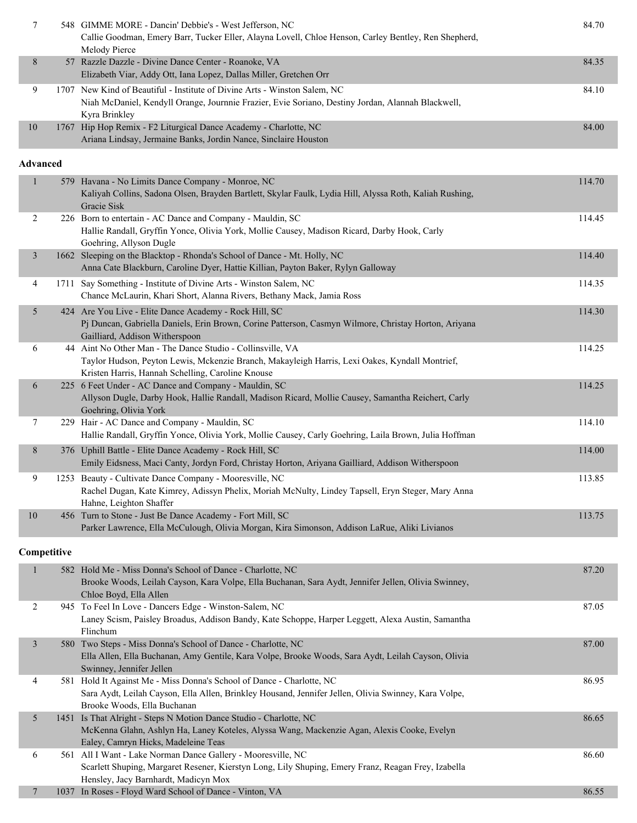| 7               | 548 GIMME MORE - Dancin' Debbie's - West Jefferson, NC<br>Callie Goodman, Emery Barr, Tucker Eller, Alayna Lovell, Chloe Henson, Carley Bentley, Ren Shepherd,<br>Melody Pierce                                   | 84.70  |
|-----------------|-------------------------------------------------------------------------------------------------------------------------------------------------------------------------------------------------------------------|--------|
| 8               | 57 Razzle Dazzle - Divine Dance Center - Roanoke, VA<br>Elizabeth Viar, Addy Ott, Iana Lopez, Dallas Miller, Gretchen Orr                                                                                         | 84.35  |
| 9               | 1707 New Kind of Beautiful - Institute of Divine Arts - Winston Salem, NC<br>Niah McDaniel, Kendyll Orange, Journnie Frazier, Evie Soriano, Destiny Jordan, Alannah Blackwell,<br>Kyra Brinkley                   | 84.10  |
| 10              | 1767 Hip Hop Remix - F2 Liturgical Dance Academy - Charlotte, NC<br>Ariana Lindsay, Jermaine Banks, Jordin Nance, Sinclaire Houston                                                                               | 84.00  |
| <b>Advanced</b> |                                                                                                                                                                                                                   |        |
| $\mathbf{1}$    | 579 Havana - No Limits Dance Company - Monroe, NC<br>Kaliyah Collins, Sadona Olsen, Brayden Bartlett, Skylar Faulk, Lydia Hill, Alyssa Roth, Kaliah Rushing,<br>Gracie Sisk                                       | 114.70 |
| 2               | 226 Born to entertain - AC Dance and Company - Mauldin, SC<br>Hallie Randall, Gryffin Yonce, Olivia York, Mollie Causey, Madison Ricard, Darby Hook, Carly<br>Goehring, Allyson Dugle                             | 114.45 |
| $\mathfrak{Z}$  | 1662 Sleeping on the Blacktop - Rhonda's School of Dance - Mt. Holly, NC<br>Anna Cate Blackburn, Caroline Dyer, Hattie Killian, Payton Baker, Rylyn Galloway                                                      | 114.40 |
| 4               | 1711 Say Something - Institute of Divine Arts - Winston Salem, NC<br>Chance McLaurin, Khari Short, Alanna Rivers, Bethany Mack, Jamia Ross                                                                        | 114.35 |
| 5               | 424 Are You Live - Elite Dance Academy - Rock Hill, SC<br>Pj Duncan, Gabriella Daniels, Erin Brown, Corine Patterson, Casmyn Wilmore, Christay Horton, Ariyana<br>Gailliard, Addison Witherspoon                  | 114.30 |
| 6               | 44 Aint No Other Man - The Dance Studio - Collinsville, VA<br>Taylor Hudson, Peyton Lewis, Mckenzie Branch, Makayleigh Harris, Lexi Oakes, Kyndall Montrief,<br>Kristen Harris, Hannah Schelling, Caroline Knouse | 114.25 |
| 6               | 225 6 Feet Under - AC Dance and Company - Mauldin, SC<br>Allyson Dugle, Darby Hook, Hallie Randall, Madison Ricard, Mollie Causey, Samantha Reichert, Carly<br>Goehring, Olivia York                              | 114.25 |
| 7               | 229 Hair - AC Dance and Company - Mauldin, SC<br>Hallie Randall, Gryffin Yonce, Olivia York, Mollie Causey, Carly Goehring, Laila Brown, Julia Hoffman                                                            | 114.10 |
| 8               | 376 Uphill Battle - Elite Dance Academy - Rock Hill, SC<br>Emily Eidsness, Maci Canty, Jordyn Ford, Christay Horton, Ariyana Gailliard, Addison Witherspoon                                                       | 114.00 |
| 9               | 1253 Beauty - Cultivate Dance Company - Mooresville, NC<br>Rachel Dugan, Kate Kimrey, Adissyn Phelix, Moriah McNulty, Lindey Tapsell, Eryn Steger, Mary Anna<br>Hahne, Leighton Shaffer                           | 113.85 |
| $10\,$          | 456 Turn to Stone - Just Be Dance Academy - Fort Mill, SC<br>Parker Lawrence, Ella McCulough, Olivia Morgan, Kira Simonson, Addison LaRue, Aliki Livianos                                                         | 113.75 |
| Competitive     |                                                                                                                                                                                                                   |        |
| $\mathbf{1}$    | 582 Hold Me - Miss Donna's School of Dance - Charlotte, NC<br>Brooke Woods, Leilah Cayson, Kara Volpe, Ella Buchanan, Sara Aydt, Jennifer Jellen, Olivia Swinney,<br>Chloe Boyd, Ella Allen                       | 87.20  |
| 2               | 945 To Feel In Love - Dancers Edge - Winston-Salem, NC<br>Laney Scism, Paisley Broadus, Addison Bandy, Kate Schoppe, Harper Leggett, Alexa Austin, Samantha<br>Flinchum                                           | 87.05  |
| 3               | 580 Two Steps - Miss Donna's School of Dance - Charlotte, NC<br>Ella Allen, Ella Buchanan, Amy Gentile, Kara Volpe, Brooke Woods, Sara Aydt, Leilah Cayson, Olivia<br>Swinney, Jennifer Jellen                    | 87.00  |
| 4               | 581 Hold It Against Me - Miss Donna's School of Dance - Charlotte, NC<br>Sara Aydt, Leilah Cayson, Ella Allen, Brinkley Housand, Jennifer Jellen, Olivia Swinney, Kara Volpe,<br>Brooke Woods, Ella Buchanan      | 86.95  |
| 5               | 1451 Is That Alright - Steps N Motion Dance Studio - Charlotte, NC<br>McKenna Glahn, Ashlyn Ha, Laney Koteles, Alyssa Wang, Mackenzie Agan, Alexis Cooke, Evelyn<br>Ealey, Camryn Hicks, Madeleine Teas           | 86.65  |
| 6               | 561 All I Want - Lake Norman Dance Gallery - Mooresville, NC<br>Scarlett Shuping, Margaret Resener, Kierstyn Long, Lily Shuping, Emery Franz, Reagan Frey, Izabella                                               | 86.60  |
| 7               | Hensley, Jacy Barnhardt, Madicyn Mox<br>1037 In Roses - Floyd Ward School of Dance - Vinton, VA                                                                                                                   | 86.55  |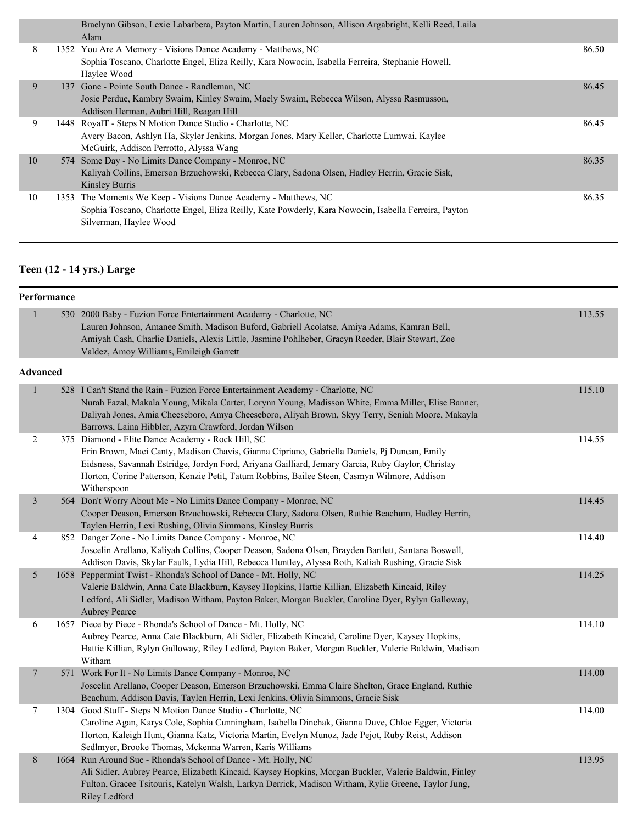|    | Braelynn Gibson, Lexie Labarbera, Payton Martin, Lauren Johnson, Allison Argabright, Kelli Reed, Laila<br>Alam |       |
|----|----------------------------------------------------------------------------------------------------------------|-------|
| 8  | 1352 You Are A Memory - Visions Dance Academy - Matthews, NC                                                   | 86.50 |
|    | Sophia Toscano, Charlotte Engel, Eliza Reilly, Kara Nowocin, Isabella Ferreira, Stephanie Howell,              |       |
|    | Haylee Wood                                                                                                    |       |
| 9  | 137 Gone - Pointe South Dance - Randleman, NC                                                                  | 86.45 |
|    | Josie Perdue, Kambry Swaim, Kinley Swaim, Maely Swaim, Rebecca Wilson, Alyssa Rasmusson,                       |       |
|    | Addison Herman, Aubri Hill, Reagan Hill                                                                        |       |
| 9  | 1448 RoyalT - Steps N Motion Dance Studio - Charlotte, NC                                                      | 86.45 |
|    | Avery Bacon, Ashlyn Ha, Skyler Jenkins, Morgan Jones, Mary Keller, Charlotte Lumwai, Kaylee                    |       |
|    | McGuirk, Addison Perrotto, Alyssa Wang                                                                         |       |
| 10 | 574 Some Day - No Limits Dance Company - Monroe, NC                                                            | 86.35 |
|    | Kaliyah Collins, Emerson Brzuchowski, Rebecca Clary, Sadona Olsen, Hadley Herrin, Gracie Sisk,                 |       |
|    | Kinsley Burris                                                                                                 |       |
| 10 | 1353 The Moments We Keep - Visions Dance Academy - Matthews, NC                                                | 86.35 |
|    | Sophia Toscano, Charlotte Engel, Eliza Reilly, Kate Powderly, Kara Nowocin, Isabella Ferreira, Payton          |       |
|    | Silverman, Haylee Wood                                                                                         |       |

# **Teen (12 - 14 yrs.) Large**

|                          | Performance |                                                                                                                                                                                                                                                                                                                                                                       |        |  |  |
|--------------------------|-------------|-----------------------------------------------------------------------------------------------------------------------------------------------------------------------------------------------------------------------------------------------------------------------------------------------------------------------------------------------------------------------|--------|--|--|
| $\mathbf{1}$             |             | 530 2000 Baby - Fuzion Force Entertainment Academy - Charlotte, NC<br>Lauren Johnson, Amanee Smith, Madison Buford, Gabriell Acolatse, Amiya Adams, Kamran Bell,<br>Amiyah Cash, Charlie Daniels, Alexis Little, Jasmine Pohlheber, Gracyn Reeder, Blair Stewart, Zoe<br>Valdez, Amoy Williams, Emileigh Garrett                                                      | 113.55 |  |  |
| <b>Advanced</b>          |             |                                                                                                                                                                                                                                                                                                                                                                       |        |  |  |
| $\mathbf{1}$             |             | 528 I Can't Stand the Rain - Fuzion Force Entertainment Academy - Charlotte, NC<br>Nurah Fazal, Makala Young, Mikala Carter, Lorynn Young, Madisson White, Emma Miller, Elise Banner,<br>Daliyah Jones, Amia Cheeseboro, Amya Cheeseboro, Aliyah Brown, Skyy Terry, Seniah Moore, Makayla<br>Barrows, Laina Hibbler, Azyra Crawford, Jordan Wilson                    | 115.10 |  |  |
| $\overline{c}$           |             | 375 Diamond - Elite Dance Academy - Rock Hill, SC<br>Erin Brown, Maci Canty, Madison Chavis, Gianna Cipriano, Gabriella Daniels, Pj Duncan, Emily<br>Eidsness, Savannah Estridge, Jordyn Ford, Ariyana Gailliard, Jemary Garcia, Ruby Gaylor, Christay<br>Horton, Corine Patterson, Kenzie Petit, Tatum Robbins, Bailee Steen, Casmyn Wilmore, Addison<br>Witherspoon | 114.55 |  |  |
| 3                        |             | 564 Don't Worry About Me - No Limits Dance Company - Monroe, NC<br>Cooper Deason, Emerson Brzuchowski, Rebecca Clary, Sadona Olsen, Ruthie Beachum, Hadley Herrin,<br>Taylen Herrin, Lexi Rushing, Olivia Simmons, Kinsley Burris                                                                                                                                     | 114.45 |  |  |
| $\overline{\mathcal{L}}$ |             | 852 Danger Zone - No Limits Dance Company - Monroe, NC<br>Joscelin Arellano, Kaliyah Collins, Cooper Deason, Sadona Olsen, Brayden Bartlett, Santana Boswell,<br>Addison Davis, Skylar Faulk, Lydia Hill, Rebecca Huntley, Alyssa Roth, Kaliah Rushing, Gracie Sisk                                                                                                   | 114.40 |  |  |
| 5                        |             | 1658 Peppermint Twist - Rhonda's School of Dance - Mt. Holly, NC<br>Valerie Baldwin, Anna Cate Blackburn, Kaysey Hopkins, Hattie Killian, Elizabeth Kincaid, Riley<br>Ledford, Ali Sidler, Madison Witham, Payton Baker, Morgan Buckler, Caroline Dyer, Rylyn Galloway,<br><b>Aubrey Pearce</b>                                                                       | 114.25 |  |  |
| 6                        |             | 1657 Piece by Piece - Rhonda's School of Dance - Mt. Holly, NC<br>Aubrey Pearce, Anna Cate Blackburn, Ali Sidler, Elizabeth Kincaid, Caroline Dyer, Kaysey Hopkins,<br>Hattie Killian, Rylyn Galloway, Riley Ledford, Payton Baker, Morgan Buckler, Valerie Baldwin, Madison<br>Witham                                                                                | 114.10 |  |  |
| $\overline{\phantom{a}}$ |             | 571 Work For It - No Limits Dance Company - Monroe, NC<br>Joscelin Arellano, Cooper Deason, Emerson Brzuchowski, Emma Claire Shelton, Grace England, Ruthie<br>Beachum, Addison Davis, Taylen Herrin, Lexi Jenkins, Olivia Simmons, Gracie Sisk                                                                                                                       | 114.00 |  |  |
| $\tau$                   |             | 1304 Good Stuff - Steps N Motion Dance Studio - Charlotte, NC<br>Caroline Agan, Karys Cole, Sophia Cunningham, Isabella Dinchak, Gianna Duve, Chloe Egger, Victoria<br>Horton, Kaleigh Hunt, Gianna Katz, Victoria Martin, Evelyn Munoz, Jade Pejot, Ruby Reist, Addison<br>Sedlmyer, Brooke Thomas, Mckenna Warren, Karis Williams                                   | 114.00 |  |  |
| 8                        |             | 1664 Run Around Sue - Rhonda's School of Dance - Mt. Holly, NC<br>Ali Sidler, Aubrey Pearce, Elizabeth Kincaid, Kaysey Hopkins, Morgan Buckler, Valerie Baldwin, Finley<br>Fulton, Gracee Tsitouris, Katelyn Walsh, Larkyn Derrick, Madison Witham, Rylie Greene, Taylor Jung,<br>Riley Ledford                                                                       | 113.95 |  |  |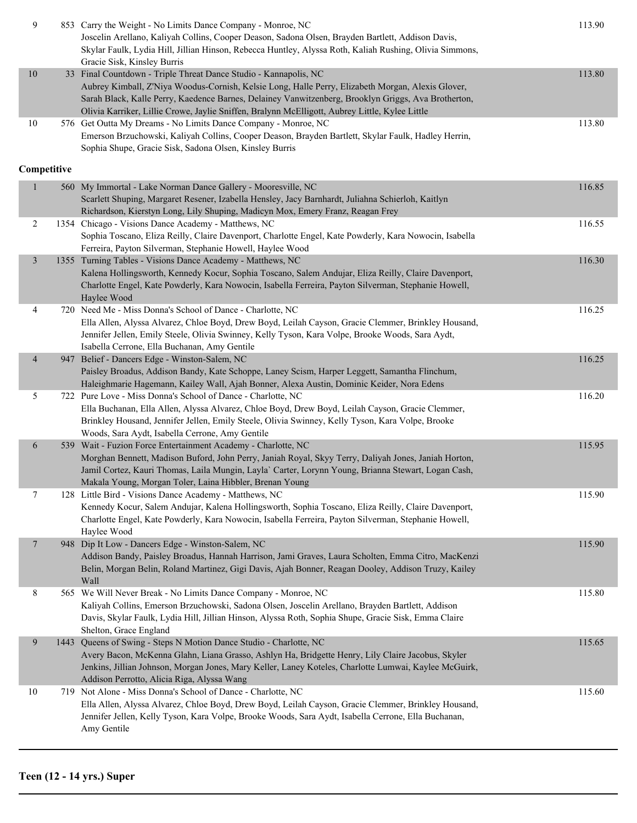| 9              | 853 Carry the Weight - No Limits Dance Company - Monroe, NC<br>Joscelin Arellano, Kaliyah Collins, Cooper Deason, Sadona Olsen, Brayden Bartlett, Addison Davis,<br>Skylar Faulk, Lydia Hill, Jillian Hinson, Rebecca Huntley, Alyssa Roth, Kaliah Rushing, Olivia Simmons,<br>Gracie Sisk, Kinsley Burris                                                                     | 113.90 |
|----------------|--------------------------------------------------------------------------------------------------------------------------------------------------------------------------------------------------------------------------------------------------------------------------------------------------------------------------------------------------------------------------------|--------|
| $10\,$         | 33 Final Countdown - Triple Threat Dance Studio - Kannapolis, NC<br>Aubrey Kimball, Z'Niya Woodus-Cornish, Kelsie Long, Halle Perry, Elizabeth Morgan, Alexis Glover,<br>Sarah Black, Kalle Perry, Kaedence Barnes, Delainey Vanwitzenberg, Brooklyn Griggs, Ava Brotherton,<br>Olivia Karriker, Lillie Crowe, Jaylie Sniffen, Bralynn McElligott, Aubrey Little, Kylee Little | 113.80 |
| $10\,$         | 576 Get Outta My Dreams - No Limits Dance Company - Monroe, NC<br>Emerson Brzuchowski, Kaliyah Collins, Cooper Deason, Brayden Bartlett, Skylar Faulk, Hadley Herrin,<br>Sophia Shupe, Gracie Sisk, Sadona Olsen, Kinsley Burris                                                                                                                                               | 113.80 |
| Competitive    |                                                                                                                                                                                                                                                                                                                                                                                |        |
|                | 560 My Immortal - Lake Norman Dance Gallery - Mooresville, NC<br>Scarlett Shuping, Margaret Resener, Izabella Hensley, Jacy Barnhardt, Juliahna Schierloh, Kaitlyn<br>Richardson, Kierstyn Long, Lily Shuping, Madicyn Mox, Emery Franz, Reagan Frey                                                                                                                           | 116.85 |
| $\overline{2}$ | 1354 Chicago - Visions Dance Academy - Matthews, NC<br>Sophia Toscano, Eliza Reilly, Claire Davenport, Charlotte Engel, Kate Powderly, Kara Nowocin, Isabella<br>Ferreira, Payton Silverman, Stephanie Howell, Haylee Wood                                                                                                                                                     | 116.55 |
| $\mathfrak{Z}$ | 1355 Turning Tables - Visions Dance Academy - Matthews, NC<br>Kalena Hollingsworth, Kennedy Kocur, Sophia Toscano, Salem Andujar, Eliza Reilly, Claire Davenport,<br>Charlotte Engel, Kate Powderly, Kara Nowocin, Isabella Ferreira, Payton Silverman, Stephanie Howell,<br>Haylee Wood                                                                                       | 116.30 |
| 4              | 720 Need Me - Miss Donna's School of Dance - Charlotte, NC<br>Ella Allen, Alyssa Alvarez, Chloe Boyd, Drew Boyd, Leilah Cayson, Gracie Clemmer, Brinkley Housand,<br>Jennifer Jellen, Emily Steele, Olivia Swinney, Kelly Tyson, Kara Volpe, Brooke Woods, Sara Aydt,<br>Isabella Cerrone, Ella Buchanan, Amy Gentile                                                          | 116.25 |
| $\overline{4}$ | 947 Belief - Dancers Edge - Winston-Salem, NC<br>Paisley Broadus, Addison Bandy, Kate Schoppe, Laney Scism, Harper Leggett, Samantha Flinchum,<br>Haleighmarie Hagemann, Kailey Wall, Ajah Bonner, Alexa Austin, Dominic Keider, Nora Edens                                                                                                                                    | 116.25 |
| 5              | 722 Pure Love - Miss Donna's School of Dance - Charlotte, NC<br>Ella Buchanan, Ella Allen, Alyssa Alvarez, Chloe Boyd, Drew Boyd, Leilah Cayson, Gracie Clemmer,<br>Brinkley Housand, Jennifer Jellen, Emily Steele, Olivia Swinney, Kelly Tyson, Kara Volpe, Brooke<br>Woods, Sara Aydt, Isabella Cerrone, Amy Gentile                                                        | 116.20 |
| 6              | 539 Wait - Fuzion Force Entertainment Academy - Charlotte, NC<br>Morghan Bennett, Madison Buford, John Perry, Janiah Royal, Skyy Terry, Daliyah Jones, Janiah Horton,<br>Jamil Cortez, Kauri Thomas, Laila Mungin, Layla' Carter, Lorynn Young, Brianna Stewart, Logan Cash,<br>Makala Young, Morgan Toler, Laina Hibbler, Brenan Young                                        | 115.95 |
| $\tau$         | 128 Little Bird - Visions Dance Academy - Matthews, NC<br>Kennedy Kocur, Salem Andujar, Kalena Hollingsworth, Sophia Toscano, Eliza Reilly, Claire Davenport,<br>Charlotte Engel, Kate Powderly, Kara Nowocin, Isabella Ferreira, Payton Silverman, Stephanie Howell,<br>Haylee Wood                                                                                           | 115.90 |
| 7              | 948 Dip It Low - Dancers Edge - Winston-Salem, NC<br>Addison Bandy, Paisley Broadus, Hannah Harrison, Jami Graves, Laura Scholten, Emma Citro, MacKenzi<br>Belin, Morgan Belin, Roland Martinez, Gigi Davis, Ajah Bonner, Reagan Dooley, Addison Truzy, Kailey<br>Wall                                                                                                         | 115.90 |
| 8              | 565 We Will Never Break - No Limits Dance Company - Monroe, NC<br>Kaliyah Collins, Emerson Brzuchowski, Sadona Olsen, Joscelin Arellano, Brayden Bartlett, Addison<br>Davis, Skylar Faulk, Lydia Hill, Jillian Hinson, Alyssa Roth, Sophia Shupe, Gracie Sisk, Emma Claire<br>Shelton, Grace England                                                                           | 115.80 |
| 9              | 1443 Queens of Swing - Steps N Motion Dance Studio - Charlotte, NC<br>Avery Bacon, McKenna Glahn, Liana Grasso, Ashlyn Ha, Bridgette Henry, Lily Claire Jacobus, Skyler<br>Jenkins, Jillian Johnson, Morgan Jones, Mary Keller, Laney Koteles, Charlotte Lumwai, Kaylee McGuirk,<br>Addison Perrotto, Alicia Riga, Alyssa Wang                                                 | 115.65 |
| $10\,$         | 719 Not Alone - Miss Donna's School of Dance - Charlotte, NC<br>Ella Allen, Alyssa Alvarez, Chloe Boyd, Drew Boyd, Leilah Cayson, Gracie Clemmer, Brinkley Housand,<br>Jennifer Jellen, Kelly Tyson, Kara Volpe, Brooke Woods, Sara Aydt, Isabella Cerrone, Ella Buchanan,<br>Amy Gentile                                                                                      | 115.60 |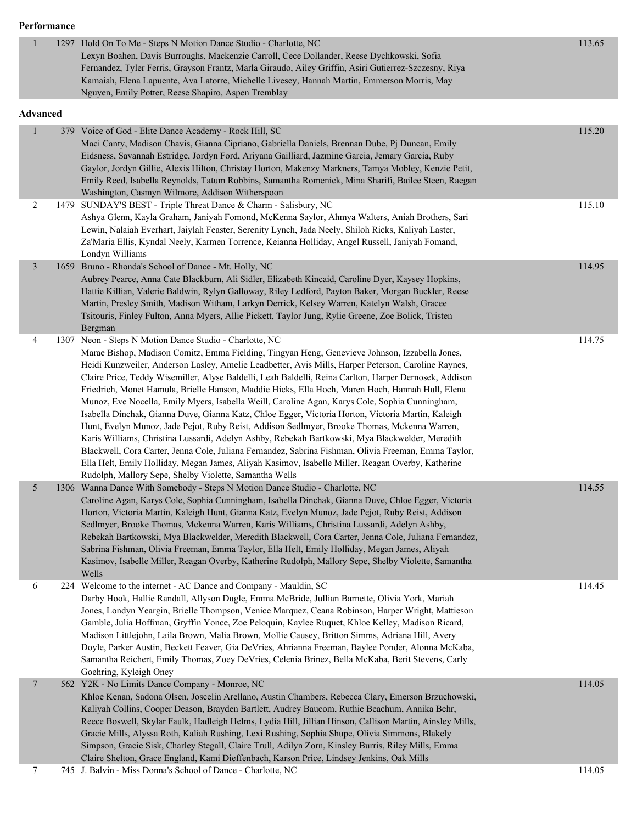#### **Performance**

| $\mathbf{1}$             |     | 1297 Hold On To Me - Steps N Motion Dance Studio - Charlotte, NC<br>Lexyn Boahen, Davis Burroughs, Mackenzie Carroll, Cece Dollander, Reese Dychkowski, Sofia<br>Fernandez, Tyler Ferris, Grayson Frantz, Marla Giraudo, Ailey Griffin, Asiri Gutierrez-Szczesny, Riya<br>Kamaiah, Elena Lapuente, Ava Latorre, Michelle Livesey, Hannah Martin, Emmerson Morris, May<br>Nguyen, Emily Potter, Reese Shapiro, Aspen Tremblay                                                                                                                                                                                                                                                                                                                                                                                                                                                                                                                                                                                                                                                                                                                                     | 113.65 |
|--------------------------|-----|------------------------------------------------------------------------------------------------------------------------------------------------------------------------------------------------------------------------------------------------------------------------------------------------------------------------------------------------------------------------------------------------------------------------------------------------------------------------------------------------------------------------------------------------------------------------------------------------------------------------------------------------------------------------------------------------------------------------------------------------------------------------------------------------------------------------------------------------------------------------------------------------------------------------------------------------------------------------------------------------------------------------------------------------------------------------------------------------------------------------------------------------------------------|--------|
| <b>Advanced</b>          |     |                                                                                                                                                                                                                                                                                                                                                                                                                                                                                                                                                                                                                                                                                                                                                                                                                                                                                                                                                                                                                                                                                                                                                                  |        |
|                          | 379 | Voice of God - Elite Dance Academy - Rock Hill, SC<br>Maci Canty, Madison Chavis, Gianna Cipriano, Gabriella Daniels, Brennan Dube, Pj Duncan, Emily<br>Eidsness, Savannah Estridge, Jordyn Ford, Ariyana Gailliard, Jazmine Garcia, Jemary Garcia, Ruby<br>Gaylor, Jordyn Gillie, Alexis Hilton, Christay Horton, Makenzy Markners, Tamya Mobley, Kenzie Petit,<br>Emily Reed, Isabella Reynolds, Tatum Robbins, Samantha Romenick, Mina Sharifi, Bailee Steen, Raegan<br>Washington, Casmyn Wilmore, Addison Witherspoon                                                                                                                                                                                                                                                                                                                                                                                                                                                                                                                                                                                                                                       | 115.20 |
| 2                        |     | 1479 SUNDAY'S BEST - Triple Threat Dance & Charm - Salisbury, NC<br>Ashya Glenn, Kayla Graham, Janiyah Fomond, McKenna Saylor, Ahmya Walters, Aniah Brothers, Sari<br>Lewin, Nalaiah Everhart, Jaiylah Feaster, Serenity Lynch, Jada Neely, Shiloh Ricks, Kaliyah Laster,<br>Za'Maria Ellis, Kyndal Neely, Karmen Torrence, Keianna Holliday, Angel Russell, Janiyah Fomand,<br>Londyn Williams                                                                                                                                                                                                                                                                                                                                                                                                                                                                                                                                                                                                                                                                                                                                                                  | 115.10 |
| $\mathfrak{Z}$           |     | 1659 Bruno - Rhonda's School of Dance - Mt. Holly, NC<br>Aubrey Pearce, Anna Cate Blackburn, Ali Sidler, Elizabeth Kincaid, Caroline Dyer, Kaysey Hopkins,<br>Hattie Killian, Valerie Baldwin, Rylyn Galloway, Riley Ledford, Payton Baker, Morgan Buckler, Reese<br>Martin, Presley Smith, Madison Witham, Larkyn Derrick, Kelsey Warren, Katelyn Walsh, Gracee<br>Tsitouris, Finley Fulton, Anna Myers, Allie Pickett, Taylor Jung, Rylie Greene, Zoe Bolick, Tristen<br>Bergman                                                                                                                                                                                                                                                                                                                                                                                                                                                                                                                                                                                                                                                                               | 114.95 |
| 4                        |     | 1307 Neon - Steps N Motion Dance Studio - Charlotte, NC<br>Marae Bishop, Madison Comitz, Emma Fielding, Tingyan Heng, Genevieve Johnson, Izzabella Jones,<br>Heidi Kunzweiler, Anderson Lasley, Amelie Leadbetter, Avis Mills, Harper Peterson, Caroline Raynes,<br>Claire Price, Teddy Wisemiller, Alyse Baldelli, Leah Baldelli, Reina Carlton, Harper Dernosek, Addison<br>Friedrich, Monet Hamula, Brielle Hanson, Maddie Hicks, Ella Hoch, Maren Hoch, Hannah Hull, Elena<br>Munoz, Eve Nocella, Emily Myers, Isabella Weill, Caroline Agan, Karys Cole, Sophia Cunningham,<br>Isabella Dinchak, Gianna Duve, Gianna Katz, Chloe Egger, Victoria Horton, Victoria Martin, Kaleigh<br>Hunt, Evelyn Munoz, Jade Pejot, Ruby Reist, Addison Sedlmyer, Brooke Thomas, Mckenna Warren,<br>Karis Williams, Christina Lussardi, Adelyn Ashby, Rebekah Bartkowski, Mya Blackwelder, Meredith<br>Blackwell, Cora Carter, Jenna Cole, Juliana Fernandez, Sabrina Fishman, Olivia Freeman, Emma Taylor,<br>Ella Helt, Emily Holliday, Megan James, Aliyah Kasimov, Isabelle Miller, Reagan Overby, Katherine<br>Rudolph, Mallory Sepe, Shelby Violette, Samantha Wells | 114.75 |
| 5                        |     | 1306 Wanna Dance With Somebody - Steps N Motion Dance Studio - Charlotte, NC<br>Caroline Agan, Karys Cole, Sophia Cunningham, Isabella Dinchak, Gianna Duve, Chloe Egger, Victoria<br>Horton, Victoria Martin, Kaleigh Hunt, Gianna Katz, Evelyn Munoz, Jade Pejot, Ruby Reist, Addison<br>Sedlmyer, Brooke Thomas, Mckenna Warren, Karis Williams, Christina Lussardi, Adelyn Ashby,<br>Rebekah Bartkowski, Mya Blackwelder, Meredith Blackwell, Cora Carter, Jenna Cole, Juliana Fernandez,<br>Sabrina Fishman, Olivia Freeman, Emma Taylor, Ella Helt, Emily Holliday, Megan James, Aliyah<br>Kasimov, Isabelle Miller, Reagan Overby, Katherine Rudolph, Mallory Sepe, Shelby Violette, Samantha<br>Wells                                                                                                                                                                                                                                                                                                                                                                                                                                                    | 114.55 |
| 6                        |     | 224 Welcome to the internet - AC Dance and Company - Mauldin, SC<br>Darby Hook, Hallie Randall, Allyson Dugle, Emma McBride, Jullian Barnette, Olivia York, Mariah<br>Jones, Londyn Yeargin, Brielle Thompson, Venice Marquez, Ceana Robinson, Harper Wright, Mattieson<br>Gamble, Julia Hoffman, Gryffin Yonce, Zoe Peloquin, Kaylee Ruquet, Khloe Kelley, Madison Ricard,<br>Madison Littlejohn, Laila Brown, Malia Brown, Mollie Causey, Britton Simms, Adriana Hill, Avery<br>Doyle, Parker Austin, Beckett Feaver, Gia DeVries, Ahrianna Freeman, Baylee Ponder, Alonna McKaba,<br>Samantha Reichert, Emily Thomas, Zoey DeVries, Celenia Brinez, Bella McKaba, Berit Stevens, Carly<br>Goehring, Kyleigh Oney                                                                                                                                                                                                                                                                                                                                                                                                                                              | 114.45 |
| $\overline{\phantom{a}}$ |     | 562 Y2K - No Limits Dance Company - Monroe, NC<br>Khloe Kenan, Sadona Olsen, Joscelin Arellano, Austin Chambers, Rebecca Clary, Emerson Brzuchowski,<br>Kaliyah Collins, Cooper Deason, Brayden Bartlett, Audrey Baucom, Ruthie Beachum, Annika Behr,<br>Reece Boswell, Skylar Faulk, Hadleigh Helms, Lydia Hill, Jillian Hinson, Callison Martin, Ainsley Mills,<br>Gracie Mills, Alyssa Roth, Kaliah Rushing, Lexi Rushing, Sophia Shupe, Olivia Simmons, Blakely<br>Simpson, Gracie Sisk, Charley Stegall, Claire Trull, Adilyn Zorn, Kinsley Burris, Riley Mills, Emma<br>Claire Shelton, Grace England, Kami Dieffenbach, Karson Price, Lindsey Jenkins, Oak Mills                                                                                                                                                                                                                                                                                                                                                                                                                                                                                          | 114.05 |
| 7                        |     | 745 J. Balvin - Miss Donna's School of Dance - Charlotte, NC                                                                                                                                                                                                                                                                                                                                                                                                                                                                                                                                                                                                                                                                                                                                                                                                                                                                                                                                                                                                                                                                                                     | 114.05 |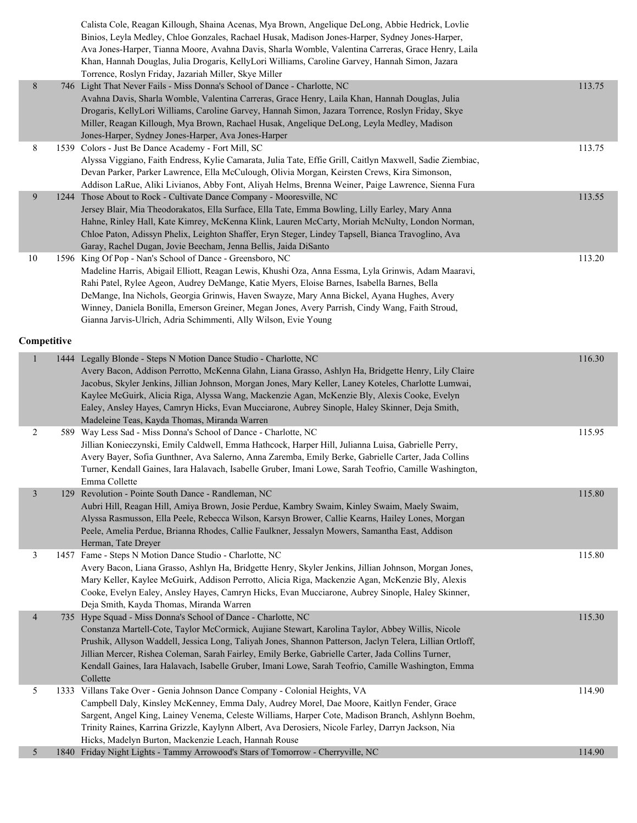|                |   | Calista Cole, Reagan Killough, Shaina Acenas, Mya Brown, Angelique DeLong, Abbie Hedrick, Lovlie<br>Binios, Leyla Medley, Chloe Gonzales, Rachael Husak, Madison Jones-Harper, Sydney Jones-Harper,<br>Ava Jones-Harper, Tianna Moore, Avahna Davis, Sharla Womble, Valentina Carreras, Grace Henry, Laila<br>Khan, Hannah Douglas, Julia Drogaris, KellyLori Williams, Caroline Garvey, Hannah Simon, Jazara<br>Torrence, Roslyn Friday, Jazariah Miller, Skye Miller |                                                                                                                                                                                                                                                                                                                                                                                                                                                                                                                                                                                                                                                                                                                                                                                                                            |        |
|----------------|---|------------------------------------------------------------------------------------------------------------------------------------------------------------------------------------------------------------------------------------------------------------------------------------------------------------------------------------------------------------------------------------------------------------------------------------------------------------------------|----------------------------------------------------------------------------------------------------------------------------------------------------------------------------------------------------------------------------------------------------------------------------------------------------------------------------------------------------------------------------------------------------------------------------------------------------------------------------------------------------------------------------------------------------------------------------------------------------------------------------------------------------------------------------------------------------------------------------------------------------------------------------------------------------------------------------|--------|
| 8              |   | Avahna Davis, Sharla Womble, Valentina Carreras, Grace Henry, Laila Khan, Hannah Douglas, Julia<br>Drogaris, KellyLori Williams, Caroline Garvey, Hannah Simon, Jazara Torrence, Roslyn Friday, Skye<br>Miller, Reagan Killough, Mya Brown, Rachael Husak, Angelique DeLong, Leyla Medley, Madison<br>Jones-Harper, Sydney Jones-Harper, Ava Jones-Harper                                                                                                              |                                                                                                                                                                                                                                                                                                                                                                                                                                                                                                                                                                                                                                                                                                                                                                                                                            | 113.75 |
| 8              |   | Alyssa Viggiano, Faith Endress, Kylie Camarata, Julia Tate, Effie Grill, Caitlyn Maxwell, Sadie Ziembiac,<br>Devan Parker, Parker Lawrence, Ella McCulough, Olivia Morgan, Keirsten Crews, Kira Simonson,<br>Addison LaRue, Aliki Livianos, Abby Font, Aliyah Helms, Brenna Weiner, Paige Lawrence, Sienna Fura                                                                                                                                                        |                                                                                                                                                                                                                                                                                                                                                                                                                                                                                                                                                                                                                                                                                                                                                                                                                            | 113.75 |
| 9              |   | Jersey Blair, Mia Theodorakatos, Ella Surface, Ella Tate, Emma Bowling, Lilly Earley, Mary Anna<br>Hahne, Rinley Hall, Kate Kimrey, McKenna Klink, Lauren McCarty, Moriah McNulty, London Norman,<br>Chloe Paton, Adissyn Phelix, Leighton Shaffer, Eryn Steger, Lindey Tapsell, Bianca Travoglino, Ava<br>Garay, Rachel Dugan, Jovie Beecham, Jenna Bellis, Jaida DiSanto                                                                                             |                                                                                                                                                                                                                                                                                                                                                                                                                                                                                                                                                                                                                                                                                                                                                                                                                            | 113.55 |
| 10             |   | Madeline Harris, Abigail Elliott, Reagan Lewis, Khushi Oza, Anna Essma, Lyla Grinwis, Adam Maaravi,<br>Rahi Patel, Rylee Ageon, Audrey DeMange, Katie Myers, Eloise Barnes, Isabella Barnes, Bella<br>DeMange, Ina Nichols, Georgia Grinwis, Haven Swayze, Mary Anna Bickel, Ayana Hughes, Avery<br>Winney, Daniela Bonilla, Emerson Greiner, Megan Jones, Avery Parrish, Cindy Wang, Faith Stroud,<br>Gianna Jarvis-Ulrich, Adria Schimmenti, Ally Wilson, Evie Young |                                                                                                                                                                                                                                                                                                                                                                                                                                                                                                                                                                                                                                                                                                                                                                                                                            | 113.20 |
|                |   |                                                                                                                                                                                                                                                                                                                                                                                                                                                                        |                                                                                                                                                                                                                                                                                                                                                                                                                                                                                                                                                                                                                                                                                                                                                                                                                            |        |
|                |   | Avery Bacon, Addison Perrotto, McKenna Glahn, Liana Grasso, Ashlyn Ha, Bridgette Henry, Lily Claire<br>Jacobus, Skyler Jenkins, Jillian Johnson, Morgan Jones, Mary Keller, Laney Koteles, Charlotte Lumwai,<br>Kaylee McGuirk, Alicia Riga, Alyssa Wang, Mackenzie Agan, McKenzie Bly, Alexis Cooke, Evelyn<br>Ealey, Ansley Hayes, Camryn Hicks, Evan Mucciarone, Aubrey Sinople, Haley Skinner, Deja Smith,<br>Madeleine Teas, Kayda Thomas, Miranda Warren         |                                                                                                                                                                                                                                                                                                                                                                                                                                                                                                                                                                                                                                                                                                                                                                                                                            | 116.30 |
| 2              |   | Jillian Konieczynski, Emily Caldwell, Emma Hathcock, Harper Hill, Julianna Luisa, Gabrielle Perry,<br>Avery Bayer, Sofia Gunthner, Ava Salerno, Anna Zaremba, Emily Berke, Gabrielle Carter, Jada Collins<br>Turner, Kendall Gaines, Iara Halavach, Isabelle Gruber, Imani Lowe, Sarah Teofrio, Camille Washington,<br>Emma Collette                                                                                                                                   |                                                                                                                                                                                                                                                                                                                                                                                                                                                                                                                                                                                                                                                                                                                                                                                                                            | 115.95 |
| $\mathfrak{Z}$ |   | Aubri Hill, Reagan Hill, Amiya Brown, Josie Perdue, Kambry Swaim, Kinley Swaim, Maely Swaim,<br>Alyssa Rasmusson, Ella Peele, Rebecca Wilson, Karsyn Brower, Callie Kearns, Hailey Lones, Morgan<br>Peele, Amelia Perdue, Brianna Rhodes, Callie Faulkner, Jessalyn Mowers, Samantha East, Addison<br>Herman, Tate Dreyer                                                                                                                                              |                                                                                                                                                                                                                                                                                                                                                                                                                                                                                                                                                                                                                                                                                                                                                                                                                            | 115.80 |
| 3              |   | Avery Bacon, Liana Grasso, Ashlyn Ha, Bridgette Henry, Skyler Jenkins, Jillian Johnson, Morgan Jones,<br>Mary Keller, Kaylee McGuirk, Addison Perrotto, Alicia Riga, Mackenzie Agan, McKenzie Bly, Alexis<br>Cooke, Evelyn Ealey, Ansley Hayes, Camryn Hicks, Evan Mucciarone, Aubrey Sinople, Haley Skinner,<br>Deja Smith, Kayda Thomas, Miranda Warren                                                                                                              |                                                                                                                                                                                                                                                                                                                                                                                                                                                                                                                                                                                                                                                                                                                                                                                                                            | 115.80 |
| $\overline{4}$ |   | Constanza Martell-Cote, Taylor McCormick, Aujiane Stewart, Karolina Taylor, Abbey Willis, Nicole<br>Prushik, Allyson Waddell, Jessica Long, Taliyah Jones, Shannon Patterson, Jaclyn Telera, Lillian Ortloff,<br>Jillian Mercer, Rishea Coleman, Sarah Fairley, Emily Berke, Gabrielle Carter, Jada Collins Turner,<br>Kendall Gaines, Iara Halavach, Isabelle Gruber, Imani Lowe, Sarah Teofrio, Camille Washington, Emma<br>Collette                                 |                                                                                                                                                                                                                                                                                                                                                                                                                                                                                                                                                                                                                                                                                                                                                                                                                            | 115.30 |
| 5              |   | Campbell Daly, Kinsley McKenney, Emma Daly, Audrey Morel, Dae Moore, Kaitlyn Fender, Grace<br>Sargent, Angel King, Lainey Venema, Celeste Williams, Harper Cote, Madison Branch, Ashlynn Boehm,<br>Trinity Raines, Karrina Grizzle, Kaylynn Albert, Ava Derosiers, Nicole Farley, Darryn Jackson, Nia                                                                                                                                                                  |                                                                                                                                                                                                                                                                                                                                                                                                                                                                                                                                                                                                                                                                                                                                                                                                                            | 114.90 |
| 5              |   |                                                                                                                                                                                                                                                                                                                                                                                                                                                                        |                                                                                                                                                                                                                                                                                                                                                                                                                                                                                                                                                                                                                                                                                                                                                                                                                            | 114.90 |
|                | 1 | Competitive                                                                                                                                                                                                                                                                                                                                                                                                                                                            | 746 Light That Never Fails - Miss Donna's School of Dance - Charlotte, NC<br>1539 Colors - Just Be Dance Academy - Fort Mill, SC<br>1244 Those About to Rock - Cultivate Dance Company - Mooresville, NC<br>1596 King Of Pop - Nan's School of Dance - Greensboro, NC<br>1444 Legally Blonde - Steps N Motion Dance Studio - Charlotte, NC<br>589 Way Less Sad - Miss Donna's School of Dance - Charlotte, NC<br>129 Revolution - Pointe South Dance - Randleman, NC<br>1457 Fame - Steps N Motion Dance Studio - Charlotte, NC<br>735 Hype Squad - Miss Donna's School of Dance - Charlotte, NC<br>1333 Villans Take Over - Genia Johnson Dance Company - Colonial Heights, VA<br>Hicks, Madelyn Burton, Mackenzie Leach, Hannah Rouse<br>1840 Friday Night Lights - Tammy Arrowood's Stars of Tomorrow - Cherryville, NC |        |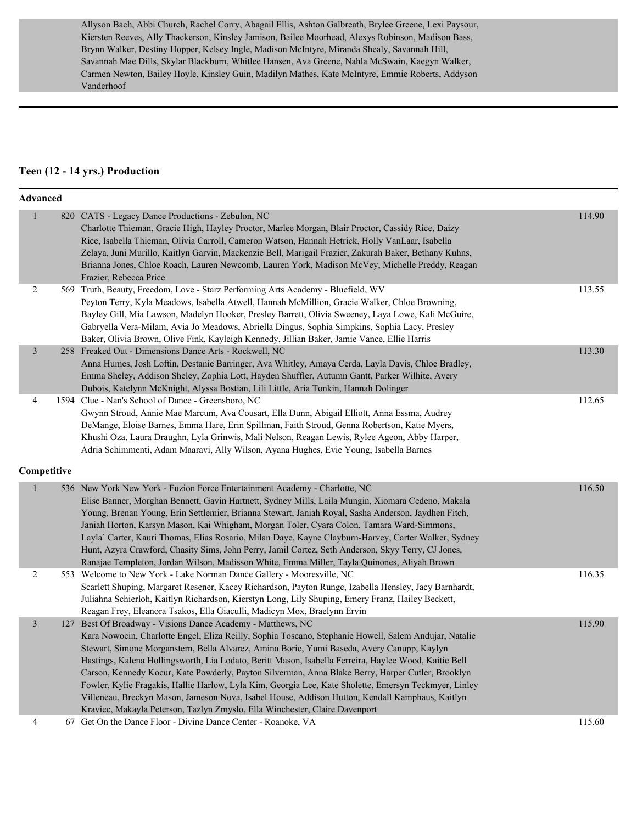Allyson Bach, Abbi Church, Rachel Corry, Abagail Ellis, Ashton Galbreath, Brylee Greene, Lexi Paysour, Kiersten Reeves, Ally Thackerson, Kinsley Jamison, Bailee Moorhead, Alexys Robinson, Madison Bass, Brynn Walker, Destiny Hopper, Kelsey Ingle, Madison McIntyre, Miranda Shealy, Savannah Hill, Savannah Mae Dills, Skylar Blackburn, Whitlee Hansen, Ava Greene, Nahla McSwain, Kaegyn Walker, Carmen Newton, Bailey Hoyle, Kinsley Guin, Madilyn Mathes, Kate McIntyre, Emmie Roberts, Addyson Vanderhoof

#### **Teen (12 - 14 yrs.) Production**

|                | <b>Advanced</b> |                                                                                                                                                                                                                                                                                                                                                                                                                                                                                                                                                                                                                                                                                                                                                                             |        |  |  |  |
|----------------|-----------------|-----------------------------------------------------------------------------------------------------------------------------------------------------------------------------------------------------------------------------------------------------------------------------------------------------------------------------------------------------------------------------------------------------------------------------------------------------------------------------------------------------------------------------------------------------------------------------------------------------------------------------------------------------------------------------------------------------------------------------------------------------------------------------|--------|--|--|--|
| 1              |                 | 820 CATS - Legacy Dance Productions - Zebulon, NC<br>Charlotte Thieman, Gracie High, Hayley Proctor, Marlee Morgan, Blair Proctor, Cassidy Rice, Daizy<br>Rice, Isabella Thieman, Olivia Carroll, Cameron Watson, Hannah Hetrick, Holly VanLaar, Isabella<br>Zelaya, Juni Murillo, Kaitlyn Garvin, Mackenzie Bell, Marigail Frazier, Zakurah Baker, Bethany Kuhns,<br>Brianna Jones, Chloe Roach, Lauren Newcomb, Lauren York, Madison McVey, Michelle Preddy, Reagan<br>Frazier, Rebecca Price                                                                                                                                                                                                                                                                             | 114.90 |  |  |  |
| $\overline{c}$ |                 | 569 Truth, Beauty, Freedom, Love - Starz Performing Arts Academy - Bluefield, WV<br>Peyton Terry, Kyla Meadows, Isabella Atwell, Hannah McMillion, Gracie Walker, Chloe Browning,<br>Bayley Gill, Mia Lawson, Madelyn Hooker, Presley Barrett, Olivia Sweeney, Laya Lowe, Kali McGuire,<br>Gabryella Vera-Milam, Avia Jo Meadows, Abriella Dingus, Sophia Simpkins, Sophia Lacy, Presley<br>Baker, Olivia Brown, Olive Fink, Kayleigh Kennedy, Jillian Baker, Jamie Vance, Ellie Harris                                                                                                                                                                                                                                                                                     | 113.55 |  |  |  |
| 3              |                 | 258 Freaked Out - Dimensions Dance Arts - Rockwell, NC<br>Anna Humes, Josh Loftin, Destanie Barringer, Ava Whitley, Amaya Cerda, Layla Davis, Chloe Bradley,<br>Emma Sheley, Addison Sheley, Zophia Lott, Hayden Shuffler, Autumn Gantt, Parker Wilhite, Avery<br>Dubois, Katelynn McKnight, Alyssa Bostian, Lili Little, Aria Tonkin, Hannah Dolinger                                                                                                                                                                                                                                                                                                                                                                                                                      | 113.30 |  |  |  |
| 4              |                 | 1594 Clue - Nan's School of Dance - Greensboro, NC<br>Gwynn Stroud, Annie Mae Marcum, Ava Cousart, Ella Dunn, Abigail Elliott, Anna Essma, Audrey<br>DeMange, Eloise Barnes, Emma Hare, Erin Spillman, Faith Stroud, Genna Robertson, Katie Myers,<br>Khushi Oza, Laura Draughn, Lyla Grinwis, Mali Nelson, Reagan Lewis, Rylee Ageon, Abby Harper,<br>Adria Schimmenti, Adam Maaravi, Ally Wilson, Ayana Hughes, Evie Young, Isabella Barnes                                                                                                                                                                                                                                                                                                                               | 112.65 |  |  |  |
|                | Competitive     |                                                                                                                                                                                                                                                                                                                                                                                                                                                                                                                                                                                                                                                                                                                                                                             |        |  |  |  |
| $\mathbf{1}$   |                 | 536 New York New York - Fuzion Force Entertainment Academy - Charlotte, NC<br>Elise Banner, Morghan Bennett, Gavin Hartnett, Sydney Mills, Laila Mungin, Xiomara Cedeno, Makala<br>Young, Brenan Young, Erin Settlemier, Brianna Stewart, Janiah Royal, Sasha Anderson, Jaydhen Fitch,<br>Janiah Horton, Karsyn Mason, Kai Whigham, Morgan Toler, Cyara Colon, Tamara Ward-Simmons,<br>Layla' Carter, Kauri Thomas, Elias Rosario, Milan Daye, Kayne Clayburn-Harvey, Carter Walker, Sydney<br>Hunt, Azyra Crawford, Chasity Sims, John Perry, Jamil Cortez, Seth Anderson, Skyy Terry, CJ Jones,<br>Ranajae Templeton, Jordan Wilson, Madisson White, Emma Miller, Tayla Quinones, Aliyah Brown                                                                            | 116.50 |  |  |  |
| $\overline{c}$ |                 | 553 Welcome to New York - Lake Norman Dance Gallery - Mooresville, NC<br>Scarlett Shuping, Margaret Resener, Kacey Richardson, Payton Runge, Izabella Hensley, Jacy Barnhardt,<br>Juliahna Schierloh, Kaitlyn Richardson, Kierstyn Long, Lily Shuping, Emery Franz, Hailey Beckett,<br>Reagan Frey, Eleanora Tsakos, Ella Giaculli, Madicyn Mox, Braelynn Ervin                                                                                                                                                                                                                                                                                                                                                                                                             | 116.35 |  |  |  |
| 3              |                 | 127 Best Of Broadway - Visions Dance Academy - Matthews, NC<br>Kara Nowocin, Charlotte Engel, Eliza Reilly, Sophia Toscano, Stephanie Howell, Salem Andujar, Natalie<br>Stewart, Simone Morganstern, Bella Alvarez, Amina Boric, Yumi Baseda, Avery Canupp, Kaylyn<br>Hastings, Kalena Hollingsworth, Lia Lodato, Beritt Mason, Isabella Ferreira, Haylee Wood, Kaitie Bell<br>Carson, Kennedy Kocur, Kate Powderly, Payton Silverman, Anna Blake Berry, Harper Cutler, Brooklyn<br>Fowler, Kylie Fragakis, Hallie Harlow, Lyla Kim, Georgia Lee, Kate Sholette, Emersyn Teckmyer, Linley<br>Villeneau, Breckyn Mason, Jameson Nova, Isabel House, Addison Hutton, Kendall Kamphaus, Kaitlyn<br>Kraviec, Makayla Peterson, Tazlyn Zmyslo, Ella Winchester, Claire Davenport | 115.90 |  |  |  |
| 4              |                 | 67 Get On the Dance Floor - Divine Dance Center - Roanoke, VA                                                                                                                                                                                                                                                                                                                                                                                                                                                                                                                                                                                                                                                                                                               | 115.60 |  |  |  |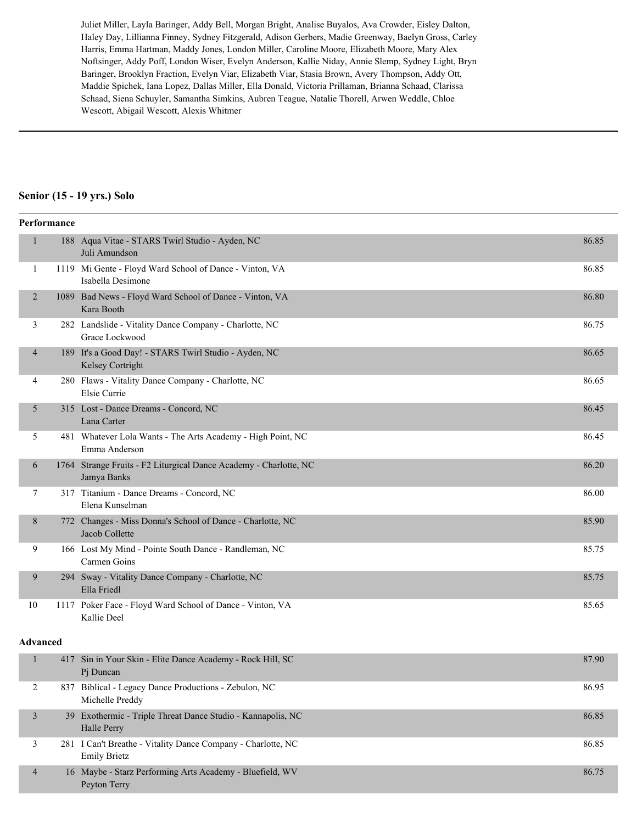Juliet Miller, Layla Baringer, Addy Bell, Morgan Bright, Analise Buyalos, Ava Crowder, Eisley Dalton, Haley Day, Lillianna Finney, Sydney Fitzgerald, Adison Gerbers, Madie Greenway, Baelyn Gross, Carley Harris, Emma Hartman, Maddy Jones, London Miller, Caroline Moore, Elizabeth Moore, Mary Alex Noftsinger, Addy Poff, London Wiser, Evelyn Anderson, Kallie Niday, Annie Slemp, Sydney Light, Bryn Baringer, Brooklyn Fraction, Evelyn Viar, Elizabeth Viar, Stasia Brown, Avery Thompson, Addy Ott, Maddie Spichek, Iana Lopez, Dallas Miller, Ella Donald, Victoria Prillaman, Brianna Schaad, Clarissa Schaad, Siena Schuyler, Samantha Simkins, Aubren Teague, Natalie Thorell, Arwen Weddle, Chloe Wescott, Abigail Wescott, Alexis Whitmer

#### **Senior (15 - 19 yrs.) Solo**

|                | Performance |                                                                                  |       |
|----------------|-------------|----------------------------------------------------------------------------------|-------|
| $\mathbf{1}$   |             | 188 Aqua Vitae - STARS Twirl Studio - Ayden, NC<br>Juli Amundson                 | 86.85 |
| 1              |             | 1119 Mi Gente - Floyd Ward School of Dance - Vinton, VA<br>Isabella Desimone     | 86.85 |
| 2              |             | 1089 Bad News - Floyd Ward School of Dance - Vinton, VA<br>Kara Booth            | 86.80 |
| 3              |             | 282 Landslide - Vitality Dance Company - Charlotte, NC<br>Grace Lockwood         | 86.75 |
| $\overline{4}$ |             | 189 It's a Good Day! - STARS Twirl Studio - Ayden, NC<br>Kelsey Cortright        | 86.65 |
| $\overline{4}$ |             | 280 Flaws - Vitality Dance Company - Charlotte, NC<br>Elsie Currie               | 86.65 |
| 5              |             | 315 Lost - Dance Dreams - Concord, NC<br>Lana Carter                             | 86.45 |
| 5              |             | 481 Whatever Lola Wants - The Arts Academy - High Point, NC<br>Emma Anderson     | 86.45 |
| 6              |             | 1764 Strange Fruits - F2 Liturgical Dance Academy - Charlotte, NC<br>Jamya Banks | 86.20 |
| 7              |             | 317 Titanium - Dance Dreams - Concord, NC<br>Elena Kunselman                     | 86.00 |
| 8              |             | 772 Changes - Miss Donna's School of Dance - Charlotte, NC<br>Jacob Collette     | 85.90 |
| 9              |             | 166 Lost My Mind - Pointe South Dance - Randleman, NC<br>Carmen Goins            | 85.75 |
| 9              |             | 294 Sway - Vitality Dance Company - Charlotte, NC<br>Ella Friedl                 | 85.75 |
| 10             |             | 1117 Poker Face - Floyd Ward School of Dance - Vinton, VA<br>Kallie Deel         | 85.65 |
| Advanced       |             |                                                                                  |       |

#### **Advanced**

|                | 417 Sin in Your Skin - Elite Dance Academy - Rock Hill, SC<br>P <sub>i</sub> Duncan | 87.90 |
|----------------|-------------------------------------------------------------------------------------|-------|
|                | 837 Biblical - Legacy Dance Productions - Zebulon, NC<br>Michelle Preddy            | 86.95 |
|                | 39 Exothermic - Triple Threat Dance Studio - Kannapolis, NC<br>Halle Perry          | 86.85 |
|                | 281 I Can't Breathe - Vitality Dance Company - Charlotte, NC<br><b>Emily Brietz</b> | 86.85 |
| $\overline{4}$ | 16 Maybe - Starz Performing Arts Academy - Bluefield, WV<br>Peyton Terry            | 86.75 |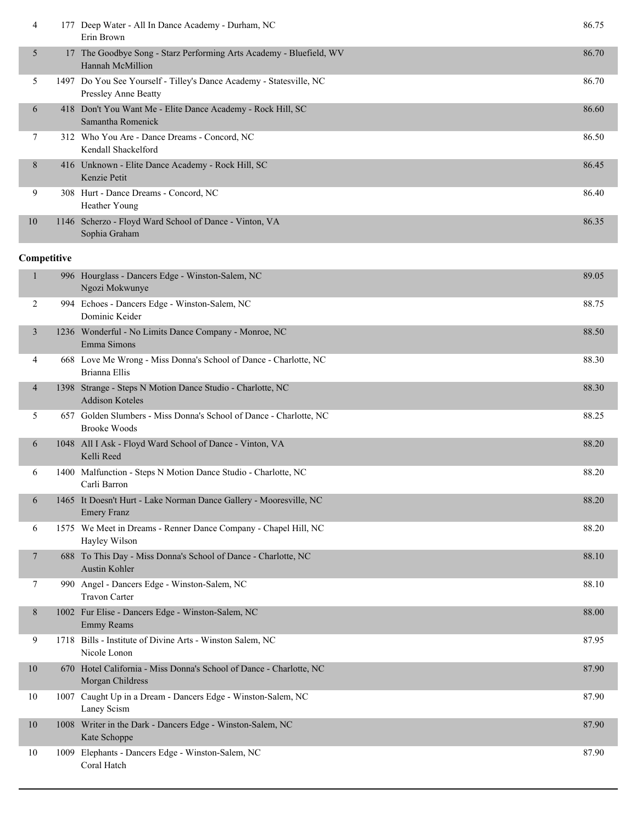| 4  |    | Deep Water - All In Dance Academy - Durham, NC<br>Erin Brown                                       | 86.75 |
|----|----|----------------------------------------------------------------------------------------------------|-------|
| 5  | 17 | The Goodbye Song - Starz Performing Arts Academy - Bluefield, WV<br>Hannah McMillion               | 86.70 |
| 5  |    | 1497 Do You See Yourself - Tilley's Dance Academy - Statesville, NC<br><b>Pressley Anne Beatty</b> | 86.70 |
| 6  |    | 418 Don't You Want Me - Elite Dance Academy - Rock Hill, SC<br>Samantha Romenick                   | 86.60 |
| 7  |    | 312 Who You Are - Dance Dreams - Concord, NC<br>Kendall Shackelford                                | 86.50 |
| 8  |    | 416 Unknown - Elite Dance Academy - Rock Hill, SC<br>Kenzie Petit                                  | 86.45 |
| 9  |    | 308 Hurt - Dance Dreams - Concord, NC<br>Heather Young                                             | 86.40 |
| 10 |    | 1146 Scherzo - Floyd Ward School of Dance - Vinton, VA<br>Sophia Graham                            | 86.35 |

| $\mathbf{1}$   | 996 Hourglass - Dancers Edge - Winston-Salem, NC<br>Ngozi Mokwunye                        | 89.05 |
|----------------|-------------------------------------------------------------------------------------------|-------|
| 2              | 994 Echoes - Dancers Edge - Winston-Salem, NC<br>Dominic Keider                           | 88.75 |
| 3              | 1236 Wonderful - No Limits Dance Company - Monroe, NC<br>Emma Simons                      | 88.50 |
| 4              | 668 Love Me Wrong - Miss Donna's School of Dance - Charlotte, NC<br>Brianna Ellis         | 88.30 |
| $\overline{4}$ | 1398 Strange - Steps N Motion Dance Studio - Charlotte, NC<br><b>Addison Koteles</b>      | 88.30 |
| 5              | 657 Golden Slumbers - Miss Donna's School of Dance - Charlotte, NC<br><b>Brooke Woods</b> | 88.25 |
| 6              | 1048 All I Ask - Floyd Ward School of Dance - Vinton, VA<br>Kelli Reed                    | 88.20 |
| 6              | 1400 Malfunction - Steps N Motion Dance Studio - Charlotte, NC<br>Carli Barron            | 88.20 |
| 6              | 1465 It Doesn't Hurt - Lake Norman Dance Gallery - Mooresville, NC<br><b>Emery Franz</b>  | 88.20 |
| 6              | 1575 We Meet in Dreams - Renner Dance Company - Chapel Hill, NC<br>Hayley Wilson          | 88.20 |
| 7              | 688 To This Day - Miss Donna's School of Dance - Charlotte, NC<br><b>Austin Kohler</b>    | 88.10 |
| $\tau$         | 990 Angel - Dancers Edge - Winston-Salem, NC<br><b>Travon Carter</b>                      | 88.10 |
| 8              | 1002 Fur Elise - Dancers Edge - Winston-Salem, NC<br><b>Emmy Reams</b>                    | 88.00 |
| 9              | 1718 Bills - Institute of Divine Arts - Winston Salem, NC<br>Nicole Lonon                 | 87.95 |
| 10             | 670 Hotel California - Miss Donna's School of Dance - Charlotte, NC<br>Morgan Childress   | 87.90 |
| 10             | 1007 Caught Up in a Dream - Dancers Edge - Winston-Salem, NC<br>Laney Scism               | 87.90 |
| 10             | 1008 Writer in the Dark - Dancers Edge - Winston-Salem, NC<br>Kate Schoppe                | 87.90 |
| 10             | 1009 Elephants - Dancers Edge - Winston-Salem, NC<br>Coral Hatch                          | 87.90 |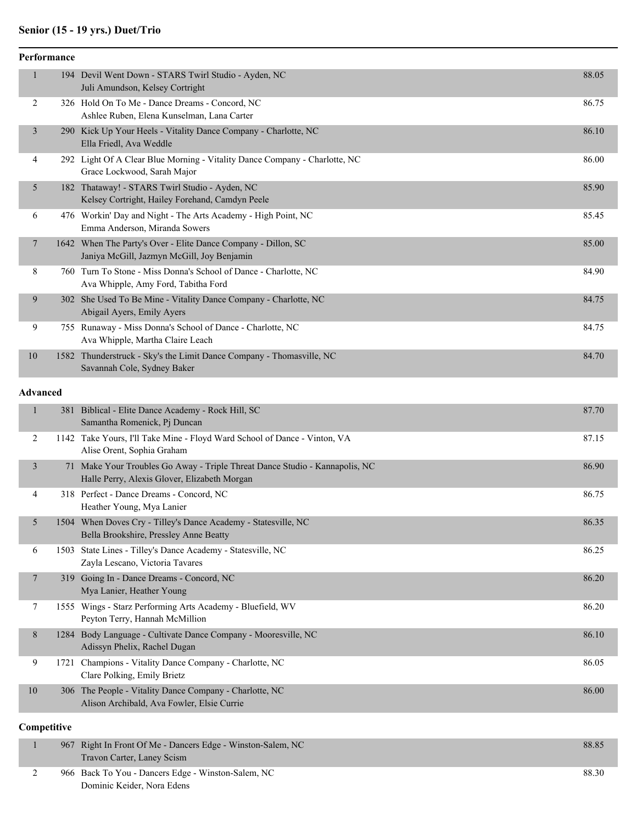# **Senior (15 - 19 yrs.) Duet/Trio**

|                | Performance |                                                                                                             |       |
|----------------|-------------|-------------------------------------------------------------------------------------------------------------|-------|
| $\mathbf{1}$   |             | 194 Devil Went Down - STARS Twirl Studio - Ayden, NC<br>Juli Amundson, Kelsey Cortright                     | 88.05 |
| 2              |             | 326 Hold On To Me - Dance Dreams - Concord, NC<br>Ashlee Ruben, Elena Kunselman, Lana Carter                | 86.75 |
| $\mathfrak{Z}$ |             | 290 Kick Up Your Heels - Vitality Dance Company - Charlotte, NC<br>Ella Friedl, Ava Weddle                  | 86.10 |
| 4              |             | 292 Light Of A Clear Blue Morning - Vitality Dance Company - Charlotte, NC<br>Grace Lockwood, Sarah Major   | 86.00 |
| 5              | 182         | Thataway! - STARS Twirl Studio - Ayden, NC<br>Kelsey Cortright, Hailey Forehand, Camdyn Peele               | 85.90 |
| 6              |             | 476 Workin' Day and Night - The Arts Academy - High Point, NC<br>Emma Anderson, Miranda Sowers              | 85.45 |
| 7              |             | 1642 When The Party's Over - Elite Dance Company - Dillon, SC<br>Janiya McGill, Jazmyn McGill, Joy Benjamin | 85.00 |
| 8              |             | 760 Turn To Stone - Miss Donna's School of Dance - Charlotte, NC<br>Ava Whipple, Amy Ford, Tabitha Ford     | 84.90 |
| 9              |             | 302 She Used To Be Mine - Vitality Dance Company - Charlotte, NC<br>Abigail Ayers, Emily Ayers              | 84.75 |
| 9              |             | 755 Runaway - Miss Donna's School of Dance - Charlotte, NC<br>Ava Whipple, Martha Claire Leach              | 84.75 |
| 10             | 1582        | Thunderstruck - Sky's the Limit Dance Company - Thomasville, NC<br>Savannah Cole, Sydney Baker              | 84.70 |

#### **Advanced**

| 1              |      | 381 Biblical - Elite Dance Academy - Rock Hill, SC<br>Samantha Romenick, Pj Duncan                                          | 87.70 |
|----------------|------|-----------------------------------------------------------------------------------------------------------------------------|-------|
| 2              |      | 1142 Take Yours, I'll Take Mine - Floyd Ward School of Dance - Vinton, VA<br>Alise Orent, Sophia Graham                     | 87.15 |
| $\overline{3}$ |      | 71 Make Your Troubles Go Away - Triple Threat Dance Studio - Kannapolis, NC<br>Halle Perry, Alexis Glover, Elizabeth Morgan | 86.90 |
| $\overline{4}$ |      | 318 Perfect - Dance Dreams - Concord, NC<br>Heather Young, Mya Lanier                                                       | 86.75 |
| 5              |      | 1504 When Doves Cry - Tilley's Dance Academy - Statesville, NC<br>Bella Brookshire, Pressley Anne Beatty                    | 86.35 |
| 6              | 1503 | State Lines - Tilley's Dance Academy - Statesville, NC<br>Zayla Lescano, Victoria Tavares                                   | 86.25 |
| 7              | 319  | Going In - Dance Dreams - Concord, NC<br>Mya Lanier, Heather Young                                                          | 86.20 |
| 7              |      | 1555 Wings - Starz Performing Arts Academy - Bluefield, WV<br>Peyton Terry, Hannah McMillion                                | 86.20 |
| 8              |      | 1284 Body Language - Cultivate Dance Company - Mooresville, NC<br>Adissyn Phelix, Rachel Dugan                              | 86.10 |
| 9              |      | 1721 Champions - Vitality Dance Company - Charlotte, NC<br>Clare Polking, Emily Brietz                                      | 86.05 |
| 10             |      | 306 The People - Vitality Dance Company - Charlotte, NC<br>Alison Archibald, Ava Fowler, Elsie Currie                       | 86.00 |
| Competitive    |      |                                                                                                                             |       |

|  | 967 Right In Front Of Me - Dancers Edge - Winston-Salem, NC<br>Travon Carter, Laney Scism | 88.85 |
|--|-------------------------------------------------------------------------------------------|-------|
|  | 966 Back To You - Dancers Edge - Winston-Salem, NC                                        | 88.30 |
|  | Dominic Keider, Nora Edens                                                                |       |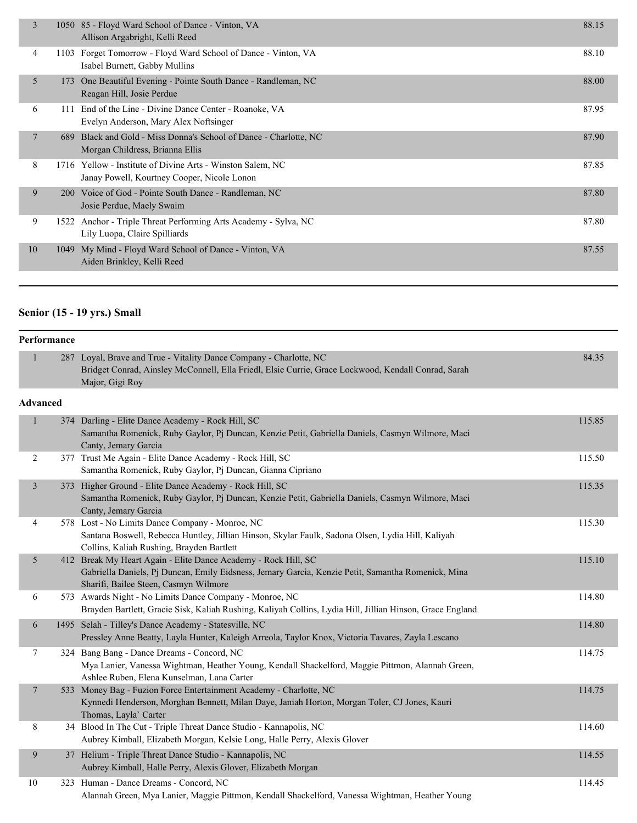| 3  |            | 1050 85 - Floyd Ward School of Dance - Vinton, VA<br>Allison Argabright, Kelli Reed                       | 88.15 |
|----|------------|-----------------------------------------------------------------------------------------------------------|-------|
| 4  | 1103       | Forget Tomorrow - Floyd Ward School of Dance - Vinton, VA<br>Isabel Burnett, Gabby Mullins                | 88.10 |
| 5  | 173        | One Beautiful Evening - Pointe South Dance - Randleman, NC<br>Reagan Hill, Josie Perdue                   | 88.00 |
| 6  | 111        | End of the Line - Divine Dance Center - Roanoke, VA<br>Evelyn Anderson, Mary Alex Noftsinger              | 87.95 |
| 7  | 689        | Black and Gold - Miss Donna's School of Dance - Charlotte, NC<br>Morgan Childress, Brianna Ellis          | 87.90 |
| 8  |            | 1716 Yellow - Institute of Divine Arts - Winston Salem, NC<br>Janay Powell, Kourtney Cooper, Nicole Lonon | 87.85 |
| 9  | <b>200</b> | Voice of God - Pointe South Dance - Randleman, NC<br>Josie Perdue, Maely Swaim                            | 87.80 |
| 9  | 1522       | Anchor - Triple Threat Performing Arts Academy - Sylva, NC<br>Lily Luopa, Claire Spilliards               | 87.80 |
| 10 | 1049       | My Mind - Floyd Ward School of Dance - Vinton, VA<br>Aiden Brinkley, Kelli Reed                           | 87.55 |
|    |            |                                                                                                           |       |

## **Senior (15 - 19 yrs.) Small**

| Performance |  |                                                                                                                                                                                              |       |
|-------------|--|----------------------------------------------------------------------------------------------------------------------------------------------------------------------------------------------|-------|
|             |  | 287 Loyal, Brave and True - Vitality Dance Company - Charlotte, NC<br>Bridget Conrad, Ainsley McConnell, Ella Friedl, Elsie Currie, Grace Lockwood, Kendall Conrad, Sarah<br>Major, Gigi Roy | 84.35 |
| Advanced    |  |                                                                                                                                                                                              |       |

| $\mathbf{1}$   | 374 Darling - Elite Dance Academy - Rock Hill, SC<br>Samantha Romenick, Ruby Gaylor, Pj Duncan, Kenzie Petit, Gabriella Daniels, Casmyn Wilmore, Maci<br>Canty, Jemary Garcia                                 | 115.85 |
|----------------|---------------------------------------------------------------------------------------------------------------------------------------------------------------------------------------------------------------|--------|
| 2              | 377 Trust Me Again - Elite Dance Academy - Rock Hill, SC<br>Samantha Romenick, Ruby Gaylor, Pj Duncan, Gianna Cipriano                                                                                        | 115.50 |
| $\mathfrak{Z}$ | 373 Higher Ground - Elite Dance Academy - Rock Hill, SC<br>Samantha Romenick, Ruby Gaylor, Pj Duncan, Kenzie Petit, Gabriella Daniels, Casmyn Wilmore, Maci<br>Canty, Jemary Garcia                           | 115.35 |
| 4              | 578 Lost - No Limits Dance Company - Monroe, NC<br>Santana Boswell, Rebecca Huntley, Jillian Hinson, Skylar Faulk, Sadona Olsen, Lydia Hill, Kaliyah<br>Collins, Kaliah Rushing, Brayden Bartlett             | 115.30 |
| 5              | 412 Break My Heart Again - Elite Dance Academy - Rock Hill, SC<br>Gabriella Daniels, Pj Duncan, Emily Eidsness, Jemary Garcia, Kenzie Petit, Samantha Romenick, Mina<br>Sharifi, Bailee Steen, Casmyn Wilmore | 115.10 |
| 6              | 573 Awards Night - No Limits Dance Company - Monroe, NC<br>Brayden Bartlett, Gracie Sisk, Kaliah Rushing, Kaliyah Collins, Lydia Hill, Jillian Hinson, Grace England                                          | 114.80 |
| 6              | 1495 Selah - Tilley's Dance Academy - Statesville, NC<br>Pressley Anne Beatty, Layla Hunter, Kaleigh Arreola, Taylor Knox, Victoria Tavares, Zayla Lescano                                                    | 114.80 |
| 7              | 324 Bang Bang - Dance Dreams - Concord, NC<br>Mya Lanier, Vanessa Wightman, Heather Young, Kendall Shackelford, Maggie Pittmon, Alannah Green,<br>Ashlee Ruben, Elena Kunselman, Lana Carter                  | 114.75 |
| $\overline{7}$ | 533 Money Bag - Fuzion Force Entertainment Academy - Charlotte, NC<br>Kynnedi Henderson, Morghan Bennett, Milan Daye, Janiah Horton, Morgan Toler, CJ Jones, Kauri<br>Thomas, Layla` Carter                   | 114.75 |
| 8              | 34 Blood In The Cut - Triple Threat Dance Studio - Kannapolis, NC<br>Aubrey Kimball, Elizabeth Morgan, Kelsie Long, Halle Perry, Alexis Glover                                                                | 114.60 |
| 9              | 37 Helium - Triple Threat Dance Studio - Kannapolis, NC<br>Aubrey Kimball, Halle Perry, Alexis Glover, Elizabeth Morgan                                                                                       | 114.55 |
| 10             | 323 Human - Dance Dreams - Concord, NC<br>Alannah Green, Mya Lanier, Maggie Pittmon, Kendall Shackelford, Vanessa Wightman, Heather Young                                                                     | 114.45 |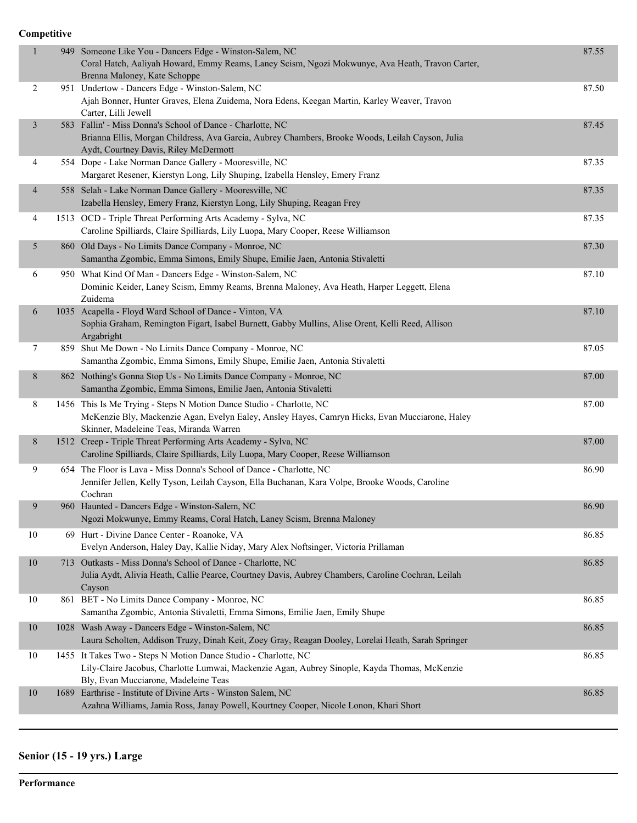| $\mathbf{1}$   | 949 Someone Like You - Dancers Edge - Winston-Salem, NC<br>Coral Hatch, Aaliyah Howard, Emmy Reams, Laney Scism, Ngozi Mokwunye, Ava Heath, Travon Carter,<br>Brenna Maloney, Kate Schoppe                        | 87.55 |
|----------------|-------------------------------------------------------------------------------------------------------------------------------------------------------------------------------------------------------------------|-------|
| $\overline{c}$ | 951 Undertow - Dancers Edge - Winston-Salem, NC<br>Ajah Bonner, Hunter Graves, Elena Zuidema, Nora Edens, Keegan Martin, Karley Weaver, Travon<br>Carter, Lilli Jewell                                            | 87.50 |
| $\mathfrak{Z}$ | 583 Fallin' - Miss Donna's School of Dance - Charlotte, NC<br>Brianna Ellis, Morgan Childress, Ava Garcia, Aubrey Chambers, Brooke Woods, Leilah Cayson, Julia<br>Aydt, Courtney Davis, Riley McDermott           | 87.45 |
| 4              | 554 Dope - Lake Norman Dance Gallery - Mooresville, NC<br>Margaret Resener, Kierstyn Long, Lily Shuping, Izabella Hensley, Emery Franz                                                                            | 87.35 |
| $\overline{4}$ | 558 Selah - Lake Norman Dance Gallery - Mooresville, NC<br>Izabella Hensley, Emery Franz, Kierstyn Long, Lily Shuping, Reagan Frey                                                                                | 87.35 |
| 4              | 1513 OCD - Triple Threat Performing Arts Academy - Sylva, NC<br>Caroline Spilliards, Claire Spilliards, Lily Luopa, Mary Cooper, Reese Williamson                                                                 | 87.35 |
| 5              | 860 Old Days - No Limits Dance Company - Monroe, NC<br>Samantha Zgombic, Emma Simons, Emily Shupe, Emilie Jaen, Antonia Stivaletti                                                                                | 87.30 |
| 6              | 950 What Kind Of Man - Dancers Edge - Winston-Salem, NC<br>Dominic Keider, Laney Scism, Emmy Reams, Brenna Maloney, Ava Heath, Harper Leggett, Elena<br>Zuidema                                                   | 87.10 |
| 6              | 1035 Acapella - Floyd Ward School of Dance - Vinton, VA<br>Sophia Graham, Remington Figart, Isabel Burnett, Gabby Mullins, Alise Orent, Kelli Reed, Allison<br>Argabright                                         | 87.10 |
| 7              | 859 Shut Me Down - No Limits Dance Company - Monroe, NC<br>Samantha Zgombic, Emma Simons, Emily Shupe, Emilie Jaen, Antonia Stivaletti                                                                            | 87.05 |
| 8              | 862 Nothing's Gonna Stop Us - No Limits Dance Company - Monroe, NC<br>Samantha Zgombic, Emma Simons, Emilie Jaen, Antonia Stivaletti                                                                              | 87.00 |
| 8              | 1456 This Is Me Trying - Steps N Motion Dance Studio - Charlotte, NC<br>McKenzie Bly, Mackenzie Agan, Evelyn Ealey, Ansley Hayes, Camryn Hicks, Evan Mucciarone, Haley<br>Skinner, Madeleine Teas, Miranda Warren | 87.00 |
| 8              | 1512 Creep - Triple Threat Performing Arts Academy - Sylva, NC<br>Caroline Spilliards, Claire Spilliards, Lily Luopa, Mary Cooper, Reese Williamson                                                               | 87.00 |
| 9              | 654 The Floor is Lava - Miss Donna's School of Dance - Charlotte, NC<br>Jennifer Jellen, Kelly Tyson, Leilah Cayson, Ella Buchanan, Kara Volpe, Brooke Woods, Caroline<br>Cochran                                 | 86.90 |
| 9              | 960 Haunted - Dancers Edge - Winston-Salem, NC<br>Ngozi Mokwunye, Emmy Reams, Coral Hatch, Laney Scism, Brenna Maloney                                                                                            | 86.90 |
| 10             | 69 Hurt - Divine Dance Center - Roanoke, VA<br>Evelyn Anderson, Haley Day, Kallie Niday, Mary Alex Noftsinger, Victoria Prillaman                                                                                 | 86.85 |
| $10\,$         | 713 Outkasts - Miss Donna's School of Dance - Charlotte, NC<br>Julia Aydt, Alivia Heath, Callie Pearce, Courtney Davis, Aubrey Chambers, Caroline Cochran, Leilah<br>Cayson                                       | 86.85 |
| 10             | 861 BET - No Limits Dance Company - Monroe, NC<br>Samantha Zgombic, Antonia Stivaletti, Emma Simons, Emilie Jaen, Emily Shupe                                                                                     | 86.85 |
| $10\,$         | 1028 Wash Away - Dancers Edge - Winston-Salem, NC<br>Laura Scholten, Addison Truzy, Dinah Keit, Zoey Gray, Reagan Dooley, Lorelai Heath, Sarah Springer                                                           | 86.85 |
| 10             | 1455 It Takes Two - Steps N Motion Dance Studio - Charlotte, NC<br>Lily-Claire Jacobus, Charlotte Lumwai, Mackenzie Agan, Aubrey Sinople, Kayda Thomas, McKenzie<br>Bly, Evan Mucciarone, Madeleine Teas          | 86.85 |
| 10             | 1689 Earthrise - Institute of Divine Arts - Winston Salem, NC<br>Azahna Williams, Jamia Ross, Janay Powell, Kourtney Cooper, Nicole Lonon, Khari Short                                                            | 86.85 |

# **Senior (15 - 19 yrs.) Large**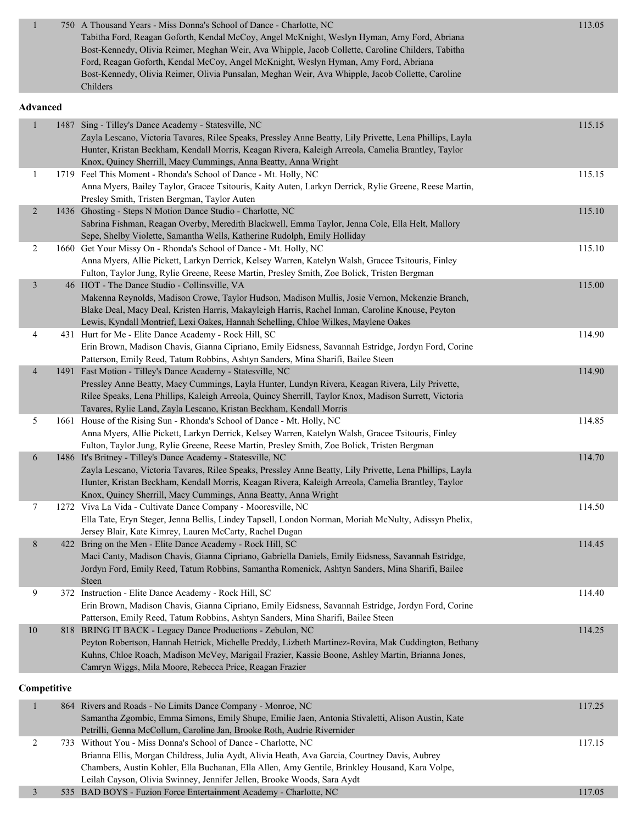| 750 A Thousand Years - Miss Donna's School of Dance - Charlotte, NC                               | 113.05 |
|---------------------------------------------------------------------------------------------------|--------|
| Tabitha Ford, Reagan Goforth, Kendal McCoy, Angel McKnight, Weslyn Hyman, Amy Ford, Abriana       |        |
| Bost-Kennedy, Olivia Reimer, Meghan Weir, Ava Whipple, Jacob Collette, Caroline Childers, Tabitha |        |
| Ford, Reagan Goforth, Kendal McCoy, Angel McKnight, Weslyn Hyman, Amy Ford, Abriana               |        |
| Bost-Kennedy, Olivia Reimer, Olivia Punsalan, Meghan Weir, Ava Whipple, Jacob Collette, Caroline  |        |
| Childers                                                                                          |        |

#### **Advanced**

| $\mathbf{1}$   | 1487 Sing - Tilley's Dance Academy - Statesville, NC                                                     | 115.15 |
|----------------|----------------------------------------------------------------------------------------------------------|--------|
|                | Zayla Lescano, Victoria Tavares, Rilee Speaks, Pressley Anne Beatty, Lily Privette, Lena Phillips, Layla |        |
|                | Hunter, Kristan Beckham, Kendall Morris, Keagan Rivera, Kaleigh Arreola, Camelia Brantley, Taylor        |        |
|                | Knox, Quincy Sherrill, Macy Cummings, Anna Beatty, Anna Wright                                           |        |
| $\mathbf{1}$   | 1719 Feel This Moment - Rhonda's School of Dance - Mt. Holly, NC                                         | 115.15 |
|                | Anna Myers, Bailey Taylor, Gracee Tsitouris, Kaity Auten, Larkyn Derrick, Rylie Greene, Reese Martin,    |        |
|                | Presley Smith, Tristen Bergman, Taylor Auten                                                             |        |
| $\overline{2}$ | 1436 Ghosting - Steps N Motion Dance Studio - Charlotte, NC                                              | 115.10 |
|                | Sabrina Fishman, Reagan Overby, Meredith Blackwell, Emma Taylor, Jenna Cole, Ella Helt, Mallory          |        |
|                | Sepe, Shelby Violette, Samantha Wells, Katherine Rudolph, Emily Holliday                                 |        |
| $\overline{c}$ | 1660 Get Your Missy On - Rhonda's School of Dance - Mt. Holly, NC                                        | 115.10 |
|                | Anna Myers, Allie Pickett, Larkyn Derrick, Kelsey Warren, Katelyn Walsh, Gracee Tsitouris, Finley        |        |
|                | Fulton, Taylor Jung, Rylie Greene, Reese Martin, Presley Smith, Zoe Bolick, Tristen Bergman              |        |
| $\overline{3}$ | 46 HOT - The Dance Studio - Collinsville, VA                                                             | 115.00 |
|                | Makenna Reynolds, Madison Crowe, Taylor Hudson, Madison Mullis, Josie Vernon, Mckenzie Branch,           |        |
|                | Blake Deal, Macy Deal, Kristen Harris, Makayleigh Harris, Rachel Inman, Caroline Knouse, Peyton          |        |
|                | Lewis, Kyndall Montrief, Lexi Oakes, Hannah Schelling, Chloe Wilkes, Maylene Oakes                       |        |
| 4              | 431 Hurt for Me - Elite Dance Academy - Rock Hill, SC                                                    | 114.90 |
|                | Erin Brown, Madison Chavis, Gianna Cipriano, Emily Eidsness, Savannah Estridge, Jordyn Ford, Corine      |        |
|                | Patterson, Emily Reed, Tatum Robbins, Ashtyn Sanders, Mina Sharifi, Bailee Steen                         |        |
| $\overline{4}$ | 1491 Fast Motion - Tilley's Dance Academy - Statesville, NC                                              | 114.90 |
|                | Pressley Anne Beatty, Macy Cummings, Layla Hunter, Lundyn Rivera, Keagan Rivera, Lily Privette,          |        |
|                | Rilee Speaks, Lena Phillips, Kaleigh Arreola, Quincy Sherrill, Taylor Knox, Madison Surrett, Victoria    |        |
|                | Tavares, Rylie Land, Zayla Lescano, Kristan Beckham, Kendall Morris                                      |        |
| 5              | 1661 House of the Rising Sun - Rhonda's School of Dance - Mt. Holly, NC                                  | 114.85 |
|                | Anna Myers, Allie Pickett, Larkyn Derrick, Kelsey Warren, Katelyn Walsh, Gracee Tsitouris, Finley        |        |
|                | Fulton, Taylor Jung, Rylie Greene, Reese Martin, Presley Smith, Zoe Bolick, Tristen Bergman              |        |
| 6              | 1486 It's Britney - Tilley's Dance Academy - Statesville, NC                                             | 114.70 |
|                | Zayla Lescano, Victoria Tavares, Rilee Speaks, Pressley Anne Beatty, Lily Privette, Lena Phillips, Layla |        |
|                | Hunter, Kristan Beckham, Kendall Morris, Keagan Rivera, Kaleigh Arreola, Camelia Brantley, Taylor        |        |
|                | Knox, Quincy Sherrill, Macy Cummings, Anna Beatty, Anna Wright                                           |        |
| 7              | 1272 Viva La Vida - Cultivate Dance Company - Mooresville, NC                                            | 114.50 |
|                | Ella Tate, Eryn Steger, Jenna Bellis, Lindey Tapsell, London Norman, Moriah McNulty, Adissyn Phelix,     |        |
|                | Jersey Blair, Kate Kimrey, Lauren McCarty, Rachel Dugan                                                  |        |
| 8              | 422 Bring on the Men - Elite Dance Academy - Rock Hill, SC                                               | 114.45 |
|                | Maci Canty, Madison Chavis, Gianna Cipriano, Gabriella Daniels, Emily Eidsness, Savannah Estridge,       |        |
|                | Jordyn Ford, Emily Reed, Tatum Robbins, Samantha Romenick, Ashtyn Sanders, Mina Sharifi, Bailee          |        |
|                | Steen                                                                                                    |        |
| 9              | 372 Instruction - Elite Dance Academy - Rock Hill, SC                                                    | 114.40 |
|                | Erin Brown, Madison Chavis, Gianna Cipriano, Emily Eidsness, Savannah Estridge, Jordyn Ford, Corine      |        |
|                | Patterson, Emily Reed, Tatum Robbins, Ashtyn Sanders, Mina Sharifi, Bailee Steen                         |        |
| $10\,$         | 818 BRING IT BACK - Legacy Dance Productions - Zebulon, NC                                               | 114.25 |
|                | Peyton Robertson, Hannah Hetrick, Michelle Preddy, Lizbeth Martinez-Rovira, Mak Cuddington, Bethany      |        |
|                | Kuhns, Chloe Roach, Madison McVey, Marigail Frazier, Kassie Boone, Ashley Martin, Brianna Jones,         |        |
|                | Camryn Wiggs, Mila Moore, Rebecca Price, Reagan Frazier                                                  |        |
| Competitive    |                                                                                                          |        |
| $\mathbf{1}$   | 864 Rivers and Roads - No Limits Dance Company - Monroe, NC                                              | 117.25 |
|                | Samantha Zgombic, Emma Simons, Emily Shupe, Emilie Jaen, Antonia Stivaletti, Alison Austin, Kate         |        |
|                | Petrilli, Genna McCollum, Caroline Jan, Brooke Roth, Audrie Rivernider                                   |        |
| $\overline{c}$ | 733 Without You - Miss Donna's School of Dance - Charlotte, NC                                           | 117.15 |
|                | Brianna Ellis, Morgan Childress, Julia Aydt, Alivia Heath, Ava Garcia, Courtney Davis, Aubrey            |        |
|                |                                                                                                          |        |

Chambers, Austin Kohler, Ella Buchanan, Ella Allen, Amy Gentile, Brinkley Housand, Kara Volpe,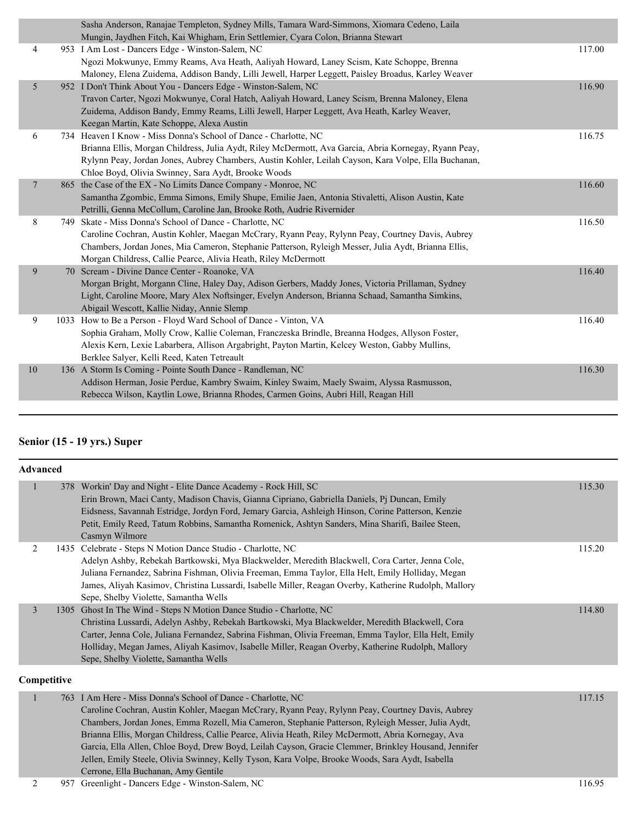|                | Sasha Anderson, Ranajae Templeton, Sydney Mills, Tamara Ward-Simmons, Xiomara Cedeno, Laila           |        |
|----------------|-------------------------------------------------------------------------------------------------------|--------|
|                | Mungin, Jaydhen Fitch, Kai Whigham, Erin Settlemier, Cyara Colon, Brianna Stewart                     |        |
| 4              | 953 I Am Lost - Dancers Edge - Winston-Salem, NC                                                      | 117.00 |
|                | Ngozi Mokwunye, Emmy Reams, Ava Heath, Aaliyah Howard, Laney Scism, Kate Schoppe, Brenna              |        |
|                | Maloney, Elena Zuidema, Addison Bandy, Lilli Jewell, Harper Leggett, Paisley Broadus, Karley Weaver   |        |
| 5 <sup>5</sup> | 952 I Don't Think About You - Dancers Edge - Winston-Salem, NC                                        | 116.90 |
|                | Travon Carter, Ngozi Mokwunye, Coral Hatch, Aaliyah Howard, Laney Scism, Brenna Maloney, Elena        |        |
|                | Zuidema, Addison Bandy, Emmy Reams, Lilli Jewell, Harper Leggett, Ava Heath, Karley Weaver,           |        |
|                | Keegan Martin, Kate Schoppe, Alexa Austin                                                             |        |
| 6              | 734 Heaven I Know - Miss Donna's School of Dance - Charlotte, NC                                      | 116.75 |
|                | Brianna Ellis, Morgan Childress, Julia Aydt, Riley McDermott, Ava Garcia, Abria Kornegay, Ryann Peay, |        |
|                | Rylynn Peay, Jordan Jones, Aubrey Chambers, Austin Kohler, Leilah Cayson, Kara Volpe, Ella Buchanan,  |        |
|                | Chloe Boyd, Olivia Swinney, Sara Aydt, Brooke Woods                                                   |        |
| $\overline{7}$ | 865 the Case of the EX - No Limits Dance Company - Monroe, NC                                         | 116.60 |
|                | Samantha Zgombic, Emma Simons, Emily Shupe, Emilie Jaen, Antonia Stivaletti, Alison Austin, Kate      |        |
|                | Petrilli, Genna McCollum, Caroline Jan, Brooke Roth, Audrie Rivernider                                |        |
| 8              | 749 Skate - Miss Donna's School of Dance - Charlotte, NC                                              | 116.50 |
|                | Caroline Cochran, Austin Kohler, Maegan McCrary, Ryann Peay, Rylynn Peay, Courtney Davis, Aubrey      |        |
|                | Chambers, Jordan Jones, Mia Cameron, Stephanie Patterson, Ryleigh Messer, Julia Aydt, Brianna Ellis,  |        |
|                | Morgan Childress, Callie Pearce, Alivia Heath, Riley McDermott                                        |        |
| 9              | 70 Scream - Divine Dance Center - Roanoke, VA                                                         | 116.40 |
|                | Morgan Bright, Morgann Cline, Haley Day, Adison Gerbers, Maddy Jones, Victoria Prillaman, Sydney      |        |
|                | Light, Caroline Moore, Mary Alex Noftsinger, Evelyn Anderson, Brianna Schaad, Samantha Simkins,       |        |
|                | Abigail Wescott, Kallie Niday, Annie Slemp                                                            |        |
| 9              | 1033 How to Be a Person - Floyd Ward School of Dance - Vinton, VA                                     | 116.40 |
|                | Sophia Graham, Molly Crow, Kallie Coleman, Franczeska Brindle, Breanna Hodges, Allyson Foster,        |        |
|                | Alexis Kern, Lexie Labarbera, Allison Argabright, Payton Martin, Kelcey Weston, Gabby Mullins,        |        |
|                | Berklee Salyer, Kelli Reed, Katen Tetreault                                                           |        |
| 10             | 136 A Storm Is Coming - Pointe South Dance - Randleman, NC                                            | 116.30 |
|                | Addison Herman, Josie Perdue, Kambry Swaim, Kinley Swaim, Maely Swaim, Alyssa Rasmusson,              |        |
|                | Rebecca Wilson, Kaytlin Lowe, Brianna Rhodes, Carmen Goins, Aubri Hill, Reagan Hill                   |        |
|                |                                                                                                       |        |

## **Senior (15 - 19 yrs.) Super**

| <b>Advanced</b> |      |                                                                                                                                                                                                                                                                                                                                                                                                                                                                                                                                                                                                                                 |        |  |  |
|-----------------|------|---------------------------------------------------------------------------------------------------------------------------------------------------------------------------------------------------------------------------------------------------------------------------------------------------------------------------------------------------------------------------------------------------------------------------------------------------------------------------------------------------------------------------------------------------------------------------------------------------------------------------------|--------|--|--|
| $\mathbf{1}$    |      | 378 Workin' Day and Night - Elite Dance Academy - Rock Hill, SC<br>Erin Brown, Maci Canty, Madison Chavis, Gianna Cipriano, Gabriella Daniels, Pj Duncan, Emily<br>Eidsness, Savannah Estridge, Jordyn Ford, Jemary Garcia, Ashleigh Hinson, Corine Patterson, Kenzie<br>Petit, Emily Reed, Tatum Robbins, Samantha Romenick, Ashtyn Sanders, Mina Sharifi, Bailee Steen,<br>Casmyn Wilmore                                                                                                                                                                                                                                     | 115.30 |  |  |
| 2               |      | 1435 Celebrate - Steps N Motion Dance Studio - Charlotte, NC<br>Adelyn Ashby, Rebekah Bartkowski, Mya Blackwelder, Meredith Blackwell, Cora Carter, Jenna Cole,<br>Juliana Fernandez, Sabrina Fishman, Olivia Freeman, Emma Taylor, Ella Helt, Emily Holliday, Megan<br>James, Aliyah Kasimov, Christina Lussardi, Isabelle Miller, Reagan Overby, Katherine Rudolph, Mallory<br>Sepe, Shelby Violette, Samantha Wells                                                                                                                                                                                                          | 115.20 |  |  |
| 3               | 1305 | Ghost In The Wind - Steps N Motion Dance Studio - Charlotte, NC<br>Christina Lussardi, Adelyn Ashby, Rebekah Bartkowski, Mya Blackwelder, Meredith Blackwell, Cora<br>Carter, Jenna Cole, Juliana Fernandez, Sabrina Fishman, Olivia Freeman, Emma Taylor, Ella Helt, Emily<br>Holliday, Megan James, Aliyah Kasimov, Isabelle Miller, Reagan Overby, Katherine Rudolph, Mallory<br>Sepe, Shelby Violette, Samantha Wells                                                                                                                                                                                                       | 114.80 |  |  |
| Competitive     |      |                                                                                                                                                                                                                                                                                                                                                                                                                                                                                                                                                                                                                                 |        |  |  |
| 1               |      | 763 I Am Here - Miss Donna's School of Dance - Charlotte, NC<br>Caroline Cochran, Austin Kohler, Maegan McCrary, Ryann Peay, Rylynn Peay, Courtney Davis, Aubrey<br>Chambers, Jordan Jones, Emma Rozell, Mia Cameron, Stephanie Patterson, Ryleigh Messer, Julia Aydt,<br>Brianna Ellis, Morgan Childress, Callie Pearce, Alivia Heath, Riley McDermott, Abria Kornegay, Ava<br>Garcia, Ella Allen, Chloe Boyd, Drew Boyd, Leilah Cayson, Gracie Clemmer, Brinkley Housand, Jennifer<br>Jellen, Emily Steele, Olivia Swinney, Kelly Tyson, Kara Volpe, Brooke Woods, Sara Aydt, Isabella<br>Cerrone, Ella Buchanan, Amy Gentile | 117.15 |  |  |